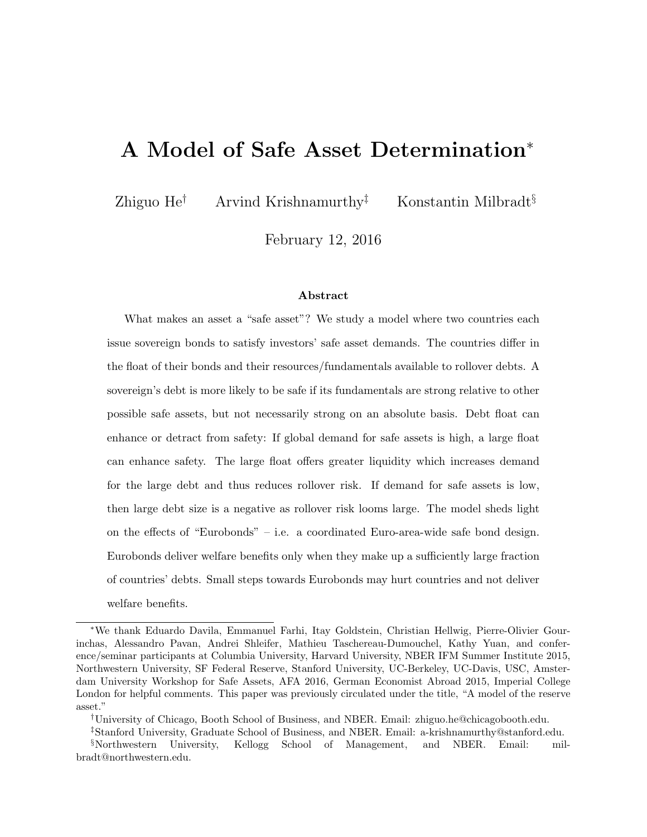# A Model of Safe Asset Determination<sup>∗</sup>

Zhiguo He<sup>†</sup> Arvind Krishnamurthy<sup>‡</sup> Konstantin Milbradt<sup>§</sup>

February 12, 2016

#### Abstract

What makes an asset a "safe asset"? We study a model where two countries each issue sovereign bonds to satisfy investors' safe asset demands. The countries differ in the float of their bonds and their resources/fundamentals available to rollover debts. A sovereign's debt is more likely to be safe if its fundamentals are strong relative to other possible safe assets, but not necessarily strong on an absolute basis. Debt float can enhance or detract from safety: If global demand for safe assets is high, a large float can enhance safety. The large float offers greater liquidity which increases demand for the large debt and thus reduces rollover risk. If demand for safe assets is low, then large debt size is a negative as rollover risk looms large. The model sheds light on the effects of "Eurobonds" – i.e. a coordinated Euro-area-wide safe bond design. Eurobonds deliver welfare benefits only when they make up a sufficiently large fraction of countries' debts. Small steps towards Eurobonds may hurt countries and not deliver welfare benefits.

<sup>∗</sup>We thank Eduardo Davila, Emmanuel Farhi, Itay Goldstein, Christian Hellwig, Pierre-Olivier Gourinchas, Alessandro Pavan, Andrei Shleifer, Mathieu Taschereau-Dumouchel, Kathy Yuan, and conference/seminar participants at Columbia University, Harvard University, NBER IFM Summer Institute 2015, Northwestern University, SF Federal Reserve, Stanford University, UC-Berkeley, UC-Davis, USC, Amsterdam University Workshop for Safe Assets, AFA 2016, German Economist Abroad 2015, Imperial College London for helpful comments. This paper was previously circulated under the title, "A model of the reserve asset."

<sup>†</sup>University of Chicago, Booth School of Business, and NBER. Email: zhiguo.he@chicagobooth.edu.

<sup>‡</sup>Stanford University, Graduate School of Business, and NBER. Email: a-krishnamurthy@stanford.edu. §Northwestern University, Kellogg School of Management, and NBER. Email: milbradt@northwestern.edu.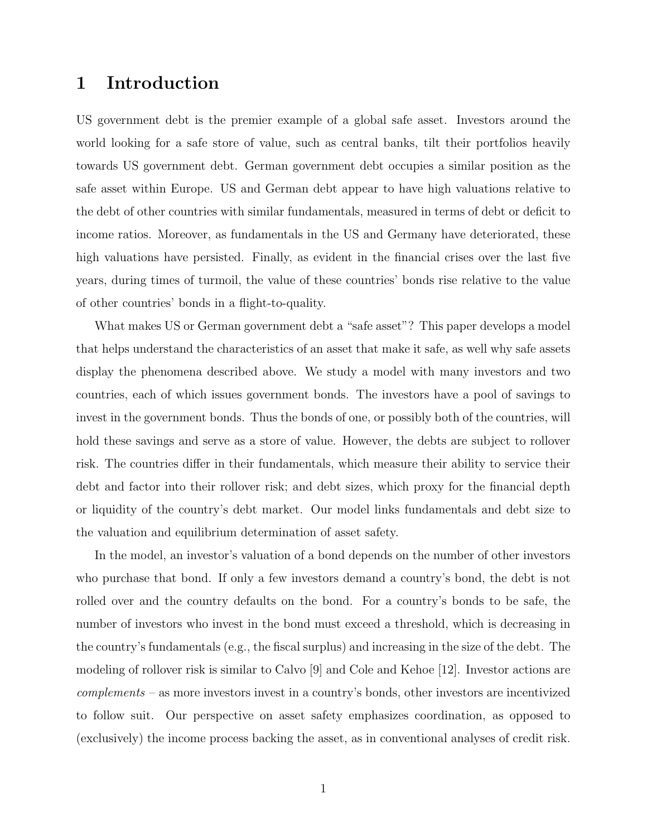## 1 Introduction

US government debt is the premier example of a global safe asset. Investors around the world looking for a safe store of value, such as central banks, tilt their portfolios heavily towards US government debt. German government debt occupies a similar position as the safe asset within Europe. US and German debt appear to have high valuations relative to the debt of other countries with similar fundamentals, measured in terms of debt or deficit to income ratios. Moreover, as fundamentals in the US and Germany have deteriorated, these high valuations have persisted. Finally, as evident in the financial crises over the last five years, during times of turmoil, the value of these countries' bonds rise relative to the value of other countries' bonds in a flight-to-quality.

What makes US or German government debt a "safe asset"? This paper develops a model that helps understand the characteristics of an asset that make it safe, as well why safe assets display the phenomena described above. We study a model with many investors and two countries, each of which issues government bonds. The investors have a pool of savings to invest in the government bonds. Thus the bonds of one, or possibly both of the countries, will hold these savings and serve as a store of value. However, the debts are subject to rollover risk. The countries differ in their fundamentals, which measure their ability to service their debt and factor into their rollover risk; and debt sizes, which proxy for the financial depth or liquidity of the country's debt market. Our model links fundamentals and debt size to the valuation and equilibrium determination of asset safety.

In the model, an investor's valuation of a bond depends on the number of other investors who purchase that bond. If only a few investors demand a country's bond, the debt is not rolled over and the country defaults on the bond. For a country's bonds to be safe, the number of investors who invest in the bond must exceed a threshold, which is decreasing in the country's fundamentals (e.g., the fiscal surplus) and increasing in the size of the debt. The modeling of rollover risk is similar to Calvo [9] and Cole and Kehoe [12]. Investor actions are complements – as more investors invest in a country's bonds, other investors are incentivized to follow suit. Our perspective on asset safety emphasizes coordination, as opposed to (exclusively) the income process backing the asset, as in conventional analyses of credit risk.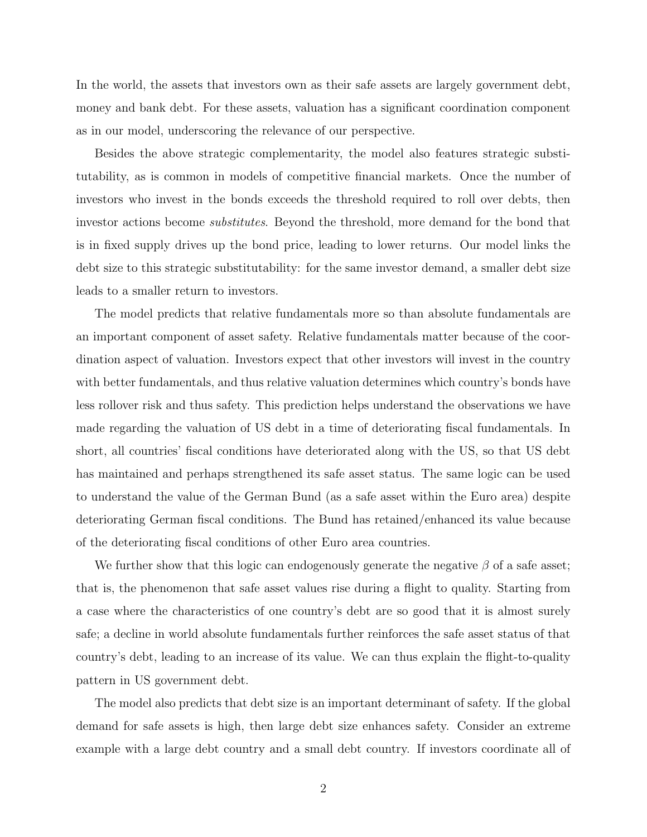In the world, the assets that investors own as their safe assets are largely government debt, money and bank debt. For these assets, valuation has a significant coordination component as in our model, underscoring the relevance of our perspective.

Besides the above strategic complementarity, the model also features strategic substitutability, as is common in models of competitive financial markets. Once the number of investors who invest in the bonds exceeds the threshold required to roll over debts, then investor actions become *substitutes*. Beyond the threshold, more demand for the bond that is in fixed supply drives up the bond price, leading to lower returns. Our model links the debt size to this strategic substitutability: for the same investor demand, a smaller debt size leads to a smaller return to investors.

The model predicts that relative fundamentals more so than absolute fundamentals are an important component of asset safety. Relative fundamentals matter because of the coordination aspect of valuation. Investors expect that other investors will invest in the country with better fundamentals, and thus relative valuation determines which country's bonds have less rollover risk and thus safety. This prediction helps understand the observations we have made regarding the valuation of US debt in a time of deteriorating fiscal fundamentals. In short, all countries' fiscal conditions have deteriorated along with the US, so that US debt has maintained and perhaps strengthened its safe asset status. The same logic can be used to understand the value of the German Bund (as a safe asset within the Euro area) despite deteriorating German fiscal conditions. The Bund has retained/enhanced its value because of the deteriorating fiscal conditions of other Euro area countries.

We further show that this logic can endogenously generate the negative  $\beta$  of a safe asset; that is, the phenomenon that safe asset values rise during a flight to quality. Starting from a case where the characteristics of one country's debt are so good that it is almost surely safe; a decline in world absolute fundamentals further reinforces the safe asset status of that country's debt, leading to an increase of its value. We can thus explain the flight-to-quality pattern in US government debt.

The model also predicts that debt size is an important determinant of safety. If the global demand for safe assets is high, then large debt size enhances safety. Consider an extreme example with a large debt country and a small debt country. If investors coordinate all of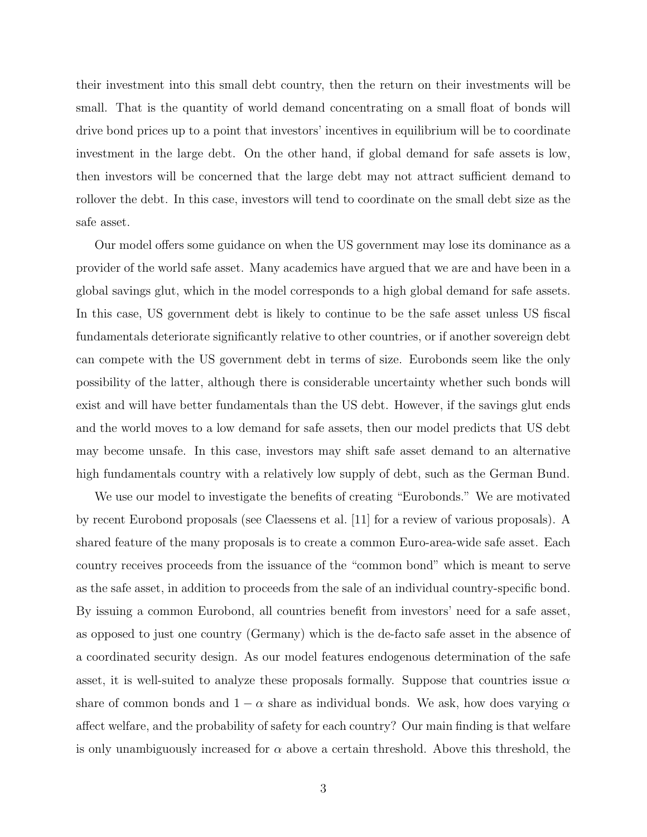their investment into this small debt country, then the return on their investments will be small. That is the quantity of world demand concentrating on a small float of bonds will drive bond prices up to a point that investors' incentives in equilibrium will be to coordinate investment in the large debt. On the other hand, if global demand for safe assets is low, then investors will be concerned that the large debt may not attract sufficient demand to rollover the debt. In this case, investors will tend to coordinate on the small debt size as the safe asset.

Our model offers some guidance on when the US government may lose its dominance as a provider of the world safe asset. Many academics have argued that we are and have been in a global savings glut, which in the model corresponds to a high global demand for safe assets. In this case, US government debt is likely to continue to be the safe asset unless US fiscal fundamentals deteriorate significantly relative to other countries, or if another sovereign debt can compete with the US government debt in terms of size. Eurobonds seem like the only possibility of the latter, although there is considerable uncertainty whether such bonds will exist and will have better fundamentals than the US debt. However, if the savings glut ends and the world moves to a low demand for safe assets, then our model predicts that US debt may become unsafe. In this case, investors may shift safe asset demand to an alternative high fundamentals country with a relatively low supply of debt, such as the German Bund.

We use our model to investigate the benefits of creating "Eurobonds." We are motivated by recent Eurobond proposals (see Claessens et al. [11] for a review of various proposals). A shared feature of the many proposals is to create a common Euro-area-wide safe asset. Each country receives proceeds from the issuance of the "common bond" which is meant to serve as the safe asset, in addition to proceeds from the sale of an individual country-specific bond. By issuing a common Eurobond, all countries benefit from investors' need for a safe asset, as opposed to just one country (Germany) which is the de-facto safe asset in the absence of a coordinated security design. As our model features endogenous determination of the safe asset, it is well-suited to analyze these proposals formally. Suppose that countries issue  $\alpha$ share of common bonds and  $1 - \alpha$  share as individual bonds. We ask, how does varying  $\alpha$ affect welfare, and the probability of safety for each country? Our main finding is that welfare is only unambiguously increased for  $\alpha$  above a certain threshold. Above this threshold, the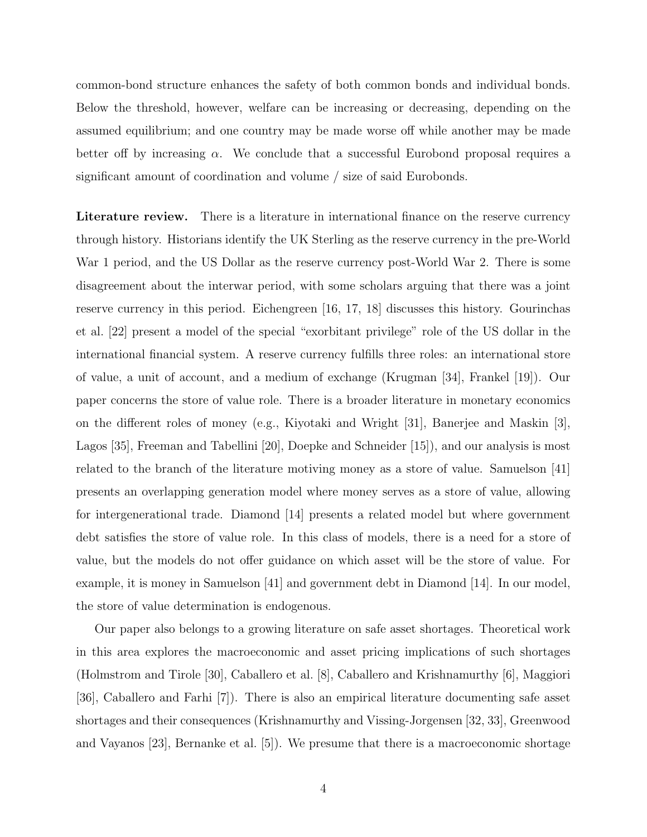common-bond structure enhances the safety of both common bonds and individual bonds. Below the threshold, however, welfare can be increasing or decreasing, depending on the assumed equilibrium; and one country may be made worse off while another may be made better of by increasing  $\alpha$ . We conclude that a successful Eurobond proposal requires a significant amount of coordination and volume / size of said Eurobonds.

Literature review. There is a literature in international finance on the reserve currency through history. Historians identify the UK Sterling as the reserve currency in the pre-World War 1 period, and the US Dollar as the reserve currency post-World War 2. There is some disagreement about the interwar period, with some scholars arguing that there was a joint reserve currency in this period. Eichengreen [16, 17, 18] discusses this history. Gourinchas et al. [22] present a model of the special "exorbitant privilege" role of the US dollar in the international financial system. A reserve currency fulfills three roles: an international store of value, a unit of account, and a medium of exchange (Krugman [34], Frankel [19]). Our paper concerns the store of value role. There is a broader literature in monetary economics on the different roles of money (e.g., Kiyotaki and Wright [31], Banerjee and Maskin [3], Lagos [35], Freeman and Tabellini [20], Doepke and Schneider [15]), and our analysis is most related to the branch of the literature motiving money as a store of value. Samuelson [41] presents an overlapping generation model where money serves as a store of value, allowing for intergenerational trade. Diamond [14] presents a related model but where government debt satisfies the store of value role. In this class of models, there is a need for a store of value, but the models do not offer guidance on which asset will be the store of value. For example, it is money in Samuelson [41] and government debt in Diamond [14]. In our model, the store of value determination is endogenous.

Our paper also belongs to a growing literature on safe asset shortages. Theoretical work in this area explores the macroeconomic and asset pricing implications of such shortages (Holmstrom and Tirole [30], Caballero et al. [8], Caballero and Krishnamurthy [6], Maggiori [36], Caballero and Farhi [7]). There is also an empirical literature documenting safe asset shortages and their consequences (Krishnamurthy and Vissing-Jorgensen [32, 33], Greenwood and Vayanos [23], Bernanke et al. [5]). We presume that there is a macroeconomic shortage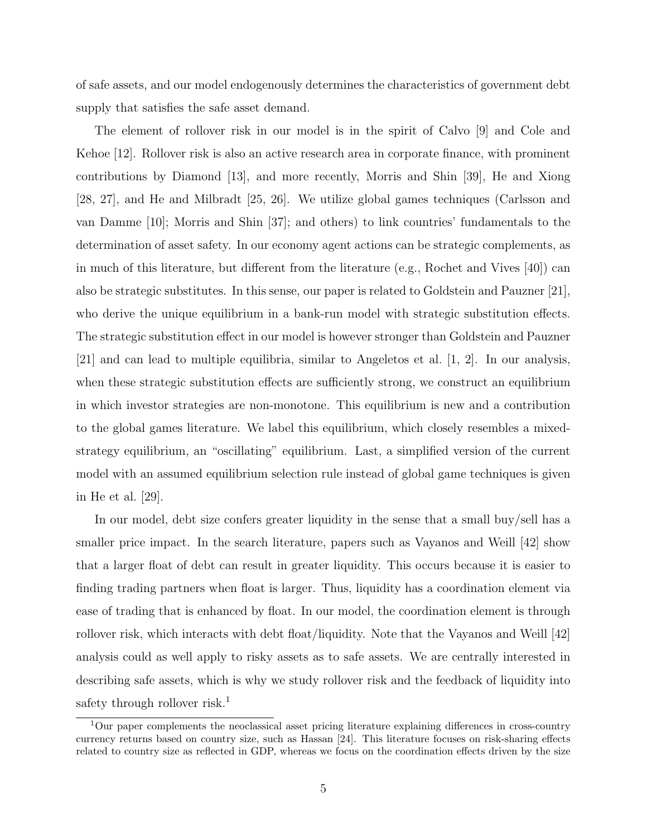of safe assets, and our model endogenously determines the characteristics of government debt supply that satisfies the safe asset demand.

The element of rollover risk in our model is in the spirit of Calvo [9] and Cole and Kehoe [12]. Rollover risk is also an active research area in corporate finance, with prominent contributions by Diamond [13], and more recently, Morris and Shin [39], He and Xiong [28, 27], and He and Milbradt [25, 26]. We utilize global games techniques (Carlsson and van Damme [10]; Morris and Shin [37]; and others) to link countries' fundamentals to the determination of asset safety. In our economy agent actions can be strategic complements, as in much of this literature, but different from the literature (e.g., Rochet and Vives [40]) can also be strategic substitutes. In this sense, our paper is related to Goldstein and Pauzner [21], who derive the unique equilibrium in a bank-run model with strategic substitution effects. The strategic substitution effect in our model is however stronger than Goldstein and Pauzner [21] and can lead to multiple equilibria, similar to Angeletos et al. [1, 2]. In our analysis, when these strategic substitution effects are sufficiently strong, we construct an equilibrium in which investor strategies are non-monotone. This equilibrium is new and a contribution to the global games literature. We label this equilibrium, which closely resembles a mixedstrategy equilibrium, an "oscillating" equilibrium. Last, a simplified version of the current model with an assumed equilibrium selection rule instead of global game techniques is given in He et al. [29].

In our model, debt size confers greater liquidity in the sense that a small buy/sell has a smaller price impact. In the search literature, papers such as Vayanos and Weill  $|42|$  show that a larger float of debt can result in greater liquidity. This occurs because it is easier to finding trading partners when float is larger. Thus, liquidity has a coordination element via ease of trading that is enhanced by float. In our model, the coordination element is through rollover risk, which interacts with debt float/liquidity. Note that the Vayanos and Weill [42] analysis could as well apply to risky assets as to safe assets. We are centrally interested in describing safe assets, which is why we study rollover risk and the feedback of liquidity into safety through rollover risk.<sup>1</sup>

<sup>1</sup>Our paper complements the neoclassical asset pricing literature explaining differences in cross-country currency returns based on country size, such as Hassan [24]. This literature focuses on risk-sharing effects related to country size as reflected in GDP, whereas we focus on the coordination effects driven by the size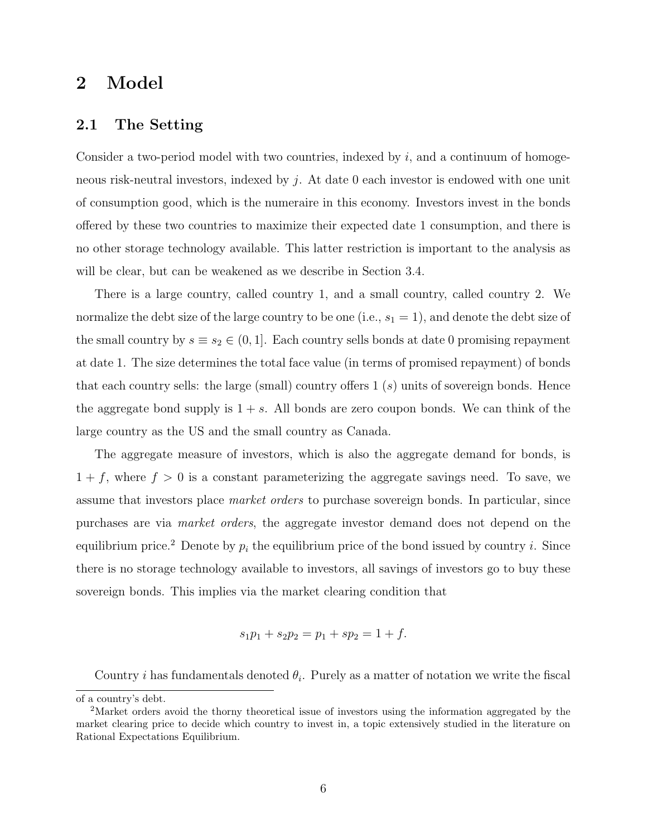## 2 Model

### 2.1 The Setting

Consider a two-period model with two countries, indexed by  $i$ , and a continuum of homogeneous risk-neutral investors, indexed by  $j$ . At date 0 each investor is endowed with one unit of consumption good, which is the numeraire in this economy. Investors invest in the bonds offered by these two countries to maximize their expected date 1 consumption, and there is no other storage technology available. This latter restriction is important to the analysis as will be clear, but can be weakened as we describe in Section 3.4.

There is a large country, called country 1, and a small country, called country 2. We normalize the debt size of the large country to be one (i.e.,  $s_1 = 1$ ), and denote the debt size of the small country by  $s \equiv s_2 \in (0, 1]$ . Each country sells bonds at date 0 promising repayment at date 1. The size determines the total face value (in terms of promised repayment) of bonds that each country sells: the large (small) country offers  $1(s)$  units of sovereign bonds. Hence the aggregate bond supply is  $1 + s$ . All bonds are zero coupon bonds. We can think of the large country as the US and the small country as Canada.

The aggregate measure of investors, which is also the aggregate demand for bonds, is  $1 + f$ , where  $f > 0$  is a constant parameterizing the aggregate savings need. To save, we assume that investors place market orders to purchase sovereign bonds. In particular, since purchases are via market orders, the aggregate investor demand does not depend on the equilibrium price.<sup>2</sup> Denote by  $p_i$  the equilibrium price of the bond issued by country *i*. Since there is no storage technology available to investors, all savings of investors go to buy these sovereign bonds. This implies via the market clearing condition that

$$
s_1p_1 + s_2p_2 = p_1 + sp_2 = 1 + f.
$$

Country *i* has fundamentals denoted  $\theta_i$ . Purely as a matter of notation we write the fiscal

of a country's debt.

<sup>&</sup>lt;sup>2</sup>Market orders avoid the thorny theoretical issue of investors using the information aggregated by the market clearing price to decide which country to invest in, a topic extensively studied in the literature on Rational Expectations Equilibrium.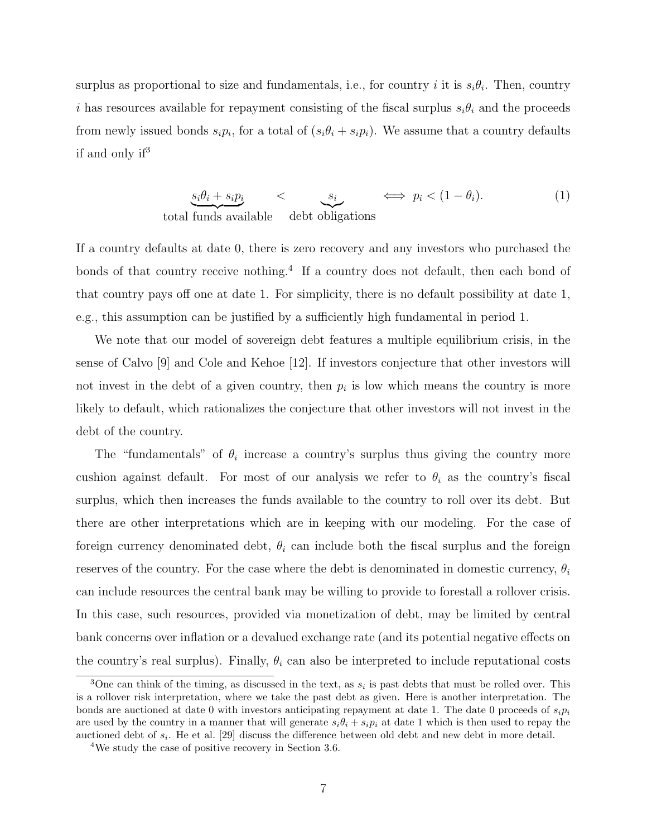surplus as proportional to size and fundamentals, i.e., for country i it is  $s_i\theta_i$ . Then, country i has resources available for repayment consisting of the fiscal surplus  $s_i\theta_i$  and the proceeds from newly issued bonds  $s_i p_i$ , for a total of  $(s_i \theta_i + s_i p_i)$ . We assume that a country defaults if and only if<sup>3</sup>

$$
\underbrace{s_i \theta_i + s_i p_i}_{\text{total funds available}} < \underbrace{s_i}_{\text{debt obligations}} \iff p_i < (1 - \theta_i). \tag{1}
$$

If a country defaults at date 0, there is zero recovery and any investors who purchased the bonds of that country receive nothing.<sup>4</sup> If a country does not default, then each bond of that country pays off one at date 1. For simplicity, there is no default possibility at date 1, e.g., this assumption can be justified by a sufficiently high fundamental in period 1.

We note that our model of sovereign debt features a multiple equilibrium crisis, in the sense of Calvo [9] and Cole and Kehoe [12]. If investors conjecture that other investors will not invest in the debt of a given country, then  $p_i$  is low which means the country is more likely to default, which rationalizes the conjecture that other investors will not invest in the debt of the country.

The "fundamentals" of  $\theta_i$  increase a country's surplus thus giving the country more cushion against default. For most of our analysis we refer to  $\theta_i$  as the country's fiscal surplus, which then increases the funds available to the country to roll over its debt. But there are other interpretations which are in keeping with our modeling. For the case of foreign currency denominated debt,  $\theta_i$  can include both the fiscal surplus and the foreign reserves of the country. For the case where the debt is denominated in domestic currency,  $\theta_i$ can include resources the central bank may be willing to provide to forestall a rollover crisis. In this case, such resources, provided via monetization of debt, may be limited by central bank concerns over inflation or a devalued exchange rate (and its potential negative effects on the country's real surplus). Finally,  $\theta_i$  can also be interpreted to include reputational costs

<sup>&</sup>lt;sup>3</sup>One can think of the timing, as discussed in the text, as  $s_i$  is past debts that must be rolled over. This is a rollover risk interpretation, where we take the past debt as given. Here is another interpretation. The bonds are auctioned at date 0 with investors anticipating repayment at date 1. The date 0 proceeds of  $s_i p_i$ are used by the country in a manner that will generate  $s_i\theta_i + s_i p_i$  at date 1 which is then used to repay the auctioned debt of  $s_i$ . He et al. [29] discuss the difference between old debt and new debt in more detail.

<sup>4</sup>We study the case of positive recovery in Section 3.6.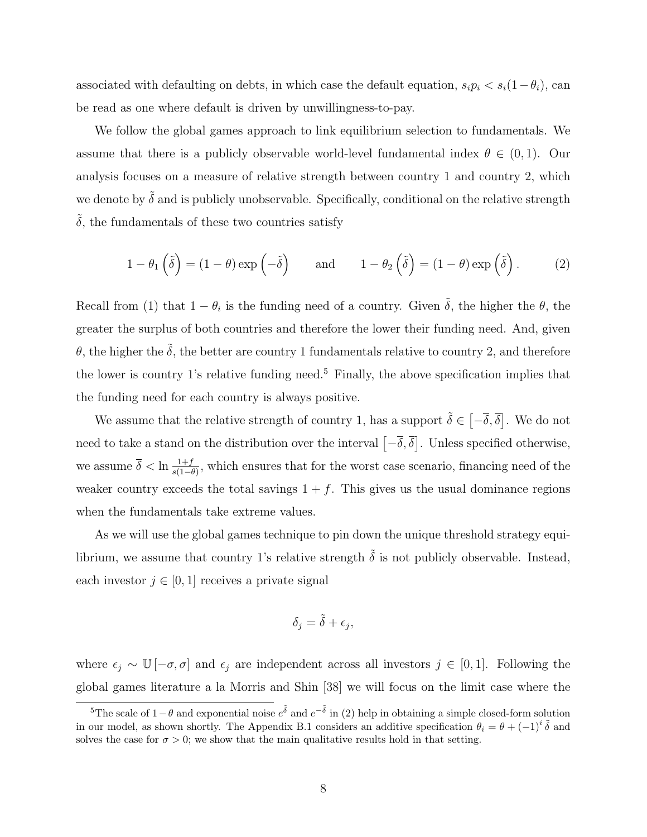associated with defaulting on debts, in which case the default equation,  $s_i p_i < s_i(1-\theta_i)$ , can be read as one where default is driven by unwillingness-to-pay.

We follow the global games approach to link equilibrium selection to fundamentals. We assume that there is a publicly observable world-level fundamental index  $\theta \in (0,1)$ . Our analysis focuses on a measure of relative strength between country 1 and country 2, which we denote by  $\delta$  and is publicly unobservable. Specifically, conditional on the relative strength  $\tilde{\delta}$ , the fundamentals of these two countries satisfy

$$
1 - \theta_1 \left( \tilde{\delta} \right) = (1 - \theta) \exp \left( -\tilde{\delta} \right) \quad \text{and} \quad 1 - \theta_2 \left( \tilde{\delta} \right) = (1 - \theta) \exp \left( \tilde{\delta} \right). \quad (2)
$$

Recall from (1) that  $1 - \theta_i$  is the funding need of a country. Given  $\tilde{\delta}$ , the higher the  $\theta$ , the greater the surplus of both countries and therefore the lower their funding need. And, given θ, the higher the δ, the better are country 1 fundamentals relative to country 2, and therefore the lower is country 1's relative funding need.<sup>5</sup> Finally, the above specification implies that the funding need for each country is always positive.

We assume that the relative strength of country 1, has a support  $\tilde{\delta} \in [-\bar{\delta}, \bar{\delta}]$ . We do not need to take a stand on the distribution over the interval  $\left[-\overline{\delta}, \overline{\delta}\right]$ . Unless specified otherwise, we assume  $\bar{\delta} < \ln \frac{1+f}{s(1-\theta)}$ , which ensures that for the worst case scenario, financing need of the weaker country exceeds the total savings  $1 + f$ . This gives us the usual dominance regions when the fundamentals take extreme values.

As we will use the global games technique to pin down the unique threshold strategy equilibrium, we assume that country 1's relative strength  $\tilde{\delta}$  is not publicly observable. Instead, each investor  $j \in [0, 1]$  receives a private signal

$$
\delta_j = \tilde{\delta} + \epsilon_j,
$$

where  $\epsilon_j \sim \mathbb{U}[-\sigma, \sigma]$  and  $\epsilon_j$  are independent across all investors  $j \in [0, 1]$ . Following the global games literature a la Morris and Shin [38] we will focus on the limit case where the

<sup>&</sup>lt;sup>5</sup>The scale of 1– $\theta$  and exponential noise  $e^{\tilde{\delta}}$  and  $e^{-\tilde{\delta}}$  in (2) help in obtaining a simple closed-form solution in our model, as shown shortly. The Appendix B.1 considers an additive specification  $\theta_i = \theta + (-1)^i \tilde{\delta}$  and solves the case for  $\sigma > 0$ ; we show that the main qualitative results hold in that setting.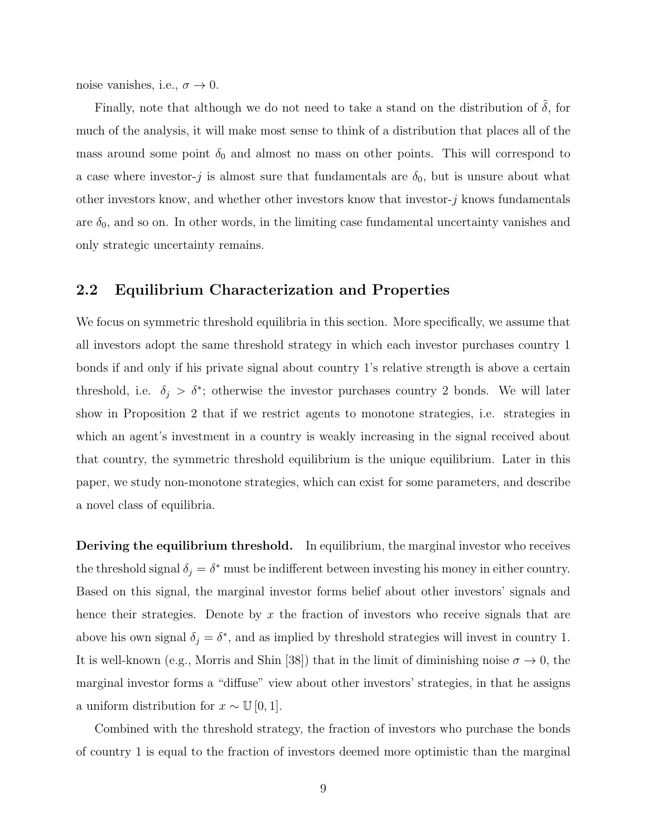noise vanishes, i.e.,  $\sigma \to 0$ .

Finally, note that although we do not need to take a stand on the distribution of  $\tilde{\delta}$ , for much of the analysis, it will make most sense to think of a distribution that places all of the mass around some point  $\delta_0$  and almost no mass on other points. This will correspond to a case where investor-j is almost sure that fundamentals are  $\delta_0$ , but is unsure about what other investors know, and whether other investors know that investor-j knows fundamentals are  $\delta_0$ , and so on. In other words, in the limiting case fundamental uncertainty vanishes and only strategic uncertainty remains.

### 2.2 Equilibrium Characterization and Properties

We focus on symmetric threshold equilibria in this section. More specifically, we assume that all investors adopt the same threshold strategy in which each investor purchases country 1 bonds if and only if his private signal about country 1's relative strength is above a certain threshold, i.e.  $\delta_j > \delta^*$ ; otherwise the investor purchases country 2 bonds. We will later show in Proposition 2 that if we restrict agents to monotone strategies, i.e. strategies in which an agent's investment in a country is weakly increasing in the signal received about that country, the symmetric threshold equilibrium is the unique equilibrium. Later in this paper, we study non-monotone strategies, which can exist for some parameters, and describe a novel class of equilibria.

Deriving the equilibrium threshold. In equilibrium, the marginal investor who receives the threshold signal  $\delta_j = \delta^*$  must be indifferent between investing his money in either country. Based on this signal, the marginal investor forms belief about other investors' signals and hence their strategies. Denote by  $x$  the fraction of investors who receive signals that are above his own signal  $\delta_j = \delta^*$ , and as implied by threshold strategies will invest in country 1. It is well-known (e.g., Morris and Shin [38]) that in the limit of diminishing noise  $\sigma \to 0$ , the marginal investor forms a "diffuse" view about other investors' strategies, in that he assigns a uniform distribution for  $x \sim \mathbb{U}[0,1].$ 

Combined with the threshold strategy, the fraction of investors who purchase the bonds of country 1 is equal to the fraction of investors deemed more optimistic than the marginal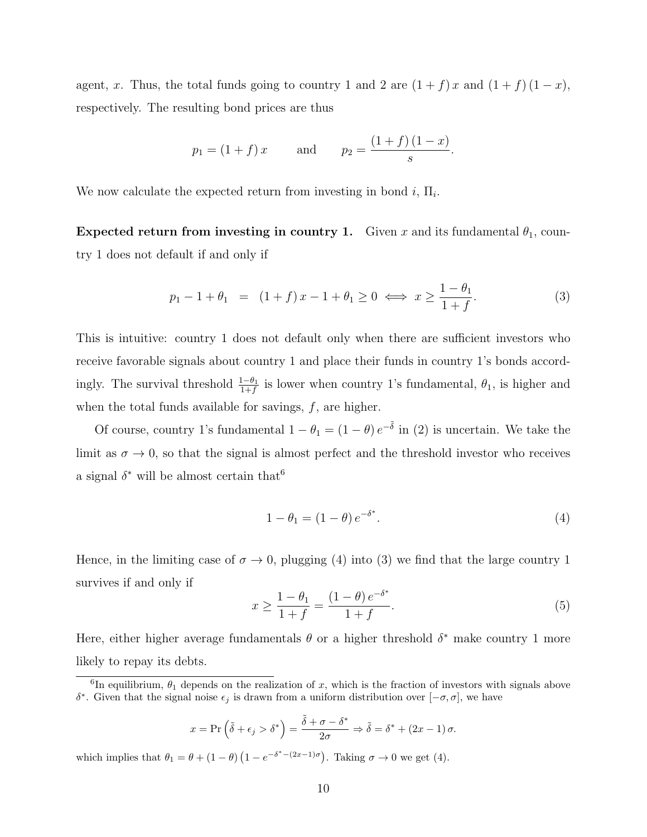agent, x. Thus, the total funds going to country 1 and 2 are  $(1 + f)x$  and  $(1 + f)(1 - x)$ , respectively. The resulting bond prices are thus

$$
p_1 = (1 + f)x
$$
 and  $p_2 = \frac{(1 + f)(1 - x)}{s}$ .

We now calculate the expected return from investing in bond  $i$ ,  $\Pi_i$ .

Expected return from investing in country 1. Given x and its fundamental  $\theta_1$ , country 1 does not default if and only if

$$
p_1 - 1 + \theta_1 = (1 + f)x - 1 + \theta_1 \ge 0 \iff x \ge \frac{1 - \theta_1}{1 + f}.
$$
 (3)

This is intuitive: country 1 does not default only when there are sufficient investors who receive favorable signals about country 1 and place their funds in country 1's bonds accordingly. The survival threshold  $\frac{1-\theta_1}{1+f}$  is lower when country 1's fundamental,  $\theta_1$ , is higher and when the total funds available for savings,  $f$ , are higher.

Of course, country 1's fundamental  $1 - \theta_1 = (1 - \theta) e^{-\tilde{\delta}}$  in (2) is uncertain. We take the limit as  $\sigma \to 0$ , so that the signal is almost perfect and the threshold investor who receives a signal  $\delta^*$  will be almost certain that<sup>6</sup>

$$
1 - \theta_1 = (1 - \theta) e^{-\delta^*}.
$$
\n(4)

Hence, in the limiting case of  $\sigma \to 0$ , plugging (4) into (3) we find that the large country 1 survives if and only if

$$
x \ge \frac{1 - \theta_1}{1 + f} = \frac{(1 - \theta)e^{-\delta^*}}{1 + f}.
$$
\n(5)

Here, either higher average fundamentals  $\theta$  or a higher threshold  $\delta^*$  make country 1 more likely to repay its debts.

$$
x = \Pr\left(\tilde{\delta} + \epsilon_j > \delta^*\right) = \frac{\tilde{\delta} + \sigma - \delta^*}{2\sigma} \Rightarrow \tilde{\delta} = \delta^* + (2x - 1)\sigma.
$$

which implies that  $\theta_1 = \theta + (1 - \theta) (1 - e^{-\delta^* - (2x - 1)\sigma})$ . Taking  $\sigma \to 0$  we get (4).

<sup>&</sup>lt;sup>6</sup>In equilibrium,  $\theta_1$  depends on the realization of x, which is the fraction of investors with signals above δ<sup>\*</sup>. Given that the signal noise  $\epsilon_j$  is drawn from a uniform distribution over  $[-\sigma, \sigma]$ , we have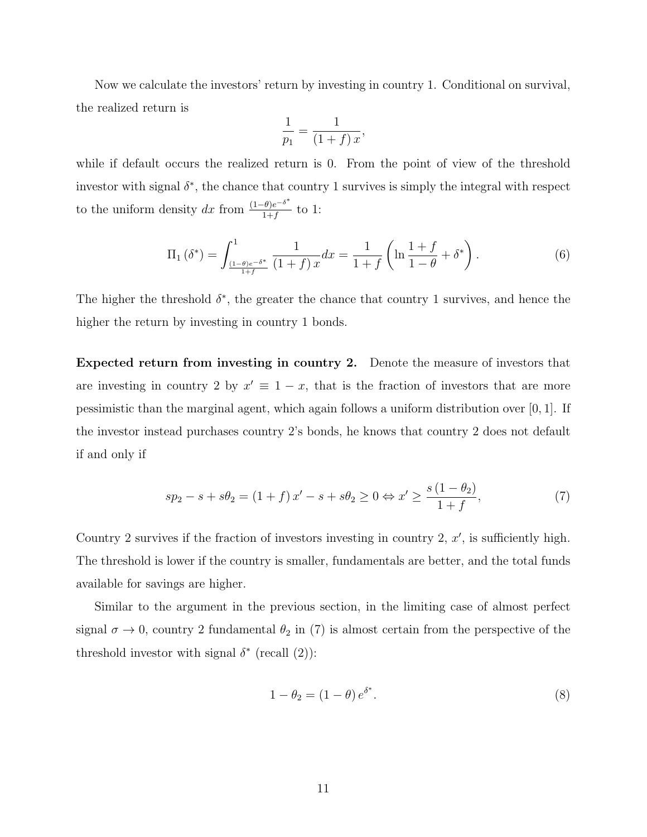Now we calculate the investors' return by investing in country 1. Conditional on survival, the realized return is

$$
\frac{1}{p_1} = \frac{1}{(1+f)x},
$$

while if default occurs the realized return is 0. From the point of view of the threshold investor with signal  $\delta^*$ , the chance that country 1 survives is simply the integral with respect to the uniform density dx from  $\frac{(1-\theta)e^{-\delta^*}}{1+\theta}$  $\frac{\theta}{1+f}$  to 1:

$$
\Pi_1(\delta^*) = \int_{\frac{(1-\theta)e^{-\delta^*}}{1+f}}^1 \frac{1}{(1+f)x} dx = \frac{1}{1+f} \left( \ln \frac{1+f}{1-\theta} + \delta^* \right). \tag{6}
$$

The higher the threshold  $\delta^*$ , the greater the chance that country 1 survives, and hence the higher the return by investing in country 1 bonds.

Expected return from investing in country 2. Denote the measure of investors that are investing in country 2 by  $x' \equiv 1 - x$ , that is the fraction of investors that are more pessimistic than the marginal agent, which again follows a uniform distribution over  $[0, 1]$ . If the investor instead purchases country 2's bonds, he knows that country 2 does not default if and only if

$$
sp_2 - s + s\theta_2 = (1+f)x' - s + s\theta_2 \ge 0 \Leftrightarrow x' \ge \frac{s(1-\theta_2)}{1+f},
$$
\n(7)

Country 2 survives if the fraction of investors investing in country 2,  $x'$ , is sufficiently high. The threshold is lower if the country is smaller, fundamentals are better, and the total funds available for savings are higher.

Similar to the argument in the previous section, in the limiting case of almost perfect signal  $\sigma \to 0$ , country 2 fundamental  $\theta_2$  in (7) is almost certain from the perspective of the threshold investor with signal  $\delta^*$  (recall (2)):

$$
1 - \theta_2 = (1 - \theta) e^{\delta^*}.
$$
\n
$$
(8)
$$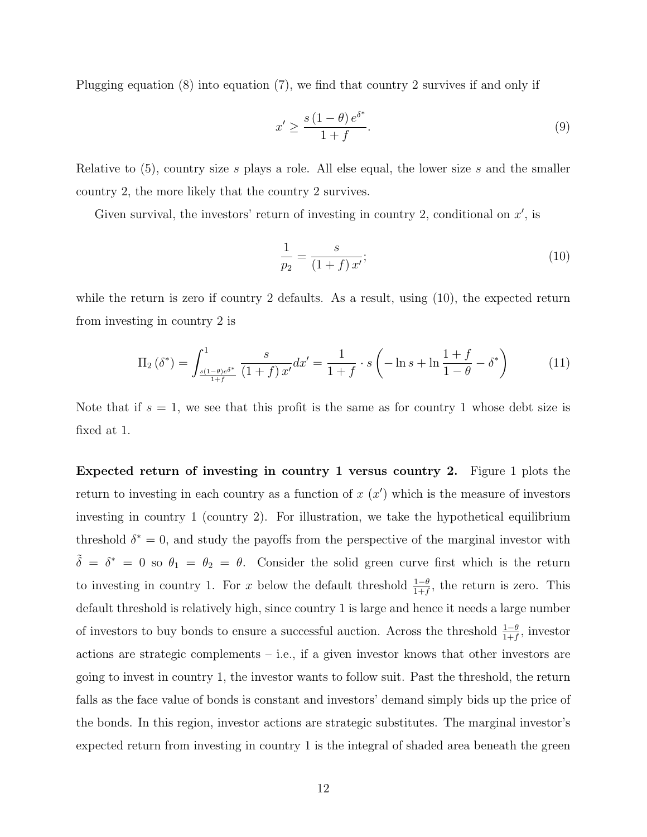Plugging equation (8) into equation (7), we find that country 2 survives if and only if

$$
x' \ge \frac{s(1-\theta)e^{\delta^*}}{1+f}.\tag{9}
$$

Relative to  $(5)$ , country size s plays a role. All else equal, the lower size s and the smaller country 2, the more likely that the country 2 survives.

Given survival, the investors' return of investing in country 2, conditional on  $x'$ , is

$$
\frac{1}{p_2} = \frac{s}{(1+f)x'};
$$
\n(10)

while the return is zero if country 2 defaults. As a result, using (10), the expected return from investing in country 2 is

$$
\Pi_2(\delta^*) = \int_{\frac{s(1-\theta)e^{\delta^*}}{1+f}}^1 \frac{s}{(1+f)x'} dx' = \frac{1}{1+f} \cdot s \left( -\ln s + \ln \frac{1+f}{1-\theta} - \delta^* \right) \tag{11}
$$

Note that if  $s = 1$ , we see that this profit is the same as for country 1 whose debt size is fixed at 1.

Expected return of investing in country 1 versus country 2. Figure 1 plots the return to investing in each country as a function of  $x(x')$  which is the measure of investors investing in country 1 (country 2). For illustration, we take the hypothetical equilibrium threshold  $\delta^* = 0$ , and study the payoffs from the perspective of the marginal investor with  $\tilde{\delta} = \delta^* = 0$  so  $\theta_1 = \theta_2 = \theta$ . Consider the solid green curve first which is the return to investing in country 1. For x below the default threshold  $\frac{1-\theta}{1+f}$ , the return is zero. This default threshold is relatively high, since country 1 is large and hence it needs a large number of investors to buy bonds to ensure a successful auction. Across the threshold  $\frac{1-\theta}{1+f}$ , investor actions are strategic complements – i.e., if a given investor knows that other investors are going to invest in country 1, the investor wants to follow suit. Past the threshold, the return falls as the face value of bonds is constant and investors' demand simply bids up the price of the bonds. In this region, investor actions are strategic substitutes. The marginal investor's expected return from investing in country 1 is the integral of shaded area beneath the green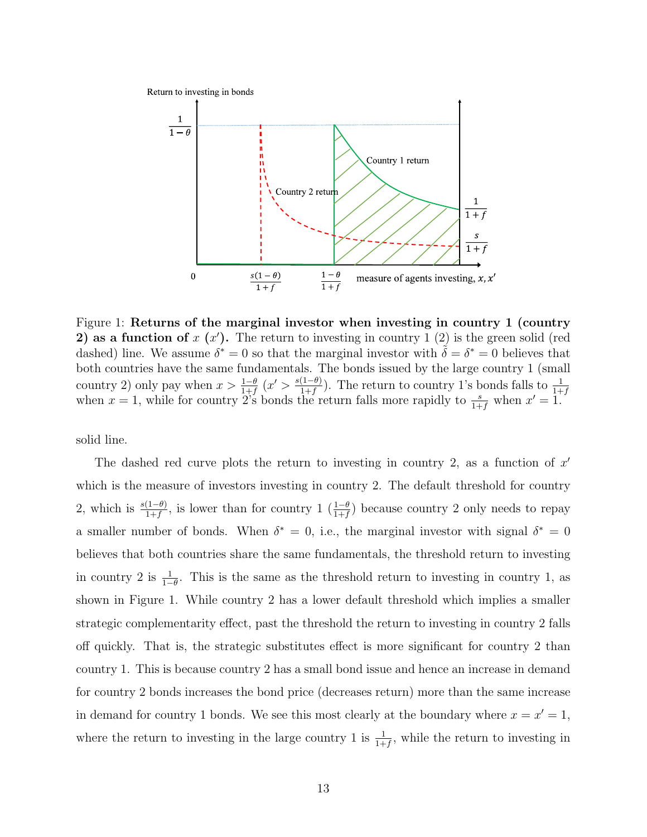Return to investing in bonds



Figure 1: Returns of the marginal investor when investing in country 1 (country 2) as a function of  $x(x')$ . The return to investing in country 1 (2) is the green solid (red dashed) line. We assume  $\delta^* = 0$  so that the marginal investor with  $\tilde{\delta} = \delta^* = 0$  believes that both countries have the same fundamentals. The bonds issued by the large country 1 (small country 2) only pay when  $x > \frac{1-\theta}{1+f}$   $(x' > \frac{s(1-\theta)}{1+f}$ country 2) only pay when  $x > \frac{1-\theta}{1+f}$   $(x' > \frac{s(1-\theta)}{1+f})$ . The return to country 1's bonds falls to  $\frac{1}{1+f}$  when  $x' = 1$ , while for country 2's bonds the return falls more rapidly to  $\frac{s}{1+f}$  when  $x' = 1$ .

solid line.

The dashed red curve plots the return to investing in country 2, as a function of  $x'$ which is the measure of investors investing in country 2. The default threshold for country 2, which is  $\frac{s(1-\theta)}{1+f}$ , is lower than for country 1  $\left(\frac{1-\theta}{1+f}\right)$  because country 2 only needs to repay a smaller number of bonds. When  $\delta^* = 0$ , i.e., the marginal investor with signal  $\delta^* = 0$ believes that both countries share the same fundamentals, the threshold return to investing in country 2 is  $\frac{1}{1-\theta}$ . This is the same as the threshold return to investing in country 1, as shown in Figure 1. While country 2 has a lower default threshold which implies a smaller strategic complementarity effect, past the threshold the return to investing in country 2 falls off quickly. That is, the strategic substitutes effect is more significant for country 2 than country 1. This is because country 2 has a small bond issue and hence an increase in demand for country 2 bonds increases the bond price (decreases return) more than the same increase in demand for country 1 bonds. We see this most clearly at the boundary where  $x = x' = 1$ , where the return to investing in the large country 1 is  $\frac{1}{1+f}$ , while the return to investing in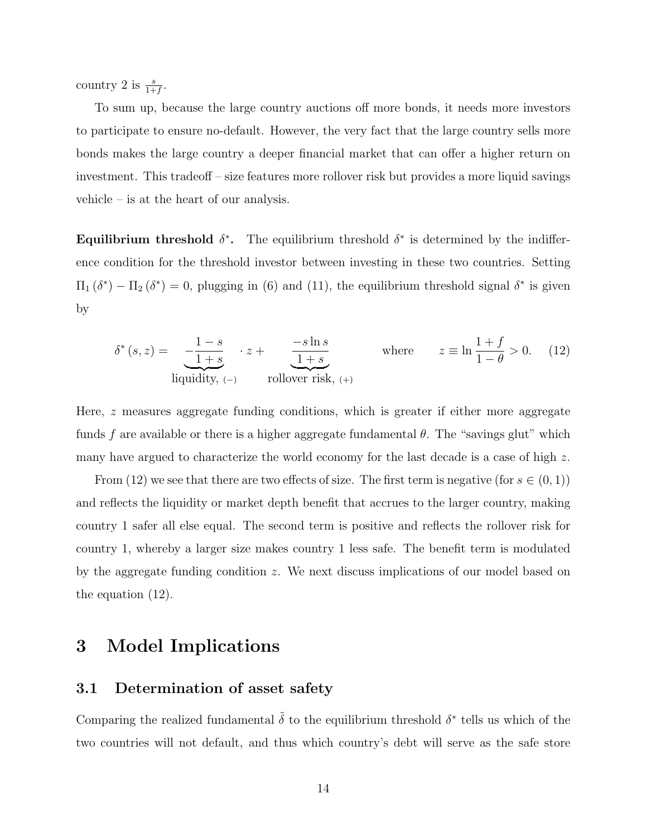country 2 is  $\frac{s}{1+f}$ .

To sum up, because the large country auctions off more bonds, it needs more investors to participate to ensure no-default. However, the very fact that the large country sells more bonds makes the large country a deeper financial market that can offer a higher return on investment. This tradeoff – size features more rollover risk but provides a more liquid savings vehicle – is at the heart of our analysis.

Equilibrium threshold  $\delta^*$ . The equilibrium threshold  $\delta^*$  is determined by the indifference condition for the threshold investor between investing in these two countries. Setting  $\Pi_1(\delta^*) - \Pi_2(\delta^*) = 0$ , plugging in (6) and (11), the equilibrium threshold signal  $\delta^*$  is given by

$$
\delta^*(s, z) = \underbrace{-\frac{1-s}{1+s}}_{\text{liquidity, (-)}} \cdot z + \underbrace{\frac{-s \ln s}{1+s}}_{\text{rollover risk, (+)}} \qquad \text{where} \qquad z \equiv \ln \frac{1+f}{1-\theta} > 0. \tag{12}
$$

Here, z measures aggregate funding conditions, which is greater if either more aggregate funds f are available or there is a higher aggregate fundamental  $\theta$ . The "savings glut" which many have argued to characterize the world economy for the last decade is a case of high z.

From (12) we see that there are two effects of size. The first term is negative (for  $s \in (0,1)$ ) and reflects the liquidity or market depth benefit that accrues to the larger country, making country 1 safer all else equal. The second term is positive and reflects the rollover risk for country 1, whereby a larger size makes country 1 less safe. The benefit term is modulated by the aggregate funding condition z. We next discuss implications of our model based on the equation (12).

# 3 Model Implications

### 3.1 Determination of asset safety

Comparing the realized fundamental  $\tilde{\delta}$  to the equilibrium threshold  $\delta^*$  tells us which of the two countries will not default, and thus which country's debt will serve as the safe store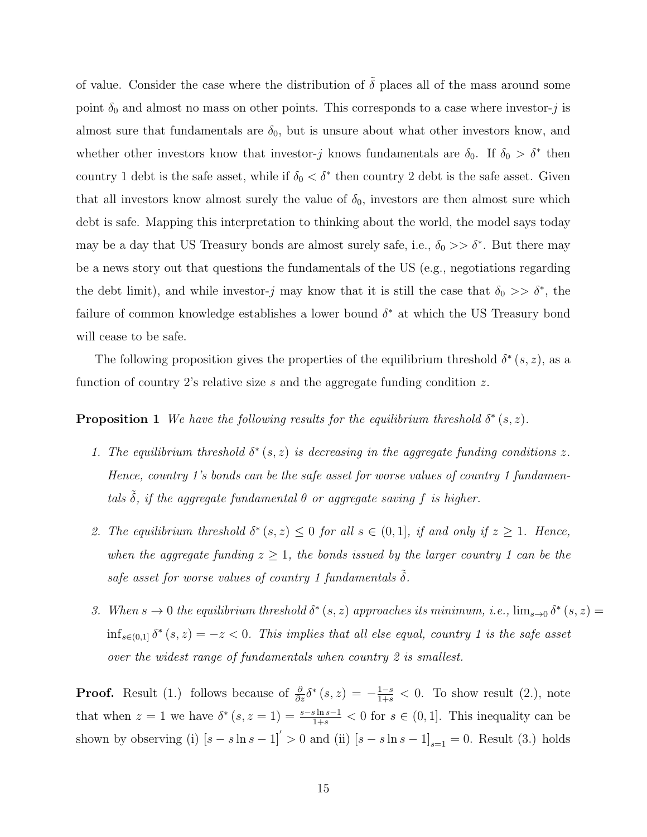of value. Consider the case where the distribution of  $\delta$  places all of the mass around some point  $\delta_0$  and almost no mass on other points. This corresponds to a case where investor-j is almost sure that fundamentals are  $\delta_0$ , but is unsure about what other investors know, and whether other investors know that investor-j knows fundamentals are  $\delta_0$ . If  $\delta_0 > \delta^*$  then country 1 debt is the safe asset, while if  $\delta_0 < \delta^*$  then country 2 debt is the safe asset. Given that all investors know almost surely the value of  $\delta_0$ , investors are then almost sure which debt is safe. Mapping this interpretation to thinking about the world, the model says today may be a day that US Treasury bonds are almost surely safe, i.e.,  $\delta_0 >> \delta^*$ . But there may be a news story out that questions the fundamentals of the US (e.g., negotiations regarding the debt limit), and while investor-j may know that it is still the case that  $\delta_0 >> \delta^*$ , the failure of common knowledge establishes a lower bound  $\delta^*$  at which the US Treasury bond will cease to be safe.

The following proposition gives the properties of the equilibrium threshold  $\delta^*(s, z)$ , as a function of country 2's relative size s and the aggregate funding condition  $z$ .

**Proposition 1** We have the following results for the equilibrium threshold  $\delta^*(s, z)$ .

- 1. The equilibrium threshold  $\delta^*(s, z)$  is decreasing in the aggregate funding conditions z. Hence, country 1's bonds can be the safe asset for worse values of country 1 fundamentals  $\tilde{\delta}$ , if the aggregate fundamental  $\theta$  or aggregate saving f is higher.
- 2. The equilibrium threshold  $\delta^*(s, z) \leq 0$  for all  $s \in (0, 1]$ , if and only if  $z \geq 1$ . Hence, when the aggregate funding  $z \geq 1$ , the bonds issued by the larger country 1 can be the safe asset for worse values of country 1 fundamentals  $\delta$ .
- 3. When  $s \to 0$  the equilibrium threshold  $\delta^*(s, z)$  approaches its minimum, i.e.,  $\lim_{s\to 0} \delta^*(s, z)$  $\inf_{s\in(0,1]} \delta^*(s,z) = -z < 0$ . This implies that all else equal, country 1 is the safe asset over the widest range of fundamentals when country 2 is smallest.

**Proof.** Result (1.) follows because of  $\frac{\partial}{\partial z} \delta^* (s, z) = -\frac{1-s}{1+s} < 0$ . To show result (2.), note that when  $z = 1$  we have  $\delta^*(s, z = 1) = \frac{s - s \ln s - 1}{1 + s} < 0$  for  $s \in (0, 1]$ . This inequality can be shown by observing (i)  $[s - s \ln s - 1] > 0$  and (ii)  $[s - s \ln s - 1]_{s=1} = 0$ . Result (3.) holds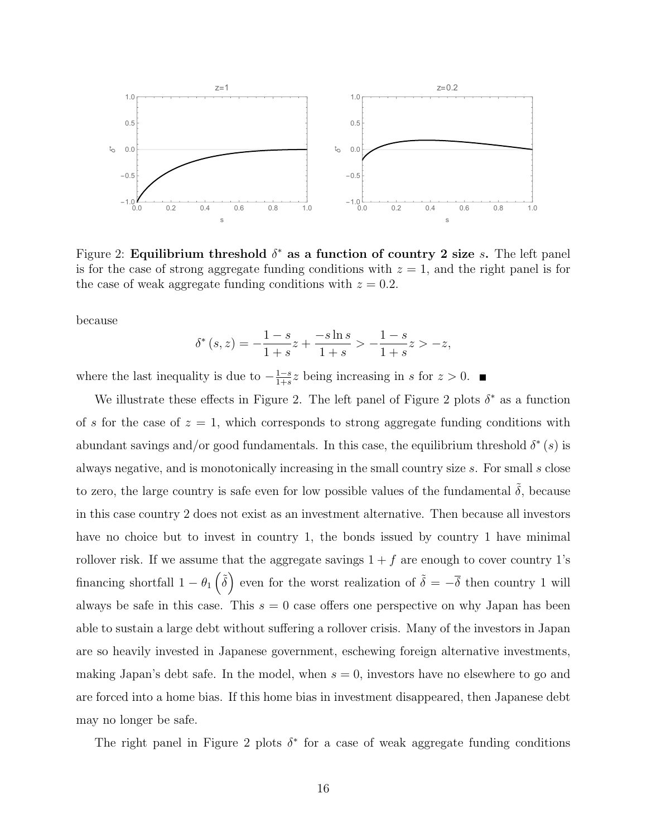

Figure 2: Equilibrium threshold  $\delta^*$  as a function of country 2 size s. The left panel is for the case of strong aggregate funding conditions with  $z = 1$ , and the right panel is for the case of weak aggregate funding conditions with  $z = 0.2$ .

because

$$
\delta^*(s, z) = -\frac{1 - s}{1 + s}z + \frac{-s \ln s}{1 + s} > -\frac{1 - s}{1 + s}z > -z,
$$

where the last inequality is due to  $-\frac{1-s}{1+s}$  $\frac{1-s}{1+s}z$  being increasing in s for  $z > 0$ .

We illustrate these effects in Figure 2. The left panel of Figure 2 plots  $\delta^*$  as a function of s for the case of  $z = 1$ , which corresponds to strong aggregate funding conditions with abundant savings and/or good fundamentals. In this case, the equilibrium threshold  $\delta^*(s)$  is always negative, and is monotonically increasing in the small country size s. For small s close to zero, the large country is safe even for low possible values of the fundamental  $\delta$ , because in this case country 2 does not exist as an investment alternative. Then because all investors have no choice but to invest in country 1, the bonds issued by country 1 have minimal rollover risk. If we assume that the aggregate savings  $1 + f$  are enough to cover country 1's financing shortfall  $1 - \theta_1 \left( \tilde{\delta} \right)$  even for the worst realization of  $\tilde{\delta} = -\overline{\delta}$  then country 1 will always be safe in this case. This  $s = 0$  case offers one perspective on why Japan has been able to sustain a large debt without suffering a rollover crisis. Many of the investors in Japan are so heavily invested in Japanese government, eschewing foreign alternative investments, making Japan's debt safe. In the model, when  $s = 0$ , investors have no elsewhere to go and are forced into a home bias. If this home bias in investment disappeared, then Japanese debt may no longer be safe.

The right panel in Figure 2 plots  $\delta^*$  for a case of weak aggregate funding conditions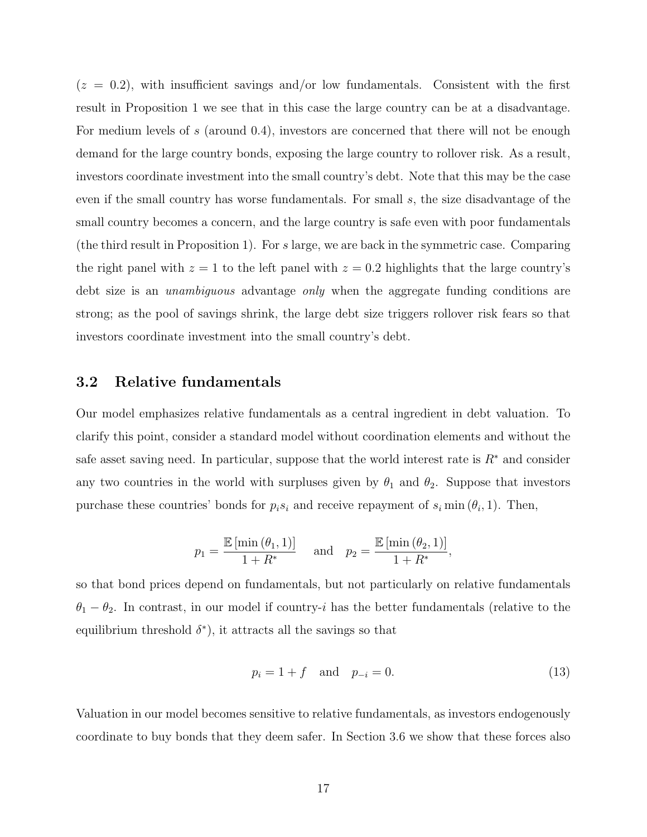$(z = 0.2)$ , with insufficient savings and/or low fundamentals. Consistent with the first result in Proposition 1 we see that in this case the large country can be at a disadvantage. For medium levels of s (around 0.4), investors are concerned that there will not be enough demand for the large country bonds, exposing the large country to rollover risk. As a result, investors coordinate investment into the small country's debt. Note that this may be the case even if the small country has worse fundamentals. For small s, the size disadvantage of the small country becomes a concern, and the large country is safe even with poor fundamentals (the third result in Proposition 1). For s large, we are back in the symmetric case. Comparing the right panel with  $z = 1$  to the left panel with  $z = 0.2$  highlights that the large country's debt size is an *unambiguous* advantage *only* when the aggregate funding conditions are strong; as the pool of savings shrink, the large debt size triggers rollover risk fears so that investors coordinate investment into the small country's debt.

### 3.2 Relative fundamentals

Our model emphasizes relative fundamentals as a central ingredient in debt valuation. To clarify this point, consider a standard model without coordination elements and without the safe asset saving need. In particular, suppose that the world interest rate is  $R^*$  and consider any two countries in the world with surpluses given by  $\theta_1$  and  $\theta_2$ . Suppose that investors purchase these countries' bonds for  $p_i s_i$  and receive repayment of  $s_i \min(\theta_i, 1)$ . Then,

$$
p_1 = \frac{\mathbb{E} [\min (\theta_1, 1)]}{1 + R^*} \quad \text{and} \quad p_2 = \frac{\mathbb{E} [\min (\theta_2, 1)]}{1 + R^*},
$$

so that bond prices depend on fundamentals, but not particularly on relative fundamentals  $\theta_1 - \theta_2$ . In contrast, in our model if country-*i* has the better fundamentals (relative to the equilibrium threshold  $\delta^*$ , it attracts all the savings so that

$$
p_i = 1 + f \quad \text{and} \quad p_{-i} = 0. \tag{13}
$$

Valuation in our model becomes sensitive to relative fundamentals, as investors endogenously coordinate to buy bonds that they deem safer. In Section 3.6 we show that these forces also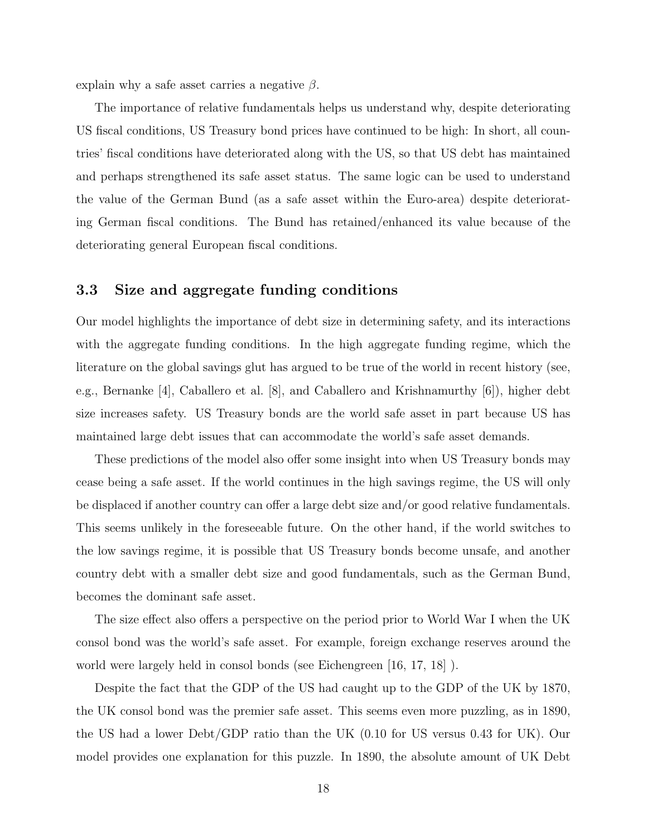explain why a safe asset carries a negative  $\beta$ .

The importance of relative fundamentals helps us understand why, despite deteriorating US fiscal conditions, US Treasury bond prices have continued to be high: In short, all countries' fiscal conditions have deteriorated along with the US, so that US debt has maintained and perhaps strengthened its safe asset status. The same logic can be used to understand the value of the German Bund (as a safe asset within the Euro-area) despite deteriorating German fiscal conditions. The Bund has retained/enhanced its value because of the deteriorating general European fiscal conditions.

## 3.3 Size and aggregate funding conditions

Our model highlights the importance of debt size in determining safety, and its interactions with the aggregate funding conditions. In the high aggregate funding regime, which the literature on the global savings glut has argued to be true of the world in recent history (see, e.g., Bernanke [4], Caballero et al. [8], and Caballero and Krishnamurthy [6]), higher debt size increases safety. US Treasury bonds are the world safe asset in part because US has maintained large debt issues that can accommodate the world's safe asset demands.

These predictions of the model also offer some insight into when US Treasury bonds may cease being a safe asset. If the world continues in the high savings regime, the US will only be displaced if another country can offer a large debt size and/or good relative fundamentals. This seems unlikely in the foreseeable future. On the other hand, if the world switches to the low savings regime, it is possible that US Treasury bonds become unsafe, and another country debt with a smaller debt size and good fundamentals, such as the German Bund, becomes the dominant safe asset.

The size effect also offers a perspective on the period prior to World War I when the UK consol bond was the world's safe asset. For example, foreign exchange reserves around the world were largely held in consol bonds (see Eichengreen [16, 17, 18] ).

Despite the fact that the GDP of the US had caught up to the GDP of the UK by 1870, the UK consol bond was the premier safe asset. This seems even more puzzling, as in 1890, the US had a lower Debt/GDP ratio than the UK (0.10 for US versus 0.43 for UK). Our model provides one explanation for this puzzle. In 1890, the absolute amount of UK Debt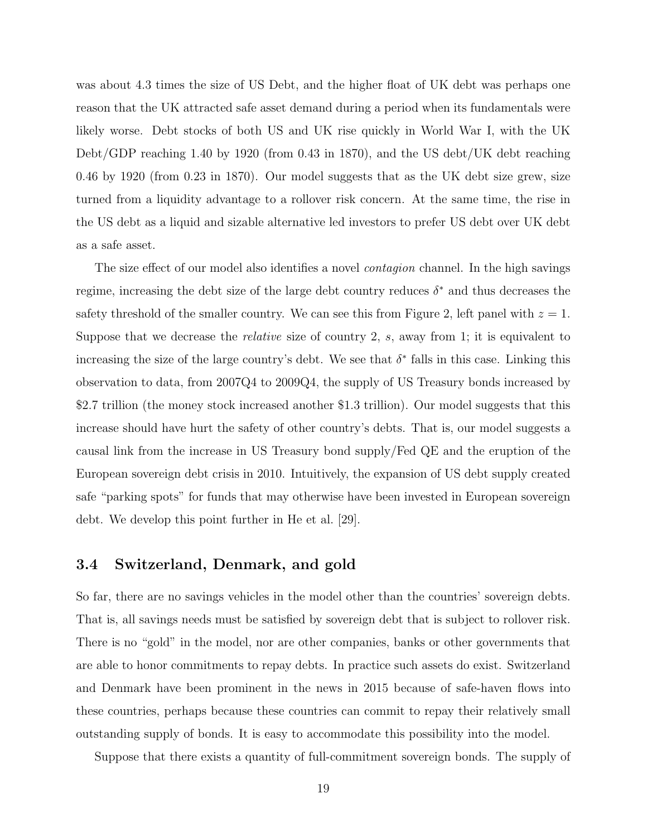was about 4.3 times the size of US Debt, and the higher float of UK debt was perhaps one reason that the UK attracted safe asset demand during a period when its fundamentals were likely worse. Debt stocks of both US and UK rise quickly in World War I, with the UK Debt/GDP reaching 1.40 by 1920 (from 0.43 in 1870), and the US debt/UK debt reaching 0.46 by 1920 (from 0.23 in 1870). Our model suggests that as the UK debt size grew, size turned from a liquidity advantage to a rollover risk concern. At the same time, the rise in the US debt as a liquid and sizable alternative led investors to prefer US debt over UK debt as a safe asset.

The size effect of our model also identifies a novel *contagion* channel. In the high savings regime, increasing the debt size of the large debt country reduces  $\delta^*$  and thus decreases the safety threshold of the smaller country. We can see this from Figure 2, left panel with  $z = 1$ . Suppose that we decrease the *relative* size of country 2,  $s$ , away from 1; it is equivalent to increasing the size of the large country's debt. We see that  $\delta^*$  falls in this case. Linking this observation to data, from 2007Q4 to 2009Q4, the supply of US Treasury bonds increased by \$2.7 trillion (the money stock increased another \$1.3 trillion). Our model suggests that this increase should have hurt the safety of other country's debts. That is, our model suggests a causal link from the increase in US Treasury bond supply/Fed QE and the eruption of the European sovereign debt crisis in 2010. Intuitively, the expansion of US debt supply created safe "parking spots" for funds that may otherwise have been invested in European sovereign debt. We develop this point further in He et al. [29].

## 3.4 Switzerland, Denmark, and gold

So far, there are no savings vehicles in the model other than the countries' sovereign debts. That is, all savings needs must be satisfied by sovereign debt that is subject to rollover risk. There is no "gold" in the model, nor are other companies, banks or other governments that are able to honor commitments to repay debts. In practice such assets do exist. Switzerland and Denmark have been prominent in the news in 2015 because of safe-haven flows into these countries, perhaps because these countries can commit to repay their relatively small outstanding supply of bonds. It is easy to accommodate this possibility into the model.

Suppose that there exists a quantity of full-commitment sovereign bonds. The supply of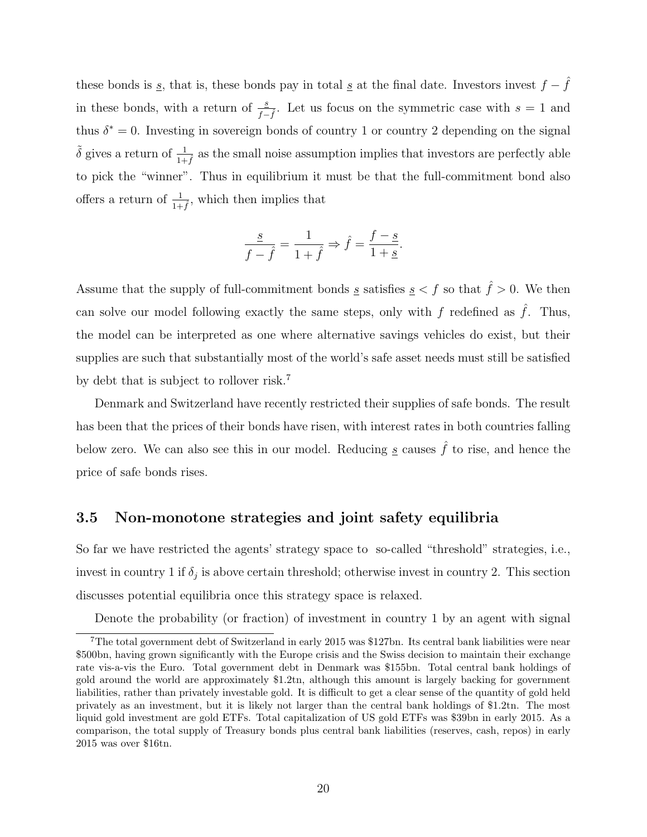these bonds is  $\underline{s}$ , that is, these bonds pay in total  $\underline{s}$  at the final date. Investors invest  $f - \hat{f}$ in these bonds, with a return of  $\frac{s}{f-\hat{f}}$ . Let us focus on the symmetric case with  $s=1$  and thus  $\delta^* = 0$ . Investing in sovereign bonds of country 1 or country 2 depending on the signal  $\tilde{\delta}$  gives a return of  $\frac{1}{1+\hat{f}}$  as the small noise assumption implies that investors are perfectly able to pick the "winner". Thus in equilibrium it must be that the full-commitment bond also offers a return of  $\frac{1}{1+\hat{f}}$ , which then implies that

$$
\frac{s}{f - \hat{f}} = \frac{1}{1 + \hat{f}} \Rightarrow \hat{f} = \frac{f - s}{1 + s}.
$$

Assume that the supply of full-commitment bonds  $\underline{s}$  satisfies  $\underline{s} < f$  so that  $\hat{f} > 0$ . We then can solve our model following exactly the same steps, only with f redefined as  $\hat{f}$ . Thus, the model can be interpreted as one where alternative savings vehicles do exist, but their supplies are such that substantially most of the world's safe asset needs must still be satisfied by debt that is subject to rollover risk.<sup>7</sup>

Denmark and Switzerland have recently restricted their supplies of safe bonds. The result has been that the prices of their bonds have risen, with interest rates in both countries falling below zero. We can also see this in our model. Reducing  $\underline{s}$  causes  $\hat{f}$  to rise, and hence the price of safe bonds rises.

### 3.5 Non-monotone strategies and joint safety equilibria

So far we have restricted the agents' strategy space to so-called "threshold" strategies, i.e., invest in country 1 if  $\delta_j$  is above certain threshold; otherwise invest in country 2. This section discusses potential equilibria once this strategy space is relaxed.

Denote the probability (or fraction) of investment in country 1 by an agent with signal

<sup>7</sup>The total government debt of Switzerland in early 2015 was \$127bn. Its central bank liabilities were near \$500bn, having grown significantly with the Europe crisis and the Swiss decision to maintain their exchange rate vis-a-vis the Euro. Total government debt in Denmark was \$155bn. Total central bank holdings of gold around the world are approximately \$1.2tn, although this amount is largely backing for government liabilities, rather than privately investable gold. It is difficult to get a clear sense of the quantity of gold held privately as an investment, but it is likely not larger than the central bank holdings of \$1.2tn. The most liquid gold investment are gold ETFs. Total capitalization of US gold ETFs was \$39bn in early 2015. As a comparison, the total supply of Treasury bonds plus central bank liabilities (reserves, cash, repos) in early 2015 was over \$16tn.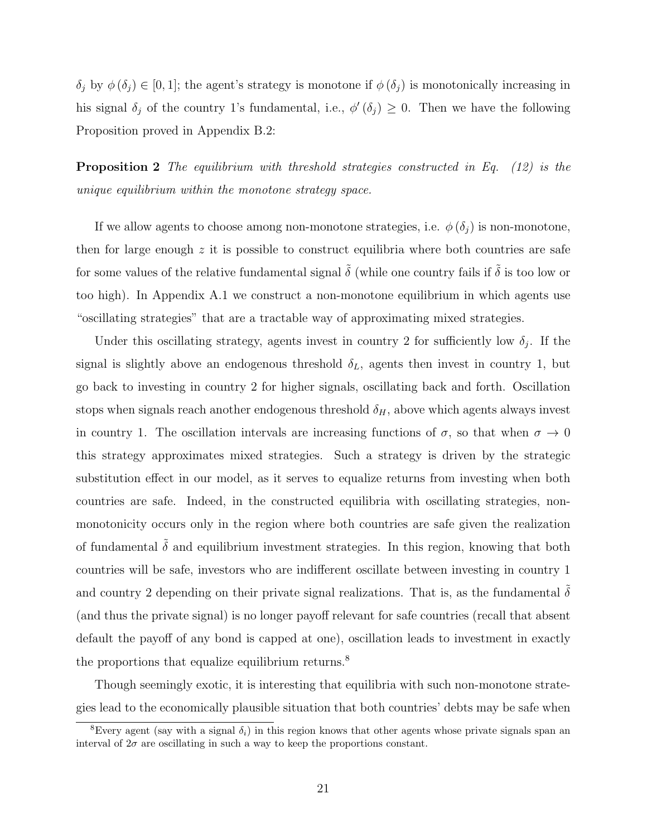$\delta_j$  by  $\phi(\delta_j) \in [0,1]$ ; the agent's strategy is monotone if  $\phi(\delta_j)$  is monotonically increasing in his signal  $\delta_j$  of the country 1's fundamental, i.e.,  $\phi'(\delta_j) \geq 0$ . Then we have the following Proposition proved in Appendix B.2:

**Proposition 2** The equilibrium with threshold strategies constructed in Eq. (12) is the unique equilibrium within the monotone strategy space.

If we allow agents to choose among non-monotone strategies, i.e.  $\phi(\delta_i)$  is non-monotone, then for large enough  $z$  it is possible to construct equilibria where both countries are safe for some values of the relative fundamental signal  $\tilde{\delta}$  (while one country fails if  $\tilde{\delta}$  is too low or too high). In Appendix A.1 we construct a non-monotone equilibrium in which agents use "oscillating strategies" that are a tractable way of approximating mixed strategies.

Under this oscillating strategy, agents invest in country 2 for sufficiently low  $\delta_j$ . If the signal is slightly above an endogenous threshold  $\delta_L$ , agents then invest in country 1, but go back to investing in country 2 for higher signals, oscillating back and forth. Oscillation stops when signals reach another endogenous threshold  $\delta_H$ , above which agents always invest in country 1. The oscillation intervals are increasing functions of  $\sigma$ , so that when  $\sigma \to 0$ this strategy approximates mixed strategies. Such a strategy is driven by the strategic substitution effect in our model, as it serves to equalize returns from investing when both countries are safe. Indeed, in the constructed equilibria with oscillating strategies, nonmonotonicity occurs only in the region where both countries are safe given the realization of fundamental  $\tilde{\delta}$  and equilibrium investment strategies. In this region, knowing that both countries will be safe, investors who are indifferent oscillate between investing in country 1 and country 2 depending on their private signal realizations. That is, as the fundamental  $\delta$ (and thus the private signal) is no longer payoff relevant for safe countries (recall that absent default the payoff of any bond is capped at one), oscillation leads to investment in exactly the proportions that equalize equilibrium returns. $8$ 

Though seemingly exotic, it is interesting that equilibria with such non-monotone strategies lead to the economically plausible situation that both countries' debts may be safe when

<sup>&</sup>lt;sup>8</sup>Every agent (say with a signal  $\delta_i$ ) in this region knows that other agents whose private signals span an interval of  $2\sigma$  are oscillating in such a way to keep the proportions constant.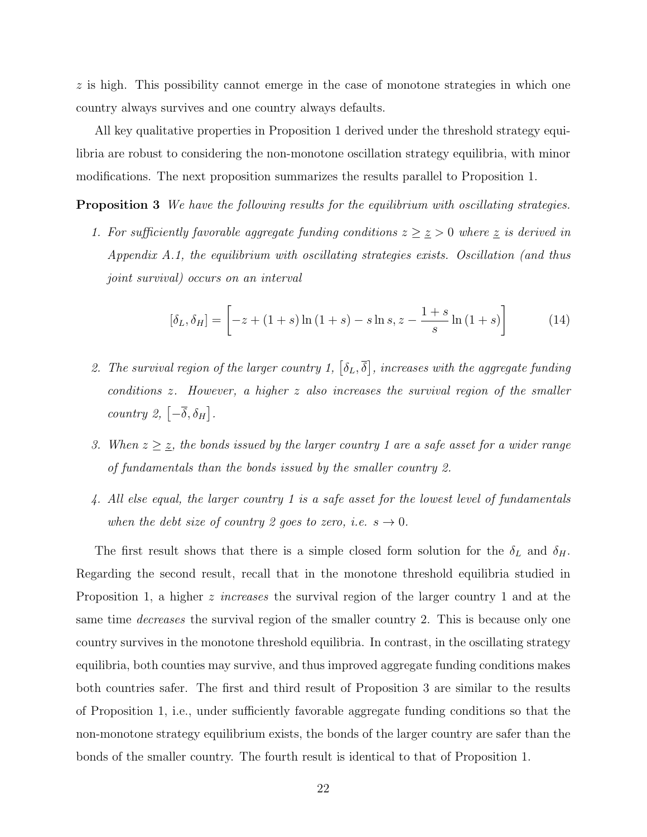$z$  is high. This possibility cannot emerge in the case of monotone strategies in which one country always survives and one country always defaults.

All key qualitative properties in Proposition 1 derived under the threshold strategy equilibria are robust to considering the non-monotone oscillation strategy equilibria, with minor modifications. The next proposition summarizes the results parallel to Proposition 1.

**Proposition 3** We have the following results for the equilibrium with oscillating strategies.

1. For sufficiently favorable aggregate funding conditions  $z \geq z > 0$  where  $z$  is derived in Appendix A.1, the equilibrium with oscillating strategies exists. Oscillation (and thus joint survival) occurs on an interval

$$
[\delta_L, \delta_H] = \left[ -z + (1+s)\ln(1+s) - s\ln s, z - \frac{1+s}{s}\ln(1+s) \right]
$$
 (14)

- 2. The survival region of the larger country 1,  $[\delta_L, \overline{\delta}]$ , increases with the aggregate funding conditions z. However, a higher z also increases the survival region of the smaller country 2,  $\left[-\overline{\delta}, \delta_H\right]$ .
- 3. When  $z \geq z$ , the bonds issued by the larger country 1 are a safe asset for a wider range of fundamentals than the bonds issued by the smaller country 2.
- 4. All else equal, the larger country 1 is a safe asset for the lowest level of fundamentals when the debt size of country 2 goes to zero, i.e.  $s \to 0$ .

The first result shows that there is a simple closed form solution for the  $\delta_L$  and  $\delta_H$ . Regarding the second result, recall that in the monotone threshold equilibria studied in Proposition 1, a higher z increases the survival region of the larger country 1 and at the same time *decreases* the survival region of the smaller country 2. This is because only one country survives in the monotone threshold equilibria. In contrast, in the oscillating strategy equilibria, both counties may survive, and thus improved aggregate funding conditions makes both countries safer. The first and third result of Proposition 3 are similar to the results of Proposition 1, i.e., under sufficiently favorable aggregate funding conditions so that the non-monotone strategy equilibrium exists, the bonds of the larger country are safer than the bonds of the smaller country. The fourth result is identical to that of Proposition 1.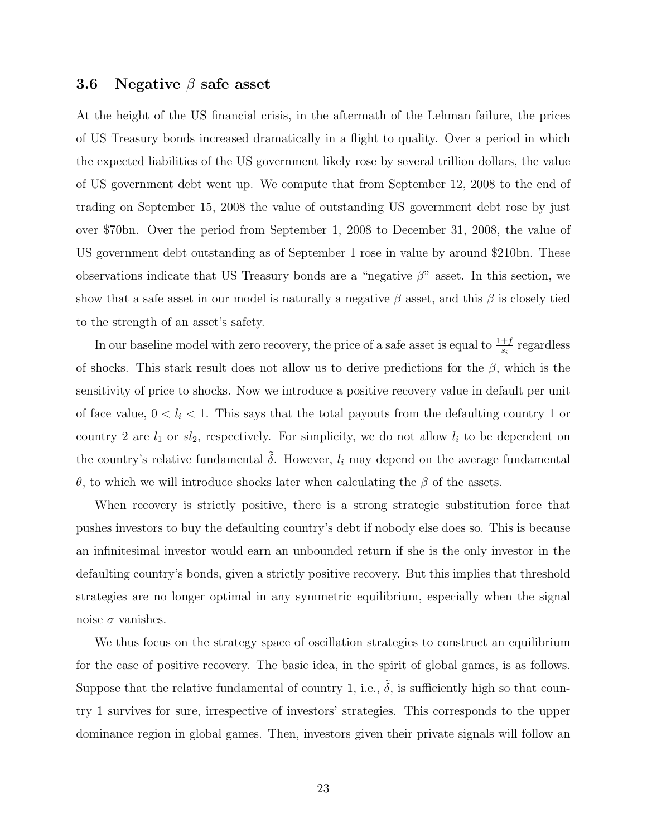### 3.6 Negative  $\beta$  safe asset

At the height of the US financial crisis, in the aftermath of the Lehman failure, the prices of US Treasury bonds increased dramatically in a flight to quality. Over a period in which the expected liabilities of the US government likely rose by several trillion dollars, the value of US government debt went up. We compute that from September 12, 2008 to the end of trading on September 15, 2008 the value of outstanding US government debt rose by just over \$70bn. Over the period from September 1, 2008 to December 31, 2008, the value of US government debt outstanding as of September 1 rose in value by around \$210bn. These observations indicate that US Treasury bonds are a "negative  $\beta$ " asset. In this section, we show that a safe asset in our model is naturally a negative  $\beta$  asset, and this  $\beta$  is closely tied to the strength of an asset's safety.

In our baseline model with zero recovery, the price of a safe asset is equal to  $\frac{1+f}{s_i}$  regardless of shocks. This stark result does not allow us to derive predictions for the  $\beta$ , which is the sensitivity of price to shocks. Now we introduce a positive recovery value in default per unit of face value,  $0 < l_i < 1$ . This says that the total payouts from the defaulting country 1 or country 2 are  $l_1$  or  $sl_2$ , respectively. For simplicity, we do not allow  $l_i$  to be dependent on the country's relative fundamental  $\tilde{\delta}$ . However,  $l_i$  may depend on the average fundamental θ, to which we will introduce shocks later when calculating the β of the assets.

When recovery is strictly positive, there is a strong strategic substitution force that pushes investors to buy the defaulting country's debt if nobody else does so. This is because an infinitesimal investor would earn an unbounded return if she is the only investor in the defaulting country's bonds, given a strictly positive recovery. But this implies that threshold strategies are no longer optimal in any symmetric equilibrium, especially when the signal noise  $\sigma$  vanishes.

We thus focus on the strategy space of oscillation strategies to construct an equilibrium for the case of positive recovery. The basic idea, in the spirit of global games, is as follows. Suppose that the relative fundamental of country 1, i.e.,  $\delta$ , is sufficiently high so that country 1 survives for sure, irrespective of investors' strategies. This corresponds to the upper dominance region in global games. Then, investors given their private signals will follow an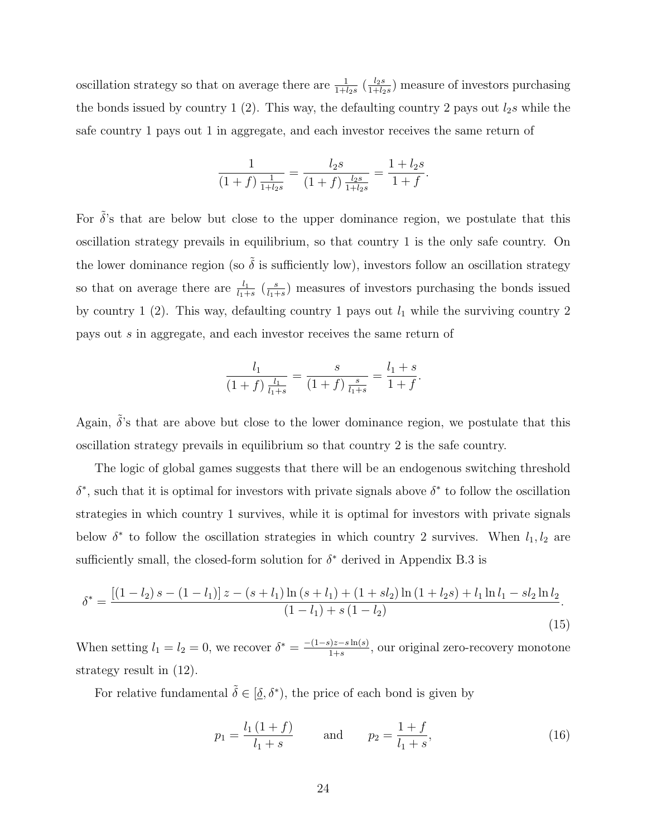oscillation strategy so that on average there are  $\frac{1}{1+l_2s}$   $\left(\frac{l_2s}{1+l_2s}\right)$  $\frac{l_2s}{1+l_2s}$  measure of investors purchasing the bonds issued by country 1 (2). This way, the defaulting country 2 pays out  $l_2s$  while the safe country 1 pays out 1 in aggregate, and each investor receives the same return of

$$
\frac{1}{(1+f)\frac{1}{1+l_{2}s}} = \frac{l_{2}s}{(1+f)\frac{l_{2}s}{1+l_{2}s}} = \frac{1+l_{2}s}{1+f}.
$$

For  $\tilde{\delta}$ 's that are below but close to the upper dominance region, we postulate that this oscillation strategy prevails in equilibrium, so that country 1 is the only safe country. On the lower dominance region (so  $\delta$  is sufficiently low), investors follow an oscillation strategy so that on average there are  $\frac{l_1}{l_1+s}$   $\left(\frac{s}{l_1+s}\right)$  $\frac{s}{l_1+s}$ ) measures of investors purchasing the bonds issued by country 1 (2). This way, defaulting country 1 pays out  $l_1$  while the surviving country 2 pays out s in aggregate, and each investor receives the same return of

$$
\frac{l_1}{(1+f)\frac{l_1}{l_1+s}} = \frac{s}{(1+f)\frac{s}{l_1+s}} = \frac{l_1+s}{1+f}.
$$

Again,  $\tilde{\delta}$ 's that are above but close to the lower dominance region, we postulate that this oscillation strategy prevails in equilibrium so that country 2 is the safe country.

The logic of global games suggests that there will be an endogenous switching threshold  $\delta^*$ , such that it is optimal for investors with private signals above  $\delta^*$  to follow the oscillation strategies in which country 1 survives, while it is optimal for investors with private signals below  $\delta^*$  to follow the oscillation strategies in which country 2 survives. When  $l_1, l_2$  are sufficiently small, the closed-form solution for  $\delta^*$  derived in Appendix B.3 is

$$
\delta^* = \frac{\left[ (1 - l_2) \, s - (1 - l_1) \right] z - (s + l_1) \ln \left( s + l_1 \right) + (1 + s l_2) \ln \left( 1 + l_2 s \right) + l_1 \ln l_1 - s l_2 \ln l_2}{(1 - l_1) + s \left( 1 - l_2 \right)}.
$$
\n(15)

When setting  $l_1 = l_2 = 0$ , we recover  $\delta^* = \frac{-(1-s)z - s \ln(s)}{1+s}$  $\frac{1}{1+s}$ , our original zero-recovery monotone strategy result in (12).

For relative fundamental  $\tilde{\delta} \in [\underline{\delta}, \delta^*),$  the price of each bond is given by

$$
p_1 = \frac{l_1(1+f)}{l_1+s} \quad \text{and} \quad p_2 = \frac{1+f}{l_1+s},\tag{16}
$$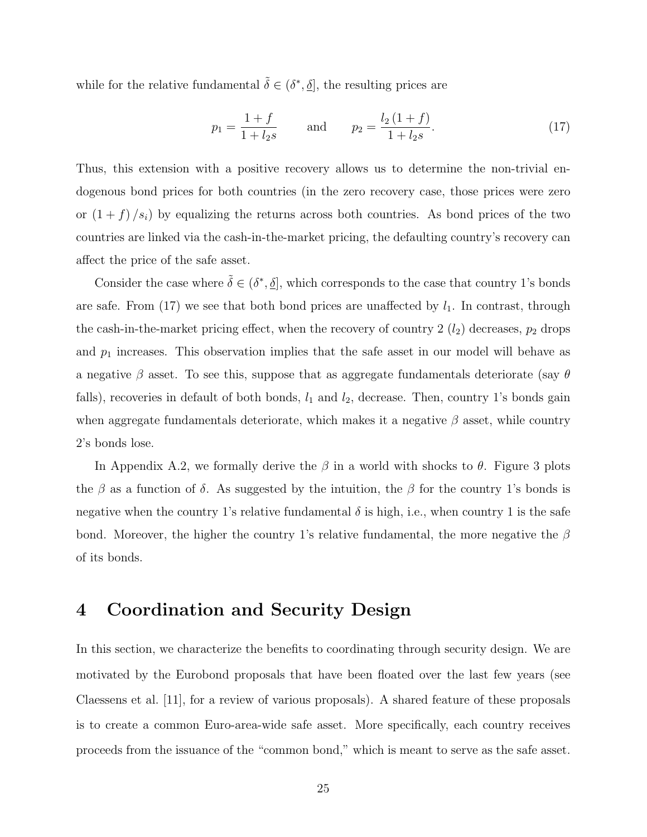while for the relative fundamental  $\tilde{\delta} \in (\delta^*, \underline{\delta}],$  the resulting prices are

$$
p_1 = \frac{1+f}{1+l_2s} \quad \text{and} \quad p_2 = \frac{l_2(1+f)}{1+l_2s}.
$$
 (17)

Thus, this extension with a positive recovery allows us to determine the non-trivial endogenous bond prices for both countries (in the zero recovery case, those prices were zero or  $(1+f)/s_i$ ) by equalizing the returns across both countries. As bond prices of the two countries are linked via the cash-in-the-market pricing, the defaulting country's recovery can affect the price of the safe asset.

Consider the case where  $\tilde{\delta} \in (\delta^*, \underline{\delta}]$ , which corresponds to the case that country 1's bonds are safe. From  $(17)$  we see that both bond prices are unaffected by  $l_1$ . In contrast, through the cash-in-the-market pricing effect, when the recovery of country 2  $(l_2)$  decreases,  $p_2$  drops and  $p_1$  increases. This observation implies that the safe asset in our model will behave as a negative  $\beta$  asset. To see this, suppose that as aggregate fundamentals deteriorate (say  $\theta$ falls), recoveries in default of both bonds,  $l_1$  and  $l_2$ , decrease. Then, country 1's bonds gain when aggregate fundamentals deteriorate, which makes it a negative  $\beta$  asset, while country 2's bonds lose.

In Appendix A.2, we formally derive the  $\beta$  in a world with shocks to  $\theta$ . Figure 3 plots the  $\beta$  as a function of  $\delta$ . As suggested by the intuition, the  $\beta$  for the country 1's bonds is negative when the country 1's relative fundamental  $\delta$  is high, i.e., when country 1 is the safe bond. Moreover, the higher the country 1's relative fundamental, the more negative the  $\beta$ of its bonds.

## 4 Coordination and Security Design

In this section, we characterize the benefits to coordinating through security design. We are motivated by the Eurobond proposals that have been floated over the last few years (see Claessens et al. [11], for a review of various proposals). A shared feature of these proposals is to create a common Euro-area-wide safe asset. More specifically, each country receives proceeds from the issuance of the "common bond," which is meant to serve as the safe asset.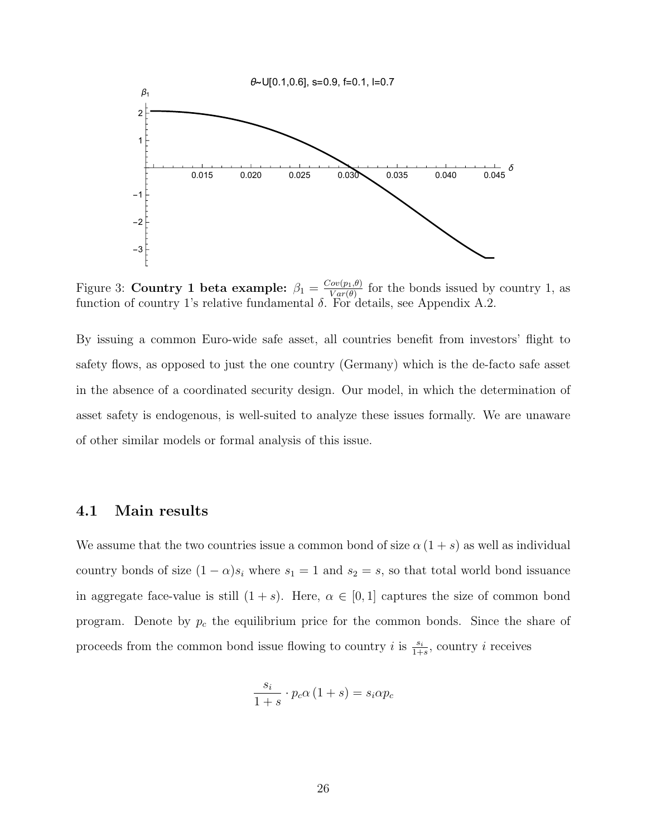

Figure 3: Country 1 beta example:  $\beta_1 = \frac{Cov(p_1, \theta)}{Var(\theta)}$  $\frac{\partial v(p_1, \theta)}{\partial \ln(\theta)}$  for the bonds issued by country 1, as function of country 1's relative fundamental  $\delta$ . For details, see Appendix A.2.

By issuing a common Euro-wide safe asset, all countries benefit from investors' flight to safety flows, as opposed to just the one country (Germany) which is the de-facto safe asset in the absence of a coordinated security design. Our model, in which the determination of asset safety is endogenous, is well-suited to analyze these issues formally. We are unaware of other similar models or formal analysis of this issue.

## 4.1 Main results

We assume that the two countries issue a common bond of size  $\alpha(1+s)$  as well as individual country bonds of size  $(1 - \alpha)s_i$  where  $s_1 = 1$  and  $s_2 = s$ , so that total world bond issuance in aggregate face-value is still  $(1 + s)$ . Here,  $\alpha \in [0, 1]$  captures the size of common bond program. Denote by  $p_c$  the equilibrium price for the common bonds. Since the share of proceeds from the common bond issue flowing to country *i* is  $\frac{s_i}{1+s}$ , country *i* receives

$$
\frac{s_i}{1+s} \cdot p_c \alpha \left(1+s\right) = s_i \alpha p_c
$$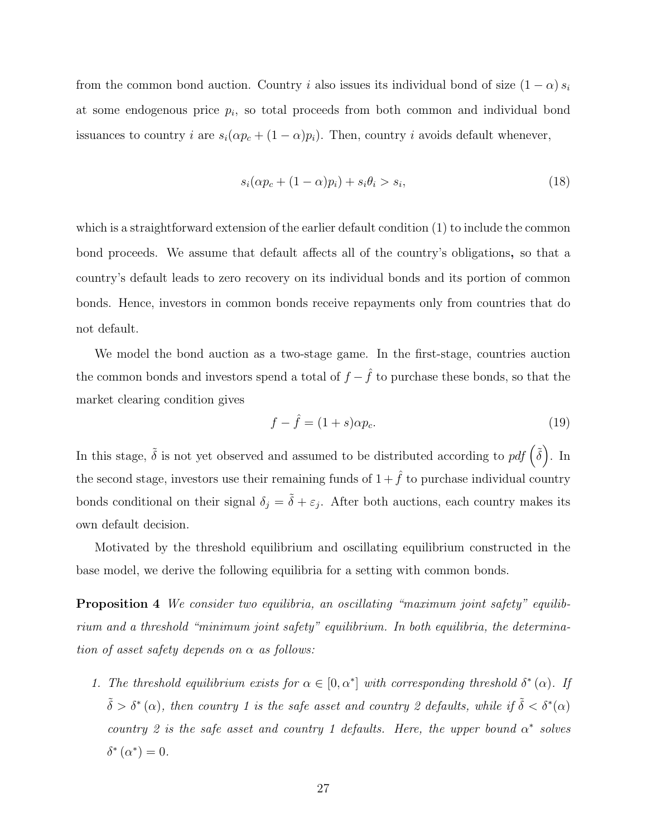from the common bond auction. Country i also issues its individual bond of size  $(1 - \alpha) s_i$ at some endogenous price  $p_i$ , so total proceeds from both common and individual bond issuances to country i are  $s_i(\alpha p_c + (1 - \alpha)p_i)$ . Then, country i avoids default whenever,

$$
s_i(\alpha p_c + (1 - \alpha)p_i) + s_i \theta_i > s_i,\tag{18}
$$

which is a straightforward extension of the earlier default condition (1) to include the common bond proceeds. We assume that default affects all of the country's obligations, so that a country's default leads to zero recovery on its individual bonds and its portion of common bonds. Hence, investors in common bonds receive repayments only from countries that do not default.

We model the bond auction as a two-stage game. In the first-stage, countries auction the common bonds and investors spend a total of  $f - \hat{f}$  to purchase these bonds, so that the market clearing condition gives

$$
f - \hat{f} = (1 + s)\alpha p_c.
$$
\n(19)

In this stage,  $\tilde{\delta}$  is not yet observed and assumed to be distributed according to pdf  $(\tilde{\delta})$ . In the second stage, investors use their remaining funds of  $1 + \hat{f}$  to purchase individual country bonds conditional on their signal  $\delta_j = \tilde{\delta} + \varepsilon_j$ . After both auctions, each country makes its own default decision.

Motivated by the threshold equilibrium and oscillating equilibrium constructed in the base model, we derive the following equilibria for a setting with common bonds.

Proposition 4 We consider two equilibria, an oscillating "maximum joint safety" equilibrium and a threshold "minimum joint safety" equilibrium. In both equilibria, the determination of asset safety depends on  $\alpha$  as follows:

1. The threshold equilibrium exists for  $\alpha \in [0, \alpha^*]$  with corresponding threshold  $\delta^*(\alpha)$ . If  $\tilde{\delta} > \delta^*(\alpha)$ , then country 1 is the safe asset and country 2 defaults, while if  $\tilde{\delta} < \delta^*(\alpha)$ country 2 is the safe asset and country 1 defaults. Here, the upper bound  $\alpha^*$  solves  $\delta^*(\alpha^*)=0.$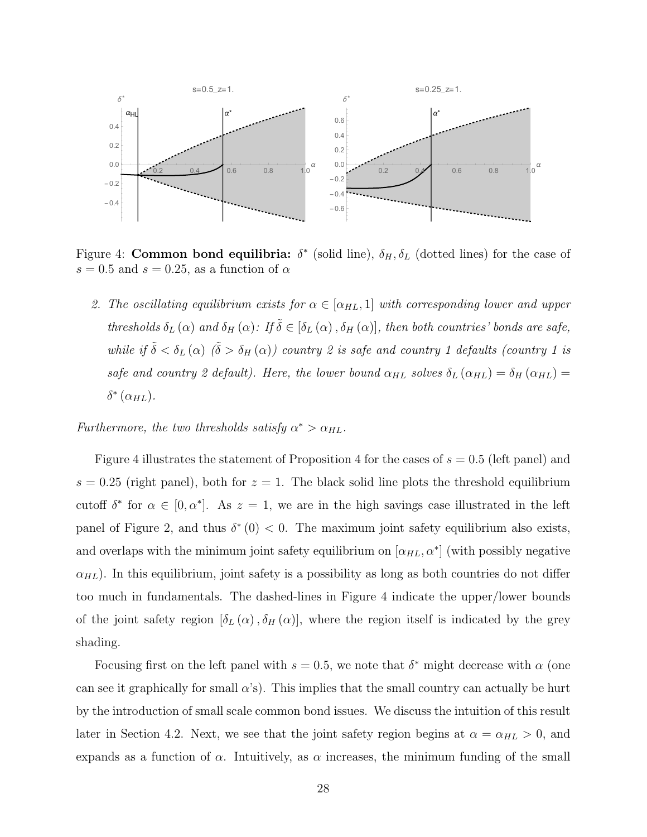

Figure 4: **Common bond equilibria:**  $\delta^*$  (solid line),  $\delta_H$ ,  $\delta_L$  (dotted lines) for the case of  $s = 0.5$  and  $s = 0.25$ , as a function of  $\alpha$ 

2. The oscillating equilibrium exists for  $\alpha \in [\alpha_{HL}, 1]$  with corresponding lower and upper thresholds  $\delta_L(\alpha)$  and  $\delta_H(\alpha)$ : If  $\tilde{\delta} \in [\delta_L(\alpha), \delta_H(\alpha)]$ , then both countries' bonds are safe, while if  $\tilde{\delta} < \delta_L(\alpha)$  ( $\tilde{\delta} > \delta_H(\alpha)$ ) country 2 is safe and country 1 defaults (country 1 is safe and country 2 default). Here, the lower bound  $\alpha_{HL}$  solves  $\delta_L(\alpha_{HL}) = \delta_H(\alpha_{HL}) =$  $\delta^*(\alpha_{HL}).$ 

## Furthermore, the two thresholds satisfy  $\alpha^* > \alpha_{HL}$ .

Figure 4 illustrates the statement of Proposition 4 for the cases of  $s = 0.5$  (left panel) and  $s = 0.25$  (right panel), both for  $z = 1$ . The black solid line plots the threshold equilibrium cutoff  $\delta^*$  for  $\alpha \in [0, \alpha^*]$ . As  $z = 1$ , we are in the high savings case illustrated in the left panel of Figure 2, and thus  $\delta^*(0) < 0$ . The maximum joint safety equilibrium also exists, and overlaps with the minimum joint safety equilibrium on  $[\alpha_{HL}, \alpha^*]$  (with possibly negative  $\alpha_{HL}$ ). In this equilibrium, joint safety is a possibility as long as both countries do not differ too much in fundamentals. The dashed-lines in Figure 4 indicate the upper/lower bounds of the joint safety region  $[\delta_L(\alpha), \delta_H(\alpha)]$ , where the region itself is indicated by the grey shading.

Focusing first on the left panel with  $s = 0.5$ , we note that  $\delta^*$  might decrease with  $\alpha$  (one can see it graphically for small  $\alpha$ 's). This implies that the small country can actually be hurt by the introduction of small scale common bond issues. We discuss the intuition of this result later in Section 4.2. Next, we see that the joint safety region begins at  $\alpha = \alpha_{HL} > 0$ , and expands as a function of  $\alpha$ . Intuitively, as  $\alpha$  increases, the minimum funding of the small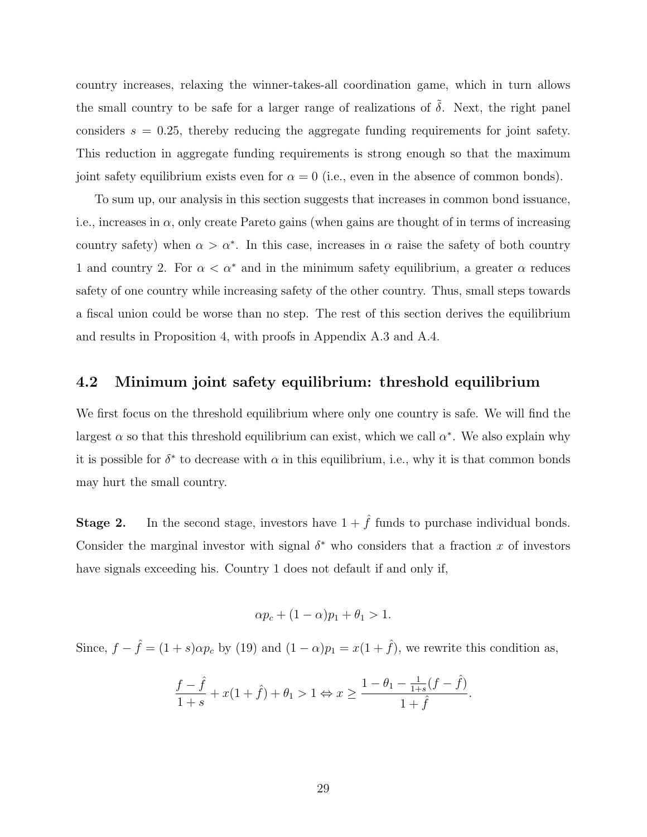country increases, relaxing the winner-takes-all coordination game, which in turn allows the small country to be safe for a larger range of realizations of  $\delta$ . Next, the right panel considers  $s = 0.25$ , thereby reducing the aggregate funding requirements for joint safety. This reduction in aggregate funding requirements is strong enough so that the maximum joint safety equilibrium exists even for  $\alpha = 0$  (i.e., even in the absence of common bonds).

To sum up, our analysis in this section suggests that increases in common bond issuance, i.e., increases in  $\alpha$ , only create Pareto gains (when gains are thought of in terms of increasing country safety) when  $\alpha > \alpha^*$ . In this case, increases in  $\alpha$  raise the safety of both country 1 and country 2. For  $\alpha < \alpha^*$  and in the minimum safety equilibrium, a greater  $\alpha$  reduces safety of one country while increasing safety of the other country. Thus, small steps towards a fiscal union could be worse than no step. The rest of this section derives the equilibrium and results in Proposition 4, with proofs in Appendix A.3 and A.4.

### 4.2 Minimum joint safety equilibrium: threshold equilibrium

We first focus on the threshold equilibrium where only one country is safe. We will find the largest  $\alpha$  so that this threshold equilibrium can exist, which we call  $\alpha^*$ . We also explain why it is possible for  $\delta^*$  to decrease with  $\alpha$  in this equilibrium, i.e., why it is that common bonds may hurt the small country.

**Stage 2.** In the second stage, investors have  $1 + \hat{f}$  funds to purchase individual bonds. Consider the marginal investor with signal  $\delta^*$  who considers that a fraction x of investors have signals exceeding his. Country 1 does not default if and only if,

$$
\alpha p_c + (1 - \alpha)p_1 + \theta_1 > 1.
$$

Since,  $f - \hat{f} = (1 + s)\alpha p_c$  by (19) and  $(1 - \alpha)p_1 = x(1 + \hat{f})$ , we rewrite this condition as,

$$
\frac{f - \hat{f}}{1 + s} + x(1 + \hat{f}) + \theta_1 > 1 \Leftrightarrow x \ge \frac{1 - \theta_1 - \frac{1}{1 + s}(f - \hat{f})}{1 + \hat{f}}.
$$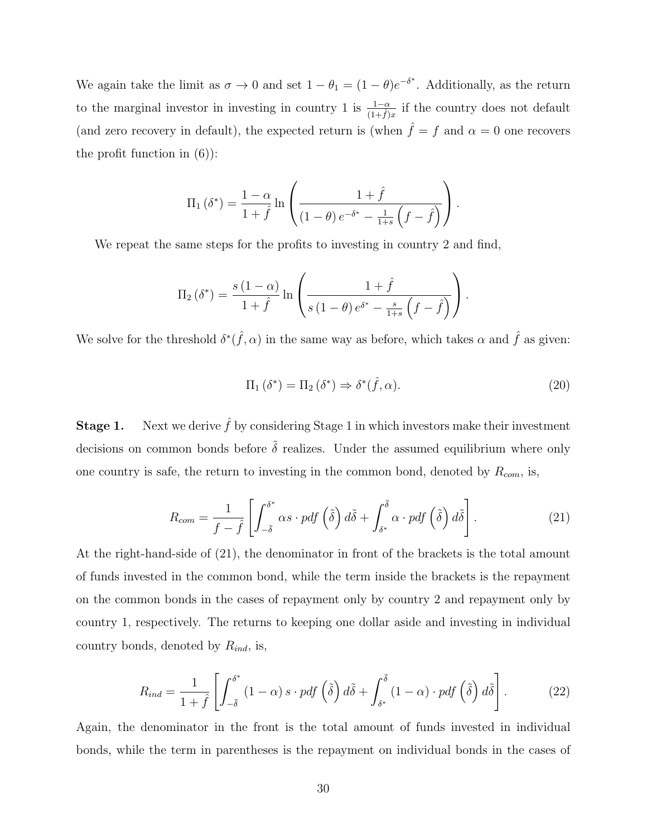We again take the limit as  $\sigma \to 0$  and set  $1 - \theta_1 = (1 - \theta)e^{-\delta^*}$ . Additionally, as the return to the marginal investor in investing in country 1 is  $\frac{1-\alpha}{(1+\hat{f})x}$  if the country does not default (and zero recovery in default), the expected return is (when  $\hat{f} = f$  and  $\alpha = 0$  one recovers the profit function in (6)):

$$
\Pi_1(\delta^*) = \frac{1-\alpha}{1+\hat{f}} \ln \left( \frac{1+\hat{f}}{(1-\theta)e^{-\delta^*} - \frac{1}{1+s} (f-\hat{f})} \right).
$$

We repeat the same steps for the profits to investing in country 2 and find,

$$
\Pi_2\left(\delta^*\right) = \frac{s\left(1-\alpha\right)}{1+\hat{f}}\ln\left(\frac{1+\hat{f}}{s\left(1-\theta\right)e^{\delta^*}-\frac{s}{1+s}\left(f-\hat{f}\right)}\right).
$$

We solve for the threshold  $\delta^*(\hat{f}, \alpha)$  in the same way as before, which takes  $\alpha$  and  $\hat{f}$  as given:

$$
\Pi_1(\delta^*) = \Pi_2(\delta^*) \Rightarrow \delta^*(\hat{f}, \alpha). \tag{20}
$$

**Stage 1.** Next we derive  $\hat{f}$  by considering Stage 1 in which investors make their investment decisions on common bonds before  $\tilde{\delta}$  realizes. Under the assumed equilibrium where only one country is safe, the return to investing in the common bond, denoted by  $R_{com}$ , is,

$$
R_{com} = \frac{1}{f - \hat{f}} \left[ \int_{-\bar{\delta}}^{\delta^*} \alpha s \cdot p df \left( \tilde{\delta} \right) d\tilde{\delta} + \int_{\delta^*}^{\bar{\delta}} \alpha \cdot p df \left( \tilde{\delta} \right) d\tilde{\delta} \right]. \tag{21}
$$

At the right-hand-side of (21), the denominator in front of the brackets is the total amount of funds invested in the common bond, while the term inside the brackets is the repayment on the common bonds in the cases of repayment only by country 2 and repayment only by country 1, respectively. The returns to keeping one dollar aside and investing in individual country bonds, denoted by  $R_{ind}$ , is,

$$
R_{ind} = \frac{1}{1+\hat{f}} \left[ \int_{-\bar{\delta}}^{\delta^*} (1-\alpha) \, s \cdot p \, df \left( \tilde{\delta} \right) d\tilde{\delta} + \int_{\delta^*}^{\bar{\delta}} (1-\alpha) \cdot p \, df \left( \tilde{\delta} \right) d\tilde{\delta} \right]. \tag{22}
$$

Again, the denominator in the front is the total amount of funds invested in individual bonds, while the term in parentheses is the repayment on individual bonds in the cases of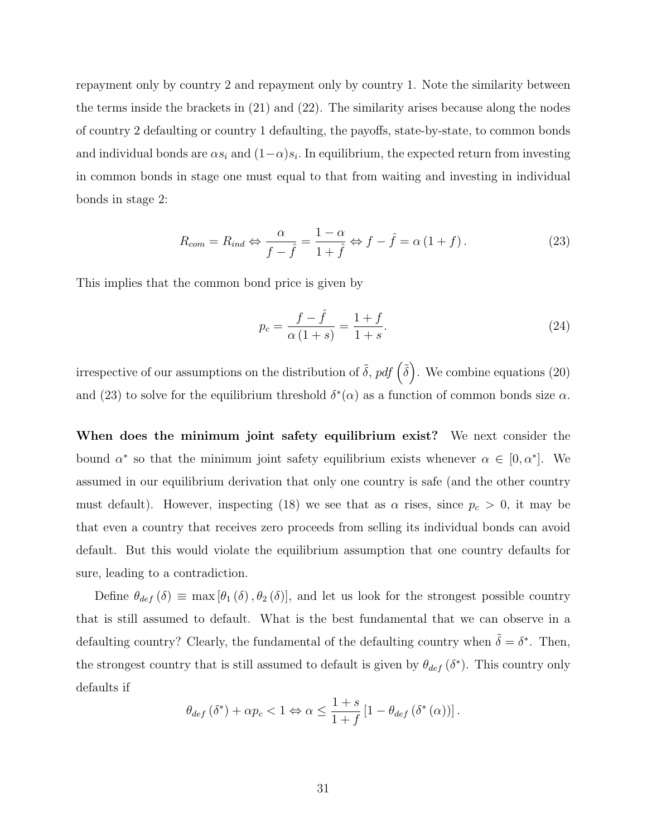repayment only by country 2 and repayment only by country 1. Note the similarity between the terms inside the brackets in (21) and (22). The similarity arises because along the nodes of country 2 defaulting or country 1 defaulting, the payoffs, state-by-state, to common bonds and individual bonds are  $\alpha s_i$  and  $(1-\alpha)s_i$ . In equilibrium, the expected return from investing in common bonds in stage one must equal to that from waiting and investing in individual bonds in stage 2:

$$
R_{com} = R_{ind} \Leftrightarrow \frac{\alpha}{f - \hat{f}} = \frac{1 - \alpha}{1 + \hat{f}} \Leftrightarrow f - \hat{f} = \alpha (1 + f). \tag{23}
$$

This implies that the common bond price is given by

$$
p_c = \frac{f - \hat{f}}{\alpha (1 + s)} = \frac{1 + f}{1 + s}.
$$
\n(24)

irrespective of our assumptions on the distribution of  $\tilde{\delta}$ ,  $pdf\left(\tilde{\delta}\right)$ . We combine equations (20) and (23) to solve for the equilibrium threshold  $\delta^*(\alpha)$  as a function of common bonds size  $\alpha$ .

When does the minimum joint safety equilibrium exist? We next consider the bound  $\alpha^*$  so that the minimum joint safety equilibrium exists whenever  $\alpha \in [0, \alpha^*]$ . We assumed in our equilibrium derivation that only one country is safe (and the other country must default). However, inspecting (18) we see that as  $\alpha$  rises, since  $p_c > 0$ , it may be that even a country that receives zero proceeds from selling its individual bonds can avoid default. But this would violate the equilibrium assumption that one country defaults for sure, leading to a contradiction.

Define  $\theta_{def}(\delta) \equiv \max[\theta_1(\delta), \theta_2(\delta)]$ , and let us look for the strongest possible country that is still assumed to default. What is the best fundamental that we can observe in a defaulting country? Clearly, the fundamental of the defaulting country when  $\tilde{\delta} = \delta^*$ . Then, the strongest country that is still assumed to default is given by  $\theta_{def}(\delta^*)$ . This country only defaults if

$$
\theta_{def}(\delta^*) + \alpha p_c < 1 \Leftrightarrow \alpha \le \frac{1+s}{1+f} \left[1 - \theta_{def}(\delta^*(\alpha))\right].
$$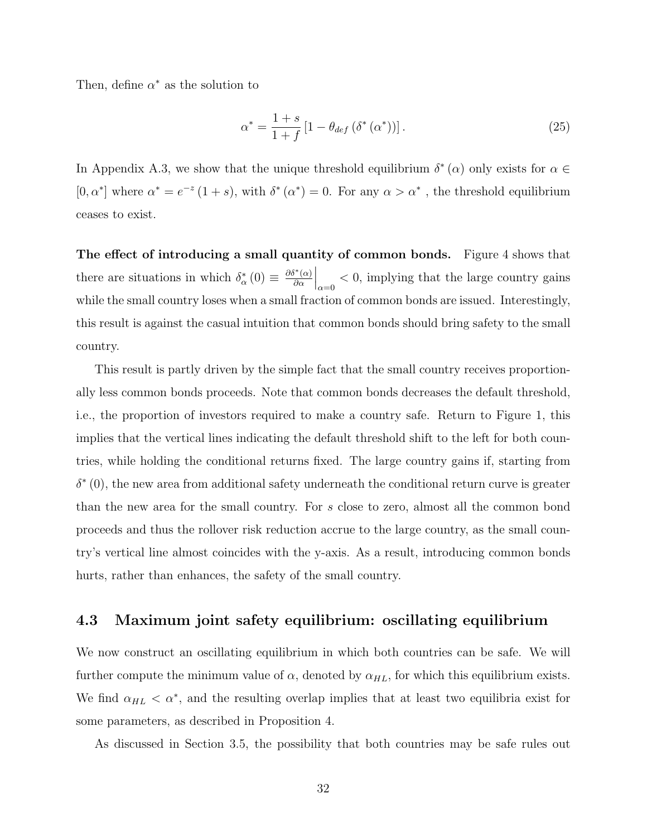Then, define  $\alpha^*$  as the solution to

$$
\alpha^* = \frac{1+s}{1+f} \left[ 1 - \theta_{def} \left( \delta^* \left( \alpha^* \right) \right) \right]. \tag{25}
$$

In Appendix A.3, we show that the unique threshold equilibrium  $\delta^*(\alpha)$  only exists for  $\alpha \in$  $[0, \alpha^*]$  where  $\alpha^* = e^{-z} (1 + s)$ , with  $\delta^* (\alpha^*) = 0$ . For any  $\alpha > \alpha^*$ , the threshold equilibrium ceases to exist.

The effect of introducing a small quantity of common bonds. Figure 4 shows that there are situations in which  $\delta_{\alpha}^{*}(0) \equiv \frac{\partial \delta^{*}(\alpha)}{\partial \alpha}$ ∂α  $\Big|_{\alpha=0}$  < 0, implying that the large country gains while the small country loses when a small fraction of common bonds are issued. Interestingly, this result is against the casual intuition that common bonds should bring safety to the small country.

This result is partly driven by the simple fact that the small country receives proportionally less common bonds proceeds. Note that common bonds decreases the default threshold, i.e., the proportion of investors required to make a country safe. Return to Figure 1, this implies that the vertical lines indicating the default threshold shift to the left for both countries, while holding the conditional returns fixed. The large country gains if, starting from  $\delta^*(0)$ , the new area from additional safety underneath the conditional return curve is greater than the new area for the small country. For s close to zero, almost all the common bond proceeds and thus the rollover risk reduction accrue to the large country, as the small country's vertical line almost coincides with the y-axis. As a result, introducing common bonds hurts, rather than enhances, the safety of the small country.

## 4.3 Maximum joint safety equilibrium: oscillating equilibrium

We now construct an oscillating equilibrium in which both countries can be safe. We will further compute the minimum value of  $\alpha$ , denoted by  $\alpha_{HL}$ , for which this equilibrium exists. We find  $\alpha_{HL} < \alpha^*$ , and the resulting overlap implies that at least two equilibria exist for some parameters, as described in Proposition 4.

As discussed in Section 3.5, the possibility that both countries may be safe rules out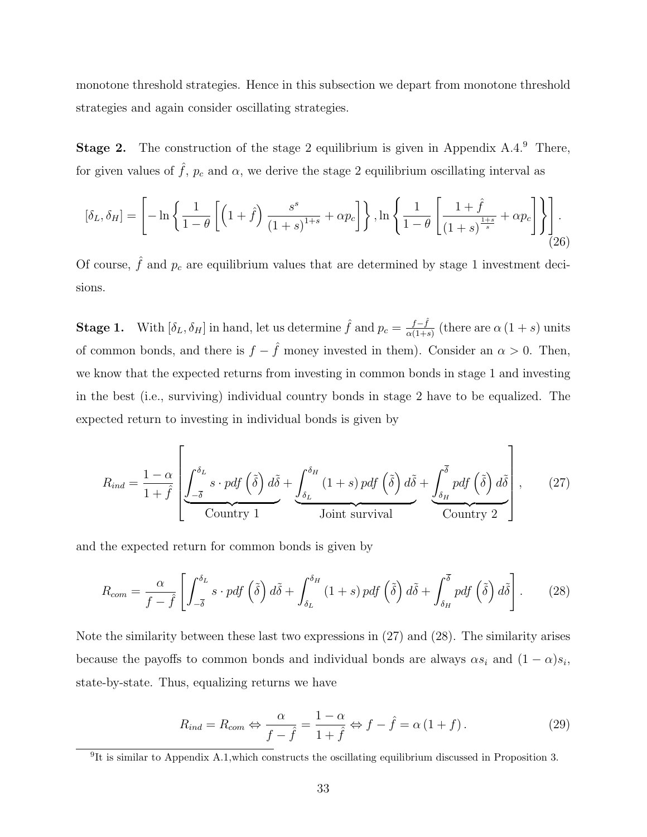monotone threshold strategies. Hence in this subsection we depart from monotone threshold strategies and again consider oscillating strategies.

Stage 2. The construction of the stage 2 equilibrium is given in Appendix A.4.9 There, for given values of  $\hat{f}$ ,  $p_c$  and  $\alpha$ , we derive the stage 2 equilibrium oscillating interval as

$$
\left[\delta_L, \delta_H\right] = \left[-\ln\left\{\frac{1}{1-\theta}\left[\left(1+\hat{f}\right)\frac{s^s}{\left(1+s\right)^{1+s}} + \alpha p_c\right]\right\}, \ln\left\{\frac{1}{1-\theta}\left[\frac{1+\hat{f}}{\left(1+s\right)^{\frac{1+s}{s}}} + \alpha p_c\right]\right\}\right].
$$
\n(26)

Of course,  $\hat{f}$  and  $p_c$  are equilibrium values that are determined by stage 1 investment decisions.

**Stage 1.** With  $[\delta_L, \delta_H]$  in hand, let us determine  $\hat{f}$  and  $p_c = \frac{f - \hat{f}}{g(1 + \hat{s})}$  $\frac{J-f}{\alpha(1+s)}$  (there are  $\alpha(1+s)$  units of common bonds, and there is  $f - \hat{f}$  money invested in them). Consider an  $\alpha > 0$ . Then, we know that the expected returns from investing in common bonds in stage 1 and investing in the best (i.e., surviving) individual country bonds in stage 2 have to be equalized. The expected return to investing in individual bonds is given by

$$
R_{ind} = \frac{1-\alpha}{1+\hat{f}} \left[ \underbrace{\int_{-\bar{\delta}}^{\delta_L} s \cdot p df \left(\tilde{\delta}\right) d\tilde{\delta}}_{\text{Country 1}} + \underbrace{\int_{\delta_L}^{\delta_H} (1+s) p df \left(\tilde{\delta}\right) d\tilde{\delta}}_{\text{Joint survival}} + \underbrace{\int_{\delta_H}^{\bar{\delta}} p df \left(\tilde{\delta}\right) d\tilde{\delta}}_{\text{Country 2}} \right],
$$
 (27)

and the expected return for common bonds is given by

$$
R_{com} = \frac{\alpha}{f - \hat{f}} \left[ \int_{-\overline{\delta}}^{\delta_L} s \cdot p \, df \left( \tilde{\delta} \right) d\tilde{\delta} + \int_{\delta_L}^{\delta_H} (1 + s) \, p \, df \left( \tilde{\delta} \right) d\tilde{\delta} + \int_{\delta_H}^{\overline{\delta}} p \, df \left( \tilde{\delta} \right) d\tilde{\delta} \right]. \tag{28}
$$

Note the similarity between these last two expressions in (27) and (28). The similarity arises because the payoffs to common bonds and individual bonds are always  $\alpha s_i$  and  $(1 - \alpha)s_i$ , state-by-state. Thus, equalizing returns we have

$$
R_{ind} = R_{com} \Leftrightarrow \frac{\alpha}{f - \hat{f}} = \frac{1 - \alpha}{1 + \hat{f}} \Leftrightarrow f - \hat{f} = \alpha (1 + f). \tag{29}
$$

<sup>&</sup>lt;sup>9</sup>It is similar to Appendix A.1, which constructs the oscillating equilibrium discussed in Proposition 3.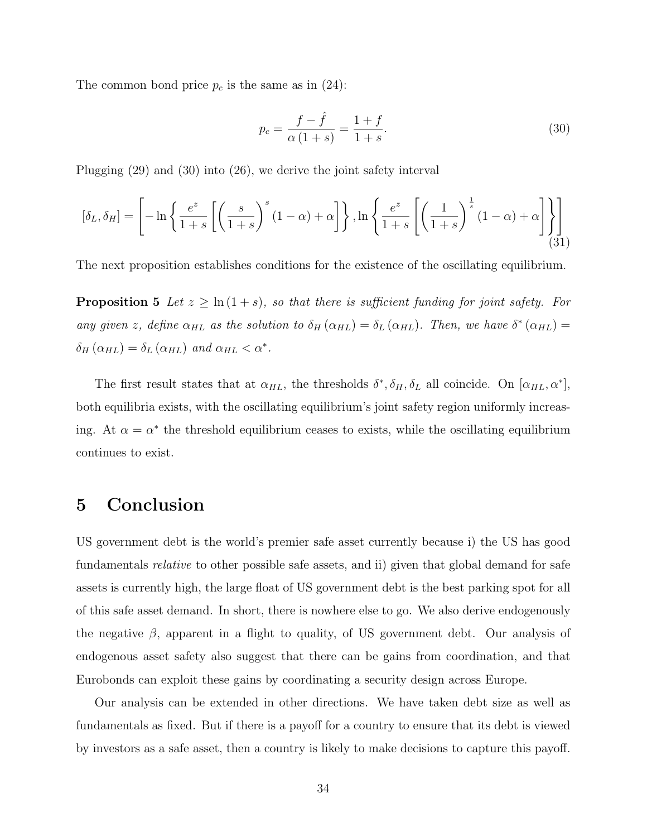The common bond price  $p_c$  is the same as in (24):

$$
p_c = \frac{f - \hat{f}}{\alpha (1 + s)} = \frac{1 + f}{1 + s}.
$$
\n(30)

Plugging (29) and (30) into (26), we derive the joint safety interval

$$
[\delta_L, \delta_H] = \left[ -\ln\left\{ \frac{e^z}{1+s} \left[ \left( \frac{s}{1+s} \right)^s (1-\alpha) + \alpha \right] \right\}, \ln\left\{ \frac{e^z}{1+s} \left[ \left( \frac{1}{1+s} \right)^{\frac{1}{s}} (1-\alpha) + \alpha \right] \right\} \right] \tag{31}
$$

The next proposition establishes conditions for the existence of the oscillating equilibrium.

**Proposition 5** Let  $z \geq \ln(1+s)$ , so that there is sufficient funding for joint safety. For any given z, define  $\alpha_{HL}$  as the solution to  $\delta_H(\alpha_{HL}) = \delta_L(\alpha_{HL})$ . Then, we have  $\delta^*(\alpha_{HL}) =$  $\delta_H(\alpha_{HL}) = \delta_L(\alpha_{HL})$  and  $\alpha_{HL} < \alpha^*$ .

The first result states that at  $\alpha_{HL}$ , the thresholds  $\delta^*, \delta_H, \delta_L$  all coincide. On  $[\alpha_{HL}, \alpha^*]$ , both equilibria exists, with the oscillating equilibrium's joint safety region uniformly increasing. At  $\alpha = \alpha^*$  the threshold equilibrium ceases to exists, while the oscillating equilibrium continues to exist.

# 5 Conclusion

US government debt is the world's premier safe asset currently because i) the US has good fundamentals relative to other possible safe assets, and ii) given that global demand for safe assets is currently high, the large float of US government debt is the best parking spot for all of this safe asset demand. In short, there is nowhere else to go. We also derive endogenously the negative  $\beta$ , apparent in a flight to quality, of US government debt. Our analysis of endogenous asset safety also suggest that there can be gains from coordination, and that Eurobonds can exploit these gains by coordinating a security design across Europe.

Our analysis can be extended in other directions. We have taken debt size as well as fundamentals as fixed. But if there is a payoff for a country to ensure that its debt is viewed by investors as a safe asset, then a country is likely to make decisions to capture this payoff.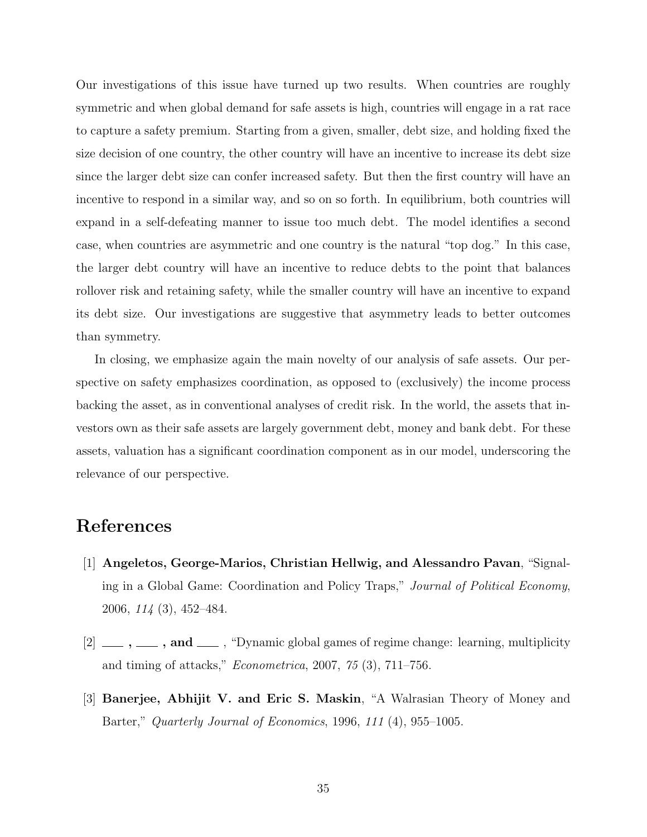Our investigations of this issue have turned up two results. When countries are roughly symmetric and when global demand for safe assets is high, countries will engage in a rat race to capture a safety premium. Starting from a given, smaller, debt size, and holding fixed the size decision of one country, the other country will have an incentive to increase its debt size since the larger debt size can confer increased safety. But then the first country will have an incentive to respond in a similar way, and so on so forth. In equilibrium, both countries will expand in a self-defeating manner to issue too much debt. The model identifies a second case, when countries are asymmetric and one country is the natural "top dog." In this case, the larger debt country will have an incentive to reduce debts to the point that balances rollover risk and retaining safety, while the smaller country will have an incentive to expand its debt size. Our investigations are suggestive that asymmetry leads to better outcomes than symmetry.

In closing, we emphasize again the main novelty of our analysis of safe assets. Our perspective on safety emphasizes coordination, as opposed to (exclusively) the income process backing the asset, as in conventional analyses of credit risk. In the world, the assets that investors own as their safe assets are largely government debt, money and bank debt. For these assets, valuation has a significant coordination component as in our model, underscoring the relevance of our perspective.

# References

- [1] Angeletos, George-Marios, Christian Hellwig, and Alessandro Pavan, "Signaling in a Global Game: Coordination and Policy Traps," Journal of Political Economy, 2006, 114 (3), 452–484.
- $[2]$   $\,\_\!\_\!\,$  , and  $\,\_\!\_\!\!\,$  , "Dynamic global games of regime change: learning, multiplicity and timing of attacks," Econometrica, 2007, 75 (3), 711–756.
- [3] Banerjee, Abhijit V. and Eric S. Maskin, "A Walrasian Theory of Money and Barter," Quarterly Journal of Economics, 1996, 111 (4), 955–1005.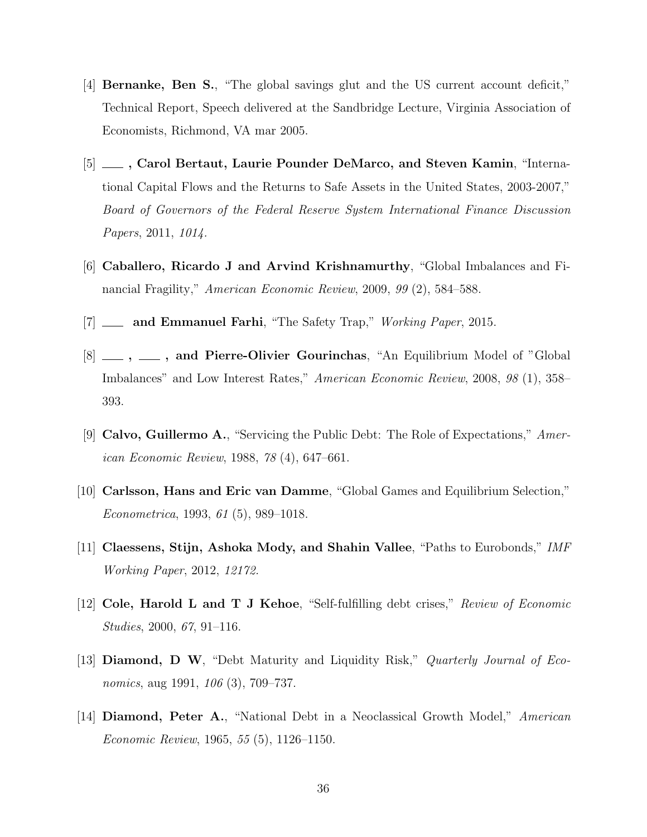- [4] Bernanke, Ben S., "The global savings glut and the US current account deficit," Technical Report, Speech delivered at the Sandbridge Lecture, Virginia Association of Economists, Richmond, VA mar 2005.
- [5]  $\ldots$ , Carol Bertaut, Laurie Pounder DeMarco, and Steven Kamin, "International Capital Flows and the Returns to Safe Assets in the United States, 2003-2007," Board of Governors of the Federal Reserve System International Finance Discussion Papers, 2011, 1014.
- [6] Caballero, Ricardo J and Arvind Krishnamurthy, "Global Imbalances and Financial Fragility," American Economic Review, 2009, 99 (2), 584–588.
- [7] \_\_\_ and Emmanuel Farhi, "The Safety Trap," Working Paper, 2015.
- [8]  $\ldots$ ,  $\ldots$ , and Pierre-Olivier Gourinchas, "An Equilibrium Model of "Global" Imbalances" and Low Interest Rates," American Economic Review, 2008, 98 (1), 358– 393.
- [9] Calvo, Guillermo A., "Servicing the Public Debt: The Role of Expectations," American Economic Review, 1988, 78 (4), 647–661.
- [10] Carlsson, Hans and Eric van Damme, "Global Games and Equilibrium Selection," Econometrica, 1993, 61 (5), 989–1018.
- [11] Claessens, Stijn, Ashoka Mody, and Shahin Vallee, "Paths to Eurobonds," IMF Working Paper, 2012, 12172.
- [12] Cole, Harold L and T J Kehoe, "Self-fulfilling debt crises," Review of Economic Studies, 2000, 67, 91–116.
- [13] **Diamond, D W**, "Debt Maturity and Liquidity Risk," *Quarterly Journal of Eco*nomics, aug 1991, 106 (3), 709–737.
- [14] Diamond, Peter A., "National Debt in a Neoclassical Growth Model," American Economic Review, 1965, 55 (5), 1126–1150.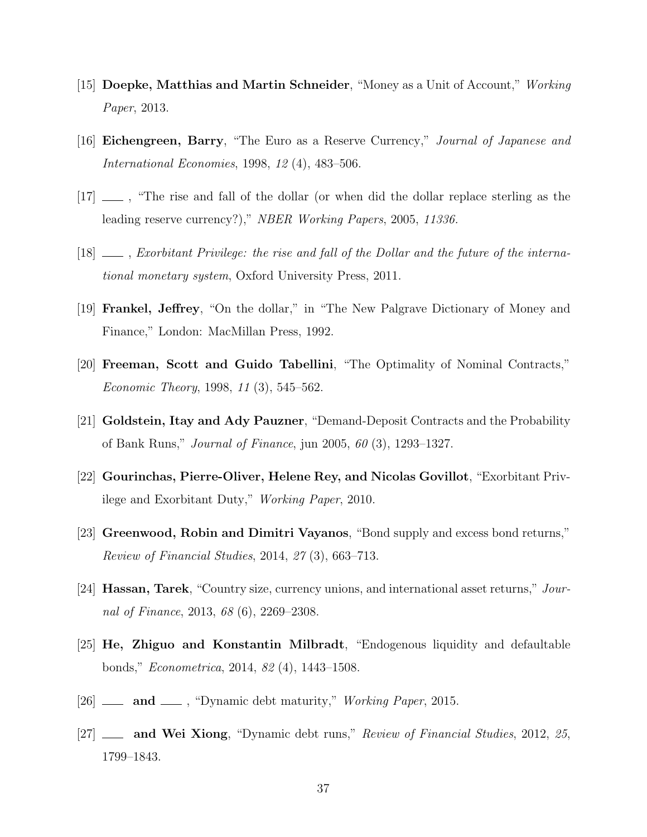- [15] Doepke, Matthias and Martin Schneider, "Money as a Unit of Account," Working Paper, 2013.
- [16] Eichengreen, Barry, "The Euro as a Reserve Currency," Journal of Japanese and International Economies, 1998, 12 (4), 483–506.
- $[17]$   $\_\_\_\$ , "The rise and fall of the dollar (or when did the dollar replace sterling as the leading reserve currency?)," NBER Working Papers, 2005, 11336.
- $[18]$   $\_\_\_\_$ , Exorbitant Privilege: the rise and fall of the Dollar and the future of the international monetary system, Oxford University Press, 2011.
- [19] Frankel, Jeffrey, "On the dollar," in "The New Palgrave Dictionary of Money and Finance," London: MacMillan Press, 1992.
- [20] Freeman, Scott and Guido Tabellini, "The Optimality of Nominal Contracts," Economic Theory, 1998, 11 (3), 545–562.
- [21] Goldstein, Itay and Ady Pauzner, "Demand-Deposit Contracts and the Probability of Bank Runs," Journal of Finance, jun 2005, 60 (3), 1293–1327.
- [22] Gourinchas, Pierre-Oliver, Helene Rey, and Nicolas Govillot, "Exorbitant Privilege and Exorbitant Duty," Working Paper, 2010.
- [23] Greenwood, Robin and Dimitri Vayanos, "Bond supply and excess bond returns," Review of Financial Studies, 2014, 27 (3), 663–713.
- [24] **Hassan, Tarek**, "Country size, currency unions, and international asset returns," Journal of Finance, 2013, 68 (6), 2269–2308.
- [25] He, Zhiguo and Konstantin Milbradt, "Endogenous liquidity and defaultable bonds," Econometrica, 2014, 82 (4), 1443–1508.
- [26] **and**  , "Dynamic debt maturity," *Working Paper*, 2015.
- [27] **and Wei Xiong**, "Dynamic debt runs," *Review of Financial Studies*, 2012, 25, 1799–1843.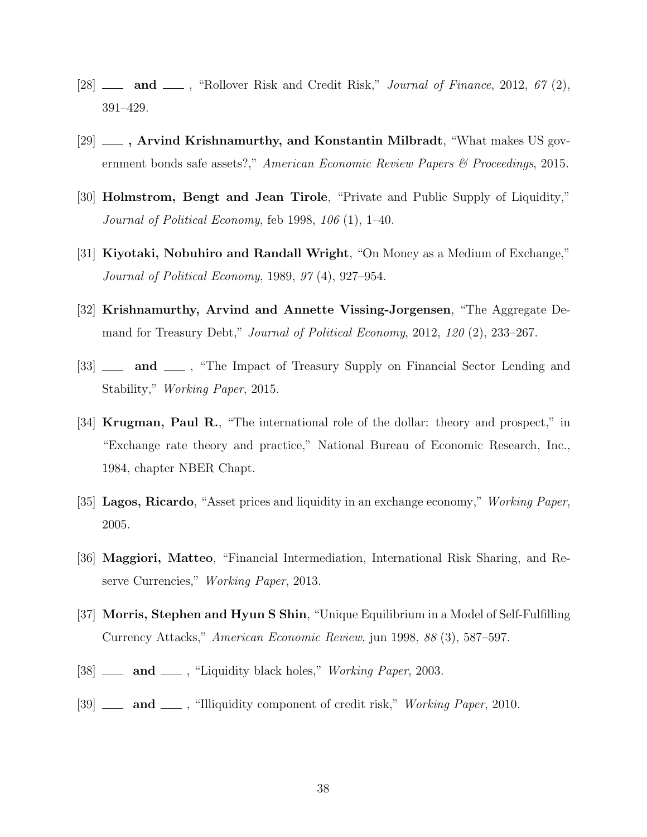- $[28]$  and  $\mu$ , "Rollover Risk and Credit Risk," *Journal of Finance*, 2012, 67 (2), 391–429.
- [29]  $\ldots$ , Arvind Krishnamurthy, and Konstantin Milbradt, "What makes US government bonds safe assets?," American Economic Review Papers & Proceedings, 2015.
- [30] Holmstrom, Bengt and Jean Tirole, "Private and Public Supply of Liquidity," Journal of Political Economy, feb 1998, 106 (1), 1–40.
- [31] Kiyotaki, Nobuhiro and Randall Wright, "On Money as a Medium of Exchange," Journal of Political Economy, 1989, 97 (4), 927–954.
- [32] Krishnamurthy, Arvind and Annette Vissing-Jorgensen, "The Aggregate Demand for Treasury Debt," Journal of Political Economy, 2012, 120 (2), 233–267.
- [33] **and** , "The Impact of Treasury Supply on Financial Sector Lending and Stability," Working Paper, 2015.
- [34] **Krugman, Paul R.**, "The international role of the dollar: theory and prospect," in "Exchange rate theory and practice," National Bureau of Economic Research, Inc., 1984, chapter NBER Chapt.
- [35] Lagos, Ricardo, "Asset prices and liquidity in an exchange economy," Working Paper, 2005.
- [36] Maggiori, Matteo, "Financial Intermediation, International Risk Sharing, and Reserve Currencies," Working Paper, 2013.
- [37] Morris, Stephen and Hyun S Shin, "Unique Equilibrium in a Model of Self-Fulfilling Currency Attacks," American Economic Review, jun 1998, 88 (3), 587–597.
- $[38]$  and  $\mu$ , "Liquidity black holes," *Working Paper*, 2003.
- [39] \_\_ and \_\_, "Illiquidity component of credit risk," *Working Paper*, 2010.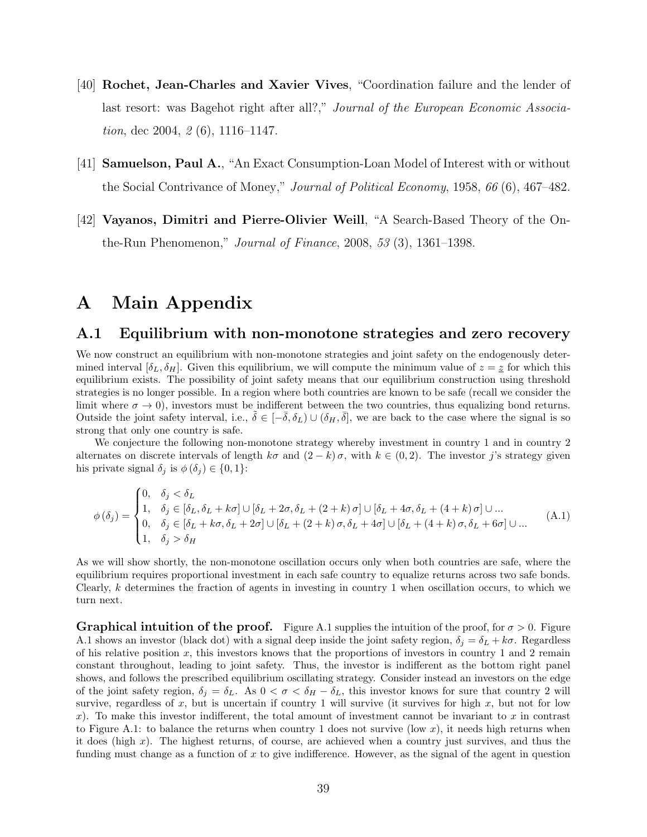- [40] Rochet, Jean-Charles and Xavier Vives, "Coordination failure and the lender of last resort: was Bagehot right after all?," Journal of the European Economic Association, dec 2004, 2 (6), 1116–1147.
- [41] Samuelson, Paul A., "An Exact Consumption-Loan Model of Interest with or without the Social Contrivance of Money," Journal of Political Economy, 1958, 66 (6), 467–482.
- [42] Vayanos, Dimitri and Pierre-Olivier Weill, "A Search-Based Theory of the Onthe-Run Phenomenon," Journal of Finance, 2008, 53 (3), 1361–1398.

# A Main Appendix

### A.1 Equilibrium with non-monotone strategies and zero recovery

We now construct an equilibrium with non-monotone strategies and joint safety on the endogenously determined interval  $[\delta_L, \delta_H]$ . Given this equilibrium, we will compute the minimum value of  $z = z$  for which this equilibrium exists. The possibility of joint safety means that our equilibrium construction using threshold strategies is no longer possible. In a region where both countries are known to be safe (recall we consider the limit where  $\sigma \to 0$ ), investors must be indifferent between the two countries, thus equalizing bond returns. Outside the joint safety interval, i.e.,  $\tilde{\delta} \in [-\bar{\delta}, \delta_L) \cup (\delta_H, \bar{\delta}],$  we are back to the case where the signal is so strong that only one country is safe.

We conjecture the following non-monotone strategy whereby investment in country 1 and in country 2 alternates on discrete intervals of length  $k\sigma$  and  $(2-k)\sigma$ , with  $k \in (0,2)$ . The investor j's strategy given his private signal  $\delta_j$  is  $\phi(\delta_j) \in \{0,1\}$ :

$$
\phi(\delta_j) = \begin{cases}\n0, & \delta_j < \delta_L \\
1, & \delta_j \in [\delta_L, \delta_L + k\sigma] \cup [\delta_L + 2\sigma, \delta_L + (2 + k)\sigma] \cup [\delta_L + 4\sigma, \delta_L + (4 + k)\sigma] \cup \dots \\
0, & \delta_j \in [\delta_L + k\sigma, \delta_L + 2\sigma] \cup [\delta_L + (2 + k)\sigma, \delta_L + 4\sigma] \cup [\delta_L + (4 + k)\sigma, \delta_L + 6\sigma] \cup \dots \\
1, & \delta_j > \delta_H\n\end{cases}
$$
\n(A.1)

As we will show shortly, the non-monotone oscillation occurs only when both countries are safe, where the equilibrium requires proportional investment in each safe country to equalize returns across two safe bonds. Clearly, k determines the fraction of agents in investing in country 1 when oscillation occurs, to which we turn next.

**Graphical intuition of the proof.** Figure A.1 supplies the intuition of the proof, for  $\sigma > 0$ . Figure A.1 shows an investor (black dot) with a signal deep inside the joint safety region,  $\delta_i = \delta_L + k\sigma$ . Regardless of his relative position  $x$ , this investors knows that the proportions of investors in country 1 and 2 remain constant throughout, leading to joint safety. Thus, the investor is indifferent as the bottom right panel shows, and follows the prescribed equilibrium oscillating strategy. Consider instead an investors on the edge of the joint safety region,  $\delta_j = \delta_L$ . As  $0 < \sigma < \delta_H - \delta_L$ , this investor knows for sure that country 2 will survive, regardless of x, but is uncertain if country 1 will survive (it survives for high  $x$ , but not for low x). To make this investor indifferent, the total amount of investment cannot be invariant to x in contrast to Figure A.1: to balance the returns when country 1 does not survive (low x), it needs high returns when it does (high x). The highest returns, of course, are achieved when a country just survives, and thus the funding must change as a function of  $x$  to give indifference. However, as the signal of the agent in question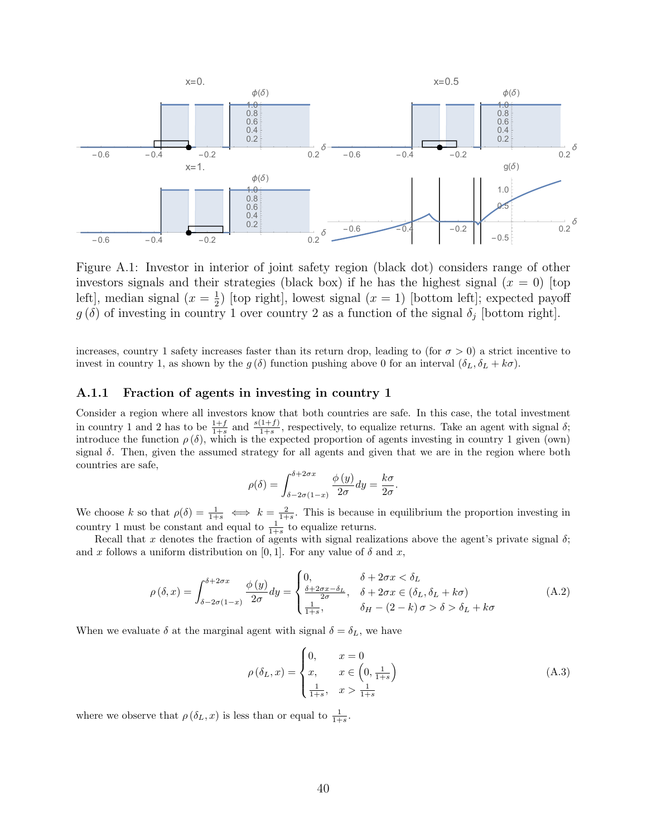

Figure A.1: Investor in interior of joint safety region (black dot) considers range of other investors signals and their strategies (black box) if he has the highest signal  $(x = 0)$  [top left], median signal  $(x=\frac{1}{2})$  $\frac{1}{2}$ ) [top right], lowest signal (x = 1) [bottom left]; expected payoff  $g(\delta)$  of investing in country 1 over country 2 as a function of the signal  $\delta_j$  [bottom right].

increases, country 1 safety increases faster than its return drop, leading to (for  $\sigma > 0$ ) a strict incentive to invest in country 1, as shown by the  $g(\delta)$  function pushing above 0 for an interval  $(\delta_L, \delta_L + k\sigma)$ .

#### A.1.1 Fraction of agents in investing in country 1

Consider a region where all investors know that both countries are safe. In this case, the total investment in country 1 and 2 has to be  $\frac{1+f}{1+s}$  and  $\frac{s(1+f)}{1+s}$ , respectively, to equalize returns. Take an agent with signal  $\delta$ ; introduce the function  $\rho(\delta)$ , which is the expected proportion of agents investing in country 1 given (own) signal  $\delta$ . Then, given the assumed strategy for all agents and given that we are in the region where both countries are safe,

$$
\rho(\delta) = \int_{\delta - 2\sigma(1-x)}^{\delta + 2\sigma x} \frac{\phi(y)}{2\sigma} dy = \frac{k\sigma}{2\sigma}.
$$

We choose k so that  $\rho(\delta) = \frac{1}{1+s} \iff k = \frac{2}{1+s}$ . This is because in equilibrium the proportion investing in country 1 must be constant and equal to  $\frac{1}{1+s}$  to equalize returns.

Recall that x denotes the fraction of agents with signal realizations above the agent's private signal  $\delta$ ; and x follows a uniform distribution on [0, 1]. For any value of  $\delta$  and x,

$$
\rho(\delta, x) = \int_{\delta - 2\sigma(1-x)}^{\delta + 2\sigma x} \frac{\phi(y)}{2\sigma} dy = \begin{cases} 0, & \delta + 2\sigma x < \delta_L \\ \frac{\delta + 2\sigma x - \delta_L}{2\sigma}, & \delta + 2\sigma x \in (\delta_L, \delta_L + k\sigma) \\ \frac{1}{1+s}, & \delta_H - (2-k)\sigma > \delta > \delta_L + k\sigma \end{cases}
$$
(A.2)

When we evaluate  $\delta$  at the marginal agent with signal  $\delta = \delta_L$ , we have

$$
\rho(\delta_L, x) = \begin{cases} 0, & x = 0 \\ x, & x \in \left(0, \frac{1}{1+s}\right) \\ \frac{1}{1+s}, & x > \frac{1}{1+s} \end{cases}
$$
\n(A.3)

where we observe that  $\rho(\delta_L, x)$  is less than or equal to  $\frac{1}{1+s}$ .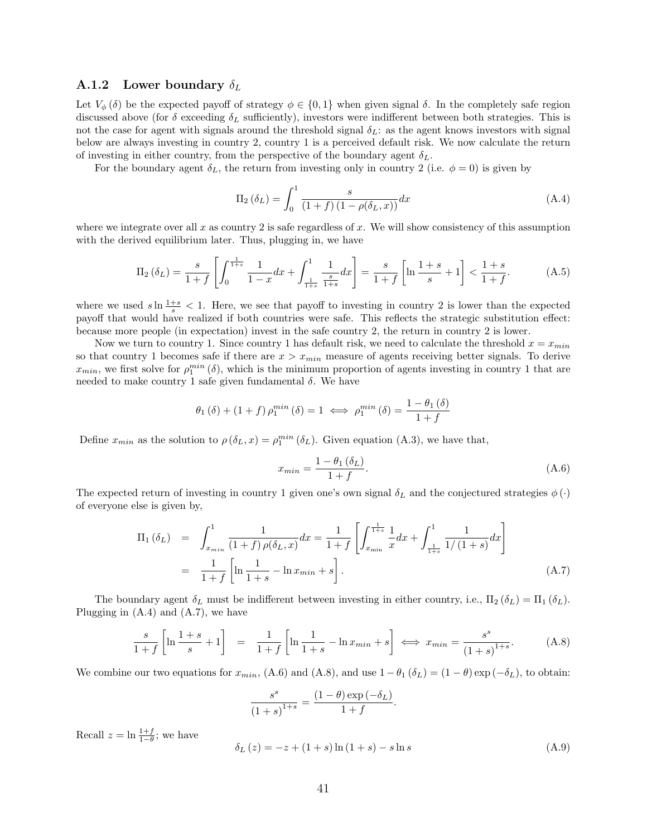#### **A.1.2** Lower boundary  $\delta_L$

Let  $V_{\phi}(\delta)$  be the expected payoff of strategy  $\phi \in \{0,1\}$  when given signal  $\delta$ . In the completely safe region discussed above (for  $\delta$  exceeding  $\delta_L$  sufficiently), investors were indifferent between both strategies. This is not the case for agent with signals around the threshold signal  $\delta_L$ : as the agent knows investors with signal below are always investing in country 2, country 1 is a perceived default risk. We now calculate the return of investing in either country, from the perspective of the boundary agent  $\delta_L$ .

For the boundary agent  $\delta_L$ , the return from investing only in country 2 (i.e.  $\phi = 0$ ) is given by

$$
\Pi_2\left(\delta_L\right) = \int_0^1 \frac{s}{\left(1+f\right)\left(1-\rho(\delta_L, x)\right)} dx\tag{A.4}
$$

where we integrate over all  $x$  as country 2 is safe regardless of  $x$ . We will show consistency of this assumption with the derived equilibrium later. Thus, plugging in, we have

$$
\Pi_2(\delta_L) = \frac{s}{1+f} \left[ \int_0^{\frac{1}{1+s}} \frac{1}{1-x} dx + \int_{\frac{1}{1+s}}^1 \frac{1}{\frac{s}{1+s}} dx \right] = \frac{s}{1+f} \left[ \ln \frac{1+s}{s} + 1 \right] < \frac{1+s}{1+f}. \tag{A.5}
$$

where we used  $s \ln \frac{1+s}{s} < 1$ . Here, we see that payoff to investing in country 2 is lower than the expected payoff that would have realized if both countries were safe. This reflects the strategic substitution effect: because more people (in expectation) invest in the safe country 2, the return in country 2 is lower.

Now we turn to country 1. Since country 1 has default risk, we need to calculate the threshold  $x = x_{min}$ so that country 1 becomes safe if there are  $x > x_{min}$  measure of agents receiving better signals. To derive  $x_{min}$ , we first solve for  $\rho_1^{min}(\delta)$ , which is the minimum proportion of agents investing in country 1 that are needed to make country 1 safe given fundamental  $\delta$ . We have

$$
\theta_1(\delta) + (1+f)\,\rho_1^{min}\left(\delta\right) = 1 \iff \rho_1^{min}\left(\delta\right) = \frac{1 - \theta_1(\delta)}{1 + f}
$$

Define  $x_{min}$  as the solution to  $\rho(\delta_L, x) = \rho_1^{min}(\delta_L)$ . Given equation (A.3), we have that,

$$
x_{min} = \frac{1 - \theta_1 \left(\delta_L\right)}{1 + f}.\tag{A.6}
$$

The expected return of investing in country 1 given one's own signal  $\delta_L$  and the conjectured strategies  $\phi(\cdot)$ of everyone else is given by,

$$
\Pi_{1}(\delta_{L}) = \int_{x_{min}}^{1} \frac{1}{(1+f)\rho(\delta_{L}, x)} dx = \frac{1}{1+f} \left[ \int_{x_{min}}^{\frac{1}{1+s}} \frac{1}{x} dx + \int_{\frac{1}{1+s}}^{1} \frac{1}{1/(1+s)} dx \right]
$$

$$
= \frac{1}{1+f} \left[ \ln \frac{1}{1+s} - \ln x_{min} + s \right].
$$
\n(A.7)

The boundary agent  $\delta_L$  must be indifferent between investing in either country, i.e.,  $\Pi_2(\delta_L) = \Pi_1(\delta_L)$ . Plugging in (A.4) and (A.7), we have

$$
\frac{s}{1+f} \left[ \ln \frac{1+s}{s} + 1 \right] = \frac{1}{1+f} \left[ \ln \frac{1}{1+s} - \ln x_{min} + s \right] \iff x_{min} = \frac{s^s}{\left(1+s\right)^{1+s}}.\tag{A.8}
$$

We combine our two equations for  $x_{min}$ , (A.6) and (A.8), and use  $1 - \theta_1 (\delta_L) = (1 - \theta) \exp(-\delta_L)$ , to obtain:

$$
\frac{s^{s}}{(1+s)^{1+s}} = \frac{(1-\theta)\exp(-\delta_L)}{1+f}.
$$

Recall  $z = \ln \frac{1+f}{1-\theta}$ ; we have

$$
\delta_L(z) = -z + (1+s)\ln(1+s) - s\ln s \tag{A.9}
$$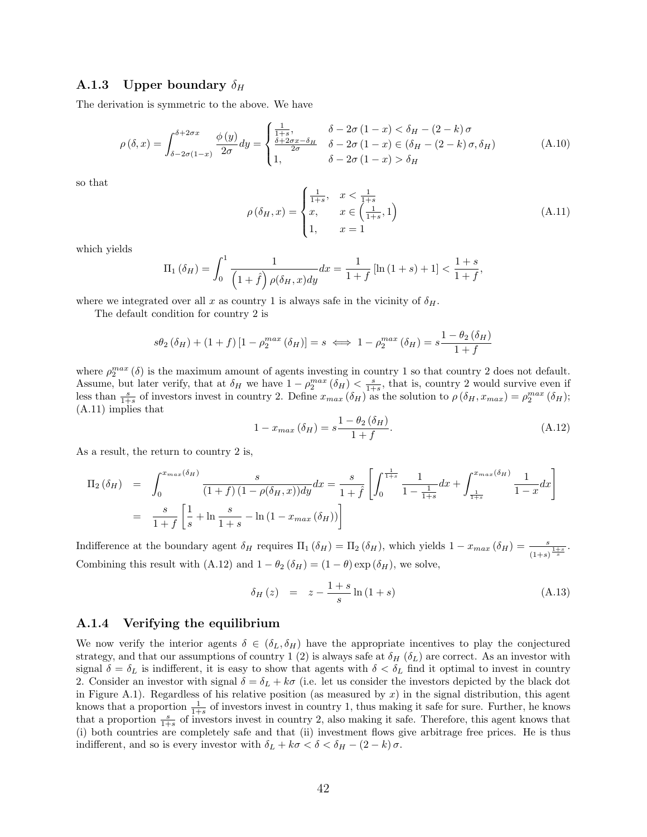#### **A.1.3** Upper boundary  $\delta_H$

The derivation is symmetric to the above. We have

$$
\rho(\delta, x) = \int_{\delta - 2\sigma(1-x)}^{\delta + 2\sigma x} \frac{\phi(y)}{2\sigma} dy = \begin{cases} \frac{1}{1+s}, & \delta - 2\sigma(1-x) < \delta_H - (2-k)\sigma\\ \frac{\delta + 2\sigma x - \delta_H}{2\sigma} & \delta - 2\sigma(1-x) \in (\delta_H - (2-k)\sigma, \delta_H) \\ 1, & \delta - 2\sigma(1-x) > \delta_H \end{cases}
$$
(A.10)

so that

$$
\rho(\delta_H, x) = \begin{cases} \frac{1}{1+s}, & x < \frac{1}{1+s} \\ x, & x \in \left(\frac{1}{1+s}, 1\right) \\ 1, & x = 1 \end{cases}
$$
\n(A.11)

which yields

$$
\Pi_1(\delta_H) = \int_0^1 \frac{1}{\left(1+\hat{f}\right)\rho(\delta_H, x)dy} dx = \frac{1}{1+f} \left[ \ln\left(1+s\right) + 1 \right] < \frac{1+s}{1+f},
$$

where we integrated over all x as country 1 is always safe in the vicinity of  $\delta_H$ .

The default condition for country 2 is

$$
s\theta_2(\delta_H) + (1+f)[1-\rho_2^{max}(\delta_H)] = s \iff 1-\rho_2^{max}(\delta_H) = s\frac{1-\theta_2(\delta_H)}{1+f}
$$

where  $\rho_2^{max}(\delta)$  is the maximum amount of agents investing in country 1 so that country 2 does not default. Assume, but later verify, that at  $\delta_H$  we have  $1 - \rho_2^{max}(\delta_H) < \frac{s}{1+s}$ , that is, country 2 would survive even if less than  $\frac{s}{1+s}$  of investors invest in country 2. Define  $x_{max}(\delta_H)$  as the solution to  $\rho(\delta_H, x_{max}) = \rho_2^{max}(\delta_H)$ ; (A.11) implies that

$$
1 - x_{max} \left( \delta_H \right) = s \frac{1 - \theta_2 \left( \delta_H \right)}{1 + f}.
$$
\n(A.12)

As a result, the return to country 2 is,

$$
\Pi_2(\delta_H) = \int_0^{x_{max}(\delta_H)} \frac{s}{(1+f)(1-\rho(\delta_H, x))dy} dx = \frac{s}{1+\hat{f}} \left[ \int_0^{\frac{1}{1+s}} \frac{1}{1-\frac{1}{1+s}} dx + \int_{\frac{1}{1+s}}^{x_{max}(\delta_H)} \frac{1}{1-x} dx \right]
$$
  
=  $\frac{s}{1+f} \left[ \frac{1}{s} + \ln \frac{s}{1+s} - \ln (1-x_{max}(\delta_H)) \right]$ 

Indifference at the boundary agent  $\delta_H$  requires  $\Pi_1(\delta_H) = \Pi_2(\delta_H)$ , which yields  $1 - x_{max}(\delta_H) = \frac{s}{(1+s)^{\frac{1+s}{s}}}.$ Combining this result with (A.12) and  $1 - \theta_2 (\delta_H) = (1 - \theta) \exp (\delta_H)$ , we solve,

$$
\delta_H(z) = z - \frac{1+s}{s} \ln(1+s) \tag{A.13}
$$

#### A.1.4 Verifying the equilibrium

We now verify the interior agents  $\delta \in (\delta_L, \delta_H)$  have the appropriate incentives to play the conjectured strategy, and that our assumptions of country 1 (2) is always safe at  $\delta_H$  ( $\delta_L$ ) are correct. As an investor with signal  $\delta = \delta_L$  is indifferent, it is easy to show that agents with  $\delta < \delta_L$  find it optimal to invest in country 2. Consider an investor with signal  $\delta = \delta_L + k\sigma$  (i.e. let us consider the investors depicted by the black dot in Figure A.1). Regardless of his relative position (as measured by  $x$ ) in the signal distribution, this agent knows that a proportion  $\frac{1}{1+s}$  of investors invest in country 1, thus making it safe for sure. Further, he knows that a proportion  $\frac{s}{1+s}$  of investors invest in country 2, also making it safe. Therefore, this agent knows that (i) both countries are completely safe and that (ii) investment flows give arbitrage free prices. He is thus indifferent, and so is every investor with  $\delta_L + k\sigma < \delta < \delta_H - (2 - k)\sigma$ .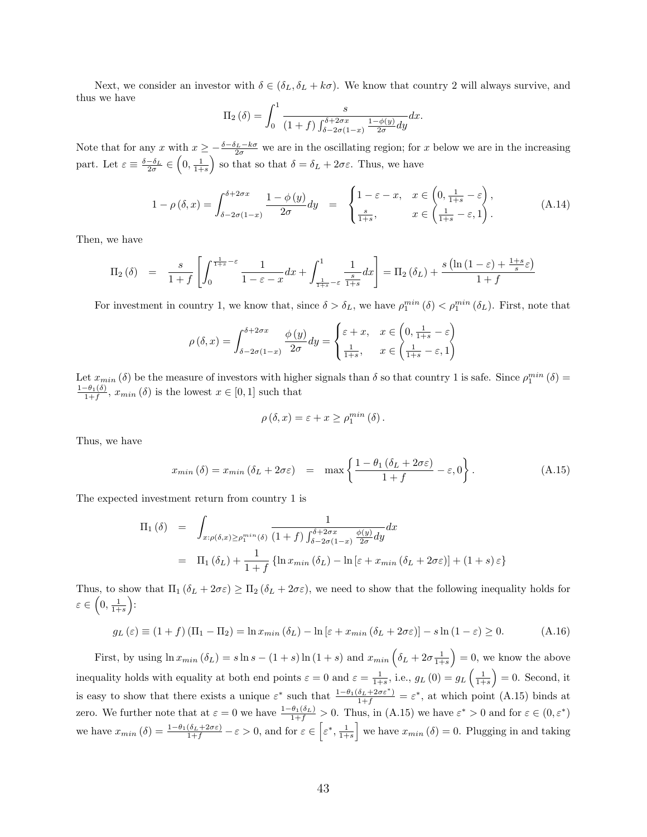Next, we consider an investor with  $\delta \in (\delta_L, \delta_L + k\sigma)$ . We know that country 2 will always survive, and thus we have

$$
\Pi_2(\delta) = \int_0^1 \frac{s}{(1+f) \int_{\delta-2\sigma(1-x)}^{\delta+2\sigma x} \frac{1-\phi(y)}{2\sigma} dy} dx.
$$

Note that for any x with  $x \ge -\frac{\delta-\delta_L-k\sigma}{2\sigma}$  we are in the oscillating region; for x below we are in the increasing part. Let  $\varepsilon \equiv \frac{\delta - \delta_L}{2\sigma} \in \left(0, \frac{1}{1+s}\right)$  so that so that  $\delta = \delta_L + 2\sigma\varepsilon$ . Thus, we have

$$
1 - \rho(\delta, x) = \int_{\delta - 2\sigma(1-x)}^{\delta + 2\sigma x} \frac{1 - \phi(y)}{2\sigma} dy = \begin{cases} 1 - \varepsilon - x, & x \in \left(0, \frac{1}{1+s} - \varepsilon\right), \\ \frac{s}{1+s}, & x \in \left(\frac{1}{1+s} - \varepsilon, 1\right). \end{cases}
$$
(A.14)

Then, we have

$$
\Pi_2(\delta) = \frac{s}{1+f} \left[ \int_0^{\frac{1}{1+s}-\varepsilon} \frac{1}{1-\varepsilon-x} dx + \int_{\frac{1}{1+s}-\varepsilon}^1 \frac{1}{\frac{s}{1+s}} dx \right] = \Pi_2(\delta_L) + \frac{s \left( \ln\left(1-\varepsilon\right) + \frac{1+s}{s} \varepsilon \right)}{1+f}
$$

For investment in country 1, we know that, since  $\delta > \delta_L$ , we have  $\rho_1^{min}(\delta) < \rho_1^{min}(\delta_L)$ . First, note that

$$
\rho(\delta, x) = \int_{\delta - 2\sigma(1-x)}^{\delta + 2\sigma x} \frac{\phi(y)}{2\sigma} dy = \begin{cases} \varepsilon + x, & x \in \left(0, \frac{1}{1+s} - \varepsilon\right) \\ \frac{1}{1+s}, & x \in \left(\frac{1}{1+s} - \varepsilon, 1\right) \end{cases}
$$

Let  $x_{min}(\delta)$  be the measure of investors with higher signals than  $\delta$  so that country 1 is safe. Since  $\rho_1^{min}(\delta)$  =  $\frac{1-\theta_1(\delta)}{1+f}$ ,  $x_{min}(\delta)$  is the lowest  $x \in [0,1]$  such that

$$
\rho\left(\delta,x\right) = \varepsilon + x \ge \rho_1^{min}\left(\delta\right).
$$

Thus, we have

$$
x_{min}(\delta) = x_{min}(\delta_L + 2\sigma \varepsilon) = \max \left\{ \frac{1 - \theta_1(\delta_L + 2\sigma \varepsilon)}{1 + f} - \varepsilon, 0 \right\}.
$$
 (A.15)

The expected investment return from country 1 is

$$
\Pi_1(\delta) = \int_{x:\rho(\delta,x)\geq \rho_1^{min}(\delta)} \frac{1}{(1+f)\int_{\delta-2\sigma(1-x)}^{\delta+2\sigma x} \frac{\phi(y)}{2\sigma} dy} dx
$$
  
\n
$$
= \Pi_1(\delta_L) + \frac{1}{1+f} \{\ln x_{min}(\delta_L) - \ln \left[\varepsilon + x_{min}(\delta_L + 2\sigma \varepsilon)\right] + (1+s)\varepsilon\}
$$

Thus, to show that  $\Pi_1 (\delta_L + 2\sigma \varepsilon) \geq \Pi_2 (\delta_L + 2\sigma \varepsilon)$ , we need to show that the following inequality holds for  $\varepsilon \in \left(0, \frac{1}{1+s}\right)$ :

$$
g_L(\varepsilon) \equiv (1+f)\left(\Pi_1 - \Pi_2\right) = \ln x_{min}\left(\delta_L\right) - \ln\left[\varepsilon + x_{min}\left(\delta_L + 2\sigma\varepsilon\right)\right] - s\ln\left(1-\varepsilon\right) \ge 0. \tag{A.16}
$$

First, by using  $\ln x_{min} (\delta_L) = s \ln s - (1+s) \ln (1+s)$  and  $x_{min} (\delta_L + 2\sigma \frac{1}{1+s}) = 0$ , we know the above inequality holds with equality at both end points  $\varepsilon = 0$  and  $\varepsilon = \frac{1}{1+s}$ , i.e.,  $g_L(0) = g_L\left(\frac{1}{1+s}\right) = 0$ . Second, it is easy to show that there exists a unique  $\varepsilon^*$  such that  $\frac{1-\theta_1(\delta_L+2\sigma\varepsilon^*)}{1+f} = \varepsilon^*$ , at which point (A.15) binds at zero. We further note that at  $\varepsilon = 0$  we have  $\frac{1-\theta_1(\delta_L)}{1+f} > 0$ . Thus, in (A.15) we have  $\varepsilon^* > 0$  and for  $\varepsilon \in (0, \varepsilon^*)$ we have  $x_{min}(\delta) = \frac{1-\theta_1(\delta_L+2\sigma\varepsilon)}{1+f} - \varepsilon > 0$ , and for  $\varepsilon \in \left[\varepsilon^*, \frac{1}{1+s}\right]$  we have  $x_{min}(\delta) = 0$ . Plugging in and taking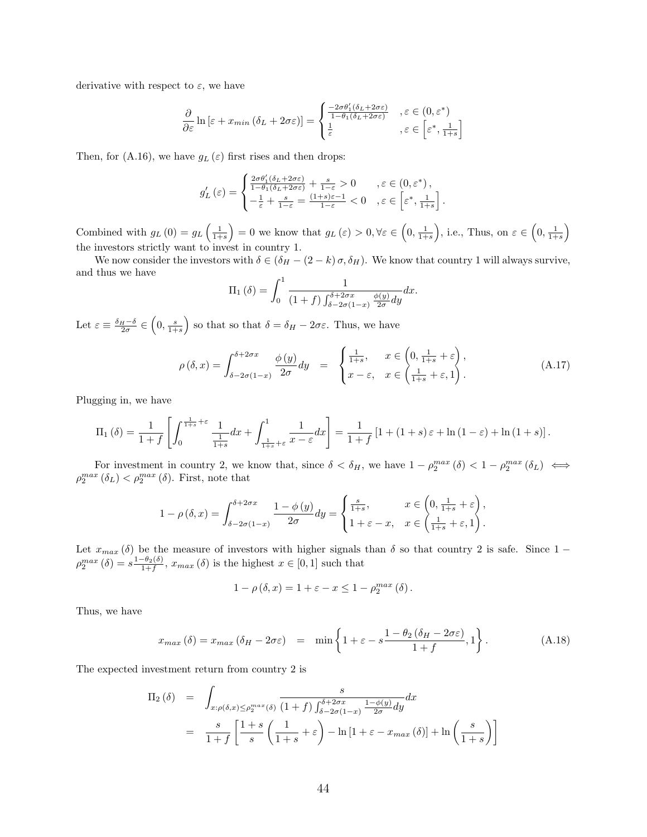derivative with respect to  $\varepsilon$ , we have

$$
\frac{\partial}{\partial \varepsilon} \ln \left[ \varepsilon + x_{min} \left( \delta_L + 2 \sigma \varepsilon \right) \right] = \begin{cases} \frac{-2 \sigma \theta_1'(\delta_L + 2 \sigma \varepsilon)}{1 - \theta_1(\delta_L + 2 \sigma \varepsilon)} & , \varepsilon \in (0, \varepsilon^*)\\ \frac{1}{\varepsilon} & , \varepsilon \in \left[ \varepsilon^*, \frac{1}{1 + s} \right] \end{cases}
$$

Then, for (A.16), we have  $g_L(\varepsilon)$  first rises and then drops:

$$
g'_L(\varepsilon) = \begin{cases} \frac{2\sigma\theta'_1(\delta_L + 2\sigma\varepsilon)}{1 - \theta_1(\delta_L + 2\sigma\varepsilon)} + \frac{s}{1 - \varepsilon} > 0 & , \varepsilon \in (0, \varepsilon^*), \\ -\frac{1}{\varepsilon} + \frac{s}{1 - \varepsilon} = \frac{(1 + s)\varepsilon - 1}{1 - \varepsilon} < 0 & , \varepsilon \in \left[\varepsilon^*, \frac{1}{1 + s}\right]. \end{cases}
$$

Combined with  $g_L(0) = g_L\left(\frac{1}{1+s}\right) = 0$  we know that  $g_L(\varepsilon) > 0, \forall \varepsilon \in \left(0, \frac{1}{1+s}\right)$ , i.e., Thus, on  $\varepsilon \in \left(0, \frac{1}{1+s}\right)$ the investors strictly want to invest in country 1.

We now consider the investors with  $\delta \in (\delta_H - (2 - k) \sigma, \delta_H)$ . We know that country 1 will always survive, and thus we have

$$
\Pi_1(\delta) = \int_0^1 \frac{1}{(1+f) \int_{\delta-2\sigma(1-x)}^{\delta+2\sigma x} \frac{\phi(y)}{2\sigma} dy} dx.
$$

Let  $\varepsilon \equiv \frac{\delta_H-\delta}{2\sigma} \in \left(0, \frac{s}{1+s}\right)$  so that so that  $\delta = \delta_H - 2\sigma\varepsilon$ . Thus, we have

$$
\rho\left(\delta,x\right) = \int_{\delta - 2\sigma(1-x)}^{\delta + 2\sigma x} \frac{\phi\left(y\right)}{2\sigma} dy \quad = \quad \begin{cases} \frac{1}{1+s}, & x \in \left(0, \frac{1}{1+s} + \varepsilon\right), \\ x - \varepsilon, & x \in \left(\frac{1}{1+s} + \varepsilon, 1\right). \end{cases} \tag{A.17}
$$

Plugging in, we have

$$
\Pi_1(\delta) = \frac{1}{1+f} \left[ \int_0^{\frac{1}{1+s}+\varepsilon} \frac{1}{\frac{1}{1+s}} dx + \int_{\frac{1}{1+s}+\varepsilon}^1 \frac{1}{x-\varepsilon} dx \right] = \frac{1}{1+f} \left[ 1+(1+s)\varepsilon + \ln(1-\varepsilon) + \ln(1+s) \right].
$$

For investment in country 2, we know that, since  $\delta < \delta_H$ , we have  $1 - \rho_2^{max}(\delta) < 1 - \rho_2^{max}(\delta_L) \iff$  $\rho_2^{max}(\delta_L) < \rho_2^{max}(\delta)$ . First, note that

$$
1 - \rho(\delta, x) = \int_{\delta - 2\sigma(1-x)}^{\delta + 2\sigma x} \frac{1 - \phi(y)}{2\sigma} dy = \begin{cases} \frac{s}{1+s}, & x \in \left(0, \frac{1}{1+s} + \varepsilon\right), \\ 1 + \varepsilon - x, & x \in \left(\frac{1}{1+s} + \varepsilon, 1\right). \end{cases}
$$

Let  $x_{max}$  (δ) be the measure of investors with higher signals than δ so that country 2 is safe. Since 1 −  $\rho_2^{max}(\delta) = s \frac{1-\theta_2(\delta)}{1+f}, \ x_{max}(\delta)$  is the highest  $x \in [0,1]$  such that

$$
1 - \rho(\delta, x) = 1 + \varepsilon - x \le 1 - \rho_2^{max}(\delta).
$$

Thus, we have

$$
x_{max}(\delta) = x_{max}(\delta_H - 2\sigma \varepsilon) = \min\left\{1 + \varepsilon - s \frac{1 - \theta_2(\delta_H - 2\sigma \varepsilon)}{1 + f}, 1\right\}.
$$
 (A.18)

The expected investment return from country 2 is

$$
\Pi_2(\delta) = \int_{x:\rho(\delta,x)\leq\rho_2^{max}(\delta)} \frac{s}{(1+f)\int_{\delta-2\sigma(1-x)}^{\delta+2\sigma x} \frac{1-\phi(y)}{2\sigma} dy} dx
$$
  

$$
= \frac{s}{1+f} \left[ \frac{1+s}{s} \left( \frac{1}{1+s} + \varepsilon \right) - \ln\left[1+\varepsilon-x_{max}(\delta)\right] + \ln\left(\frac{s}{1+s}\right) \right]
$$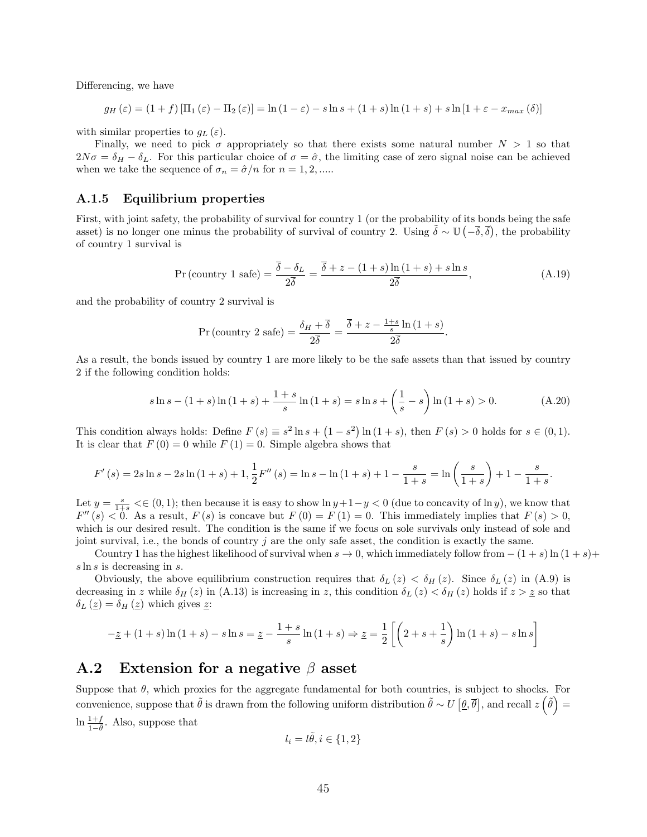Differencing, we have

$$
g_H(\varepsilon) = (1 + f) [\Pi_1(\varepsilon) - \Pi_2(\varepsilon)] = \ln (1 - \varepsilon) - s \ln s + (1 + s) \ln (1 + s) + s \ln [1 + \varepsilon - x_{max}(\delta)]
$$

with similar properties to  $q_L(\varepsilon)$ .

Finally, we need to pick  $\sigma$  appropriately so that there exists some natural number  $N > 1$  so that  $2N\sigma = \delta_H - \delta_L$ . For this particular choice of  $\sigma = \hat{\sigma}$ , the limiting case of zero signal noise can be achieved when we take the sequence of  $\sigma_n = \hat{\sigma}/n$  for  $n = 1, 2, \dots$ .

#### A.1.5 Equilibrium properties

First, with joint safety, the probability of survival for country 1 (or the probability of its bonds being the safe asset) is no longer one minus the probability of survival of country 2. Using  $\tilde{\delta} \sim \mathbb{U}(-\bar{\delta}, \bar{\delta})$ , the probability of country 1 survival is

$$
\Pr\left(\text{country 1 safe}\right) = \frac{\overline{\delta} - \delta_L}{2\overline{\delta}} = \frac{\overline{\delta} + z - (1+s)\ln\left(1+s\right) + s\ln s}{2\overline{\delta}},\tag{A.19}
$$

and the probability of country 2 survival is

$$
\Pr\left(\text{country 2 safe}\right) = \frac{\delta_H + \overline{\delta}}{2\overline{\delta}} = \frac{\overline{\delta} + z - \frac{1+s}{s}\ln\left(1+s\right)}{2\overline{\delta}}.
$$

As a result, the bonds issued by country 1 are more likely to be the safe assets than that issued by country 2 if the following condition holds:

$$
s \ln s - (1+s) \ln (1+s) + \frac{1+s}{s} \ln (1+s) = s \ln s + \left(\frac{1}{s} - s\right) \ln (1+s) > 0. \tag{A.20}
$$

This condition always holds: Define  $F(s) \equiv s^2 \ln s + (1 - s^2) \ln (1 + s)$ , then  $F(s) > 0$  holds for  $s \in (0, 1)$ . It is clear that  $F(0) = 0$  while  $F(1) = 0$ . Simple algebra shows that

$$
F'(s) = 2s \ln s - 2s \ln \left(1 + s\right) + 1, \frac{1}{2} F''(s) = \ln s - \ln \left(1 + s\right) + 1 - \frac{s}{1 + s} = \ln \left(\frac{s}{1 + s}\right) + 1 - \frac{s}{1 + s}.
$$

Let  $y = \frac{s}{1+s} < \in (0,1)$ ; then because it is easy to show  $\ln y + 1 - y < 0$  (due to concavity of  $\ln y$ ), we know that  $F''(s) < 0$ . As a result,  $F(s)$  is concave but  $F(0) = F(1) = 0$ . This immediately implies that  $F(s) > 0$ , which is our desired result. The condition is the same if we focus on sole survivals only instead of sole and joint survival, i.e., the bonds of country  $j$  are the only safe asset, the condition is exactly the same.

Country 1 has the highest likelihood of survival when  $s \to 0$ , which immediately follow from  $-(1 + s) \ln(1 + s)$ + s ln s is decreasing in s.

Obviously, the above equilibrium construction requires that  $\delta_L(z) < \delta_H(z)$ . Since  $\delta_L(z)$  in (A.9) is decreasing in z while  $\delta_H(z)$  in (A.13) is increasing in z, this condition  $\delta_L(z) < \delta_H(z)$  holds if  $z > z$  so that  $\delta_L(\underline{z}) = \delta_H(\underline{z})$  which gives  $\underline{z}$ :

$$
-z + (1+s)\ln(1+s) - s\ln s = z - \frac{1+s}{s}\ln(1+s) \Rightarrow z = \frac{1}{2}\left[\left(2+s+\frac{1}{s}\right)\ln(1+s) - s\ln s\right]
$$

### A.2 Extension for a negative  $\beta$  asset

Suppose that  $\theta$ , which proxies for the aggregate fundamental for both countries, is subject to shocks. For convenience, suppose that  $\tilde{\theta}$  is drawn from the following uniform distribution  $\tilde{\theta} \sim U\left[\underline{\theta}, \overline{\theta}\right]$ , and recall  $z\left(\tilde{\theta}\right) =$ ln  $\frac{1+f}{1-\tilde{\theta}}$ . Also, suppose that

$$
l_i=l\tilde{\theta}, i\in\{1,2\}
$$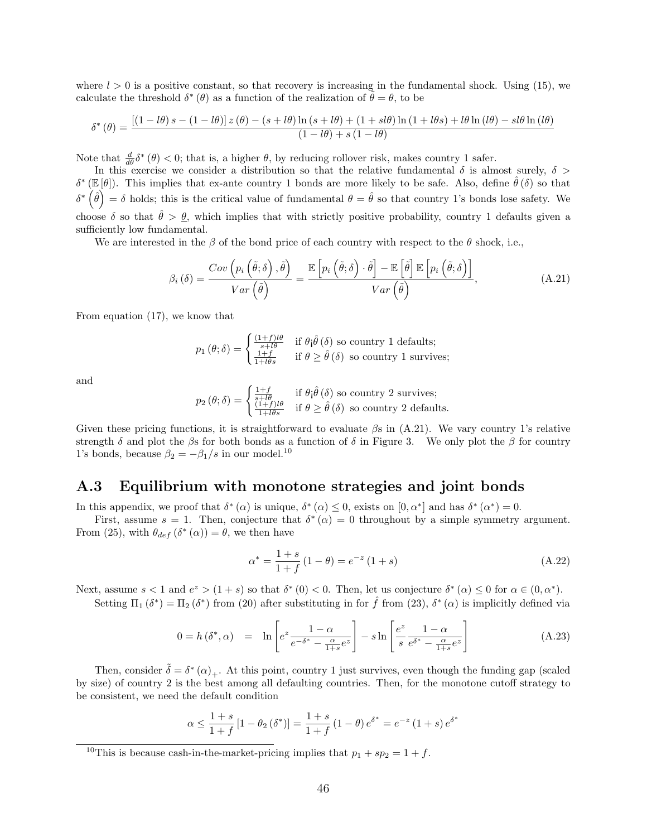where  $l > 0$  is a positive constant, so that recovery is increasing in the fundamental shock. Using (15), we calculate the threshold  $\delta^*(\theta)$  as a function of the realization of  $\tilde{\theta} = \theta$ , to be

$$
\delta^* (\theta) = \frac{\left[ (1 - l\theta) s - (1 - l\theta) \right] z (\theta) - (s + l\theta) \ln (s + l\theta) + (1 + s l\theta) \ln (1 + l\theta s) + l\theta \ln (l\theta) - s l\theta \ln (l\theta)}{(1 - l\theta) + s (1 - l\theta)}
$$

Note that  $\frac{d}{d\theta} \delta^* (\theta) < 0$ ; that is, a higher  $\theta$ , by reducing rollover risk, makes country 1 safer.

In this exercise we consider a distribution so that the relative fundamental  $\delta$  is almost surely,  $\delta$ δ<sup>\*</sup> ( $\mathbb{E}[\theta]$ ). This implies that ex-ante country 1 bonds are more likely to be safe. Also, define  $\hat{\theta}(\delta)$  so that  $\delta^*$   $(\hat{\theta}) = \delta$  holds; this is the critical value of fundamental  $\theta = \hat{\theta}$  so that country 1's bonds lose safety. We choose  $\delta$  so that  $\hat{\theta} > \theta$ , which implies that with strictly positive probability, country 1 defaults given a sufficiently low fundamental.

We are interested in the  $\beta$  of the bond price of each country with respect to the  $\theta$  shock, i.e.,

$$
\beta_{i}(\delta) = \frac{Cov\left(p_{i}\left(\tilde{\theta};\delta\right),\tilde{\theta}\right)}{Var\left(\tilde{\theta}\right)} = \frac{\mathbb{E}\left[p_{i}\left(\tilde{\theta};\delta\right)\cdot\tilde{\theta}\right] - \mathbb{E}\left[\tilde{\theta}\right]\mathbb{E}\left[p_{i}\left(\tilde{\theta};\delta\right)\right]}{Var\left(\tilde{\theta}\right)},\tag{A.21}
$$

From equation (17), we know that

$$
p_1(\theta; \delta) = \begin{cases} \frac{(1+f)l\theta}{s+l\theta} & \text{if } \theta \text{ if } \theta \text{ if } \delta \text{ is } \delta \text{ is } 1 \text{ otherwise;} \\ \frac{1+f}{1+l\theta s} & \text{if } \theta \ge \hat{\theta} \text{ if } \delta \text{ is } 1 \text{ survives;} \end{cases}
$$

and

$$
p_2(\theta; \delta) = \begin{cases} \frac{1+f}{s+l\theta} & \text{if } \theta \text{ if } \theta \text{ if } \delta \text{ is } \delta \text{ is } 2 \text{ survives;}\\ \frac{(1+f)l\theta}{1+l\theta s} & \text{if } \theta \geq \hat{\theta} \text{ (}\delta \text{ is } 2 \text{ outputs? 2 defaults.} \end{cases}
$$

Given these pricing functions, it is straightforward to evaluate  $\beta$ s in (A.21). We vary country 1's relative strength  $\delta$  and plot the  $\beta$ s for both bonds as a function of  $\delta$  in Figure 3. We only plot the  $\beta$  for country 1's bonds, because  $\beta_2 = -\beta_1/s$  in our model.<sup>10</sup>

## A.3 Equilibrium with monotone strategies and joint bonds

In this appendix, we proof that  $\delta^*(\alpha)$  is unique,  $\delta^*(\alpha) \leq 0$ , exists on  $[0, \alpha^*]$  and has  $\delta^*(\alpha^*) = 0$ .

First, assume  $s = 1$ . Then, conjecture that  $\delta^*(\alpha) = 0$  throughout by a simple symmetry argument. From (25), with  $\theta_{def}(\delta^*(\alpha)) = \theta$ , we then have

$$
\alpha^* = \frac{1+s}{1+f} \left( 1 - \theta \right) = e^{-z} \left( 1 + s \right) \tag{A.22}
$$

Next, assume  $s < 1$  and  $e^z > (1 + s)$  so that  $\delta^*(0) < 0$ . Then, let us conjecture  $\delta^*(\alpha) \leq 0$  for  $\alpha \in (0, \alpha^*)$ .

Setting  $\Pi_1(\delta^*) = \Pi_2(\delta^*)$  from (20) after substituting in for  $\hat{f}$  from (23),  $\delta^*(\alpha)$  is implicitly defined via

$$
0 = h\left(\delta^*, \alpha\right) = \ln\left[e^z \frac{1-\alpha}{e^{-\delta^*} - \frac{\alpha}{1+s}e^z}\right] - s\ln\left[\frac{e^z}{s}\frac{1-\alpha}{e^{\delta^*} - \frac{\alpha}{1+s}e^z}\right]
$$
(A.23)

Then, consider  $\tilde{\delta} = \delta^* (\alpha)_+$ . At this point, country 1 just survives, even though the funding gap (scaled by size) of country 2 is the best among all defaulting countries. Then, for the monotone cutoff strategy to be consistent, we need the default condition

$$
\alpha \le \frac{1+s}{1+f} \left[ 1 - \theta_2 \left( \delta^* \right) \right] = \frac{1+s}{1+f} \left( 1 - \theta \right) e^{\delta^*} = e^{-z} \left( 1+s \right) e^{\delta^*}
$$

<sup>&</sup>lt;sup>10</sup>This is because cash-in-the-market-pricing implies that  $p_1 + sp_2 = 1 + f$ .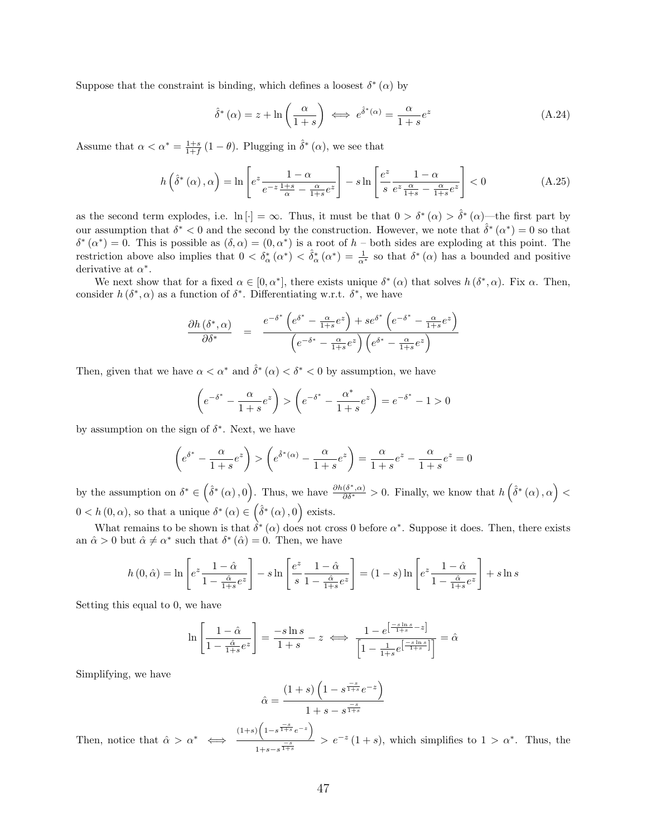Suppose that the constraint is binding, which defines a loosest  $\delta^* (\alpha)$  by

$$
\hat{\delta}^*(\alpha) = z + \ln\left(\frac{\alpha}{1+s}\right) \iff e^{\hat{\delta}^*(\alpha)} = \frac{\alpha}{1+s}e^z \tag{A.24}
$$

Assume that  $\alpha < \alpha^* = \frac{1+s}{1+f} (1-\theta)$ . Plugging in  $\hat{\delta}^*(\alpha)$ , we see that

$$
h\left(\hat{\delta}^*(\alpha),\alpha\right) = \ln\left[e^z \frac{1-\alpha}{e^{-z\frac{1+s}{\alpha}} - \frac{\alpha}{1+s}e^z}\right] - s\ln\left[\frac{e^z}{s}\frac{1-\alpha}{e^z\frac{\alpha}{1+s} - \frac{\alpha}{1+s}e^z}\right] < 0\tag{A.25}
$$

as the second term explodes, i.e.  $\ln[\cdot] = \infty$ . Thus, it must be that  $0 > \delta^*(\alpha) > \hat{\delta}^*(\alpha)$ —the first part by our assumption that  $\delta^* < 0$  and the second by the construction. However, we note that  $\hat{\delta}^* (\alpha^*) = 0$  so that  $\delta^*(\alpha^*) = 0$ . This is possible as  $(\delta, \alpha) = (0, \alpha^*)$  is a root of  $h$  – both sides are exploding at this point. The restriction above also implies that  $0 < \delta_{\alpha}^{*}(\alpha^{*}) < \hat{\delta}_{\alpha}^{*}(\alpha^{*}) = \frac{1}{\alpha^{*}}$  so that  $\delta^{*}(\alpha)$  has a bounded and positive derivative at  $\alpha^*$ .

We next show that for a fixed  $\alpha \in [0, \alpha^*]$ , there exists unique  $\delta^*(\alpha)$  that solves  $h(\delta^*, \alpha)$ . Fix  $\alpha$ . Then, consider  $h(\delta^*, \alpha)$  as a function of  $\delta^*$ . Differentiating w.r.t.  $\delta^*$ , we have

$$
\frac{\partial h\left(\delta^*,\alpha\right)}{\partial\delta^*} = \frac{e^{-\delta^*}\left(e^{\delta^*}-\frac{\alpha}{1+s}e^z\right)+se^{\delta^*}\left(e^{-\delta^*}-\frac{\alpha}{1+s}e^z\right)}{\left(e^{-\delta^*}-\frac{\alpha}{1+s}e^z\right)\left(e^{\delta^*}-\frac{\alpha}{1+s}e^z\right)}
$$

Then, given that we have  $\alpha < \alpha^*$  and  $\hat{\delta}^* (\alpha) < \delta^* < 0$  by assumption, we have

$$
\left(e^{-\delta^*} - \frac{\alpha}{1+s}e^z\right) > \left(e^{-\delta^*} - \frac{\alpha^*}{1+s}e^z\right) = e^{-\delta^*} - 1 > 0
$$

by assumption on the sign of  $\delta^*$ . Next, we have

$$
\left(e^{\delta^*} - \frac{\alpha}{1+s}e^z\right) > \left(e^{\delta^*(\alpha)} - \frac{\alpha}{1+s}e^z\right) = \frac{\alpha}{1+s}e^z - \frac{\alpha}{1+s}e^z = 0
$$

by the assumption on  $\delta^* \in (\hat{\delta}^*(\alpha), 0)$ . Thus, we have  $\frac{\partial h(\delta^*, \alpha)}{\partial \delta^*} > 0$ . Finally, we know that  $h(\hat{\delta}^*(\alpha), \alpha) <$  $0 < h(0, \alpha)$ , so that a unique  $\delta^*(\alpha) \in (\hat{\delta}^*(\alpha), 0)$  exists.

What remains to be shown is that  $\delta^*(\alpha)$  does not cross 0 before  $\alpha^*$ . Suppose it does. Then, there exists an  $\hat{\alpha} > 0$  but  $\hat{\alpha} \neq \alpha^*$  such that  $\delta^* (\hat{\alpha}) = 0$ . Then, we have

$$
h(0,\hat{\alpha}) = \ln\left[e^z \frac{1-\hat{\alpha}}{1-\frac{\hat{\alpha}}{1+s}e^z}\right] - s\ln\left[\frac{e^z}{s} \frac{1-\hat{\alpha}}{1-\frac{\hat{\alpha}}{1+s}e^z}\right] = (1-s)\ln\left[e^z \frac{1-\hat{\alpha}}{1-\frac{\hat{\alpha}}{1+s}e^z}\right] + s\ln s
$$

Setting this equal to 0, we have

$$
\ln\left[\frac{1-\hat{\alpha}}{1-\frac{\hat{\alpha}}{1+s}e^z}\right] = \frac{-s\ln s}{1+s} - z \iff \frac{1-e^{\left[\frac{-s\ln s}{1+s} - z\right]}}{\left[1-\frac{1}{1+s}e^{\left[\frac{-s\ln s}{1+s}\right]}\right]} = \hat{\alpha}
$$

Simplifying, we have

$$
\hat{\alpha} = \frac{(1+s)\left(1 - s^{\frac{-s}{1+s}}e^{-z}\right)}{1 + s - s^{\frac{-s}{1+s}}}
$$

Then, notice that  $\hat{\alpha} > \alpha^* \iff \frac{(1+s)\left(1-s^{\frac{-s}{1+s}}e^{-z}\right)}{-s}$  $\frac{1}{1+s-s^{\frac{-s}{1+s}}} > e^{-z}(1+s)$ , which simplifies to  $1 > \alpha^*$ . Thus, the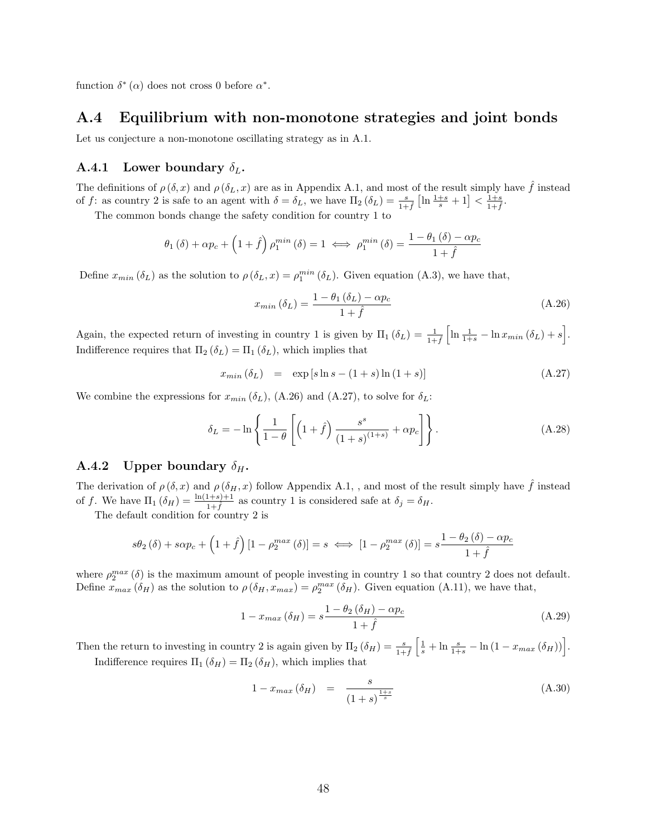function  $\delta^*(\alpha)$  does not cross 0 before  $\alpha^*$ .

#### A.4 Equilibrium with non-monotone strategies and joint bonds

Let us conjecture a non-monotone oscillating strategy as in A.1.

#### **A.4.1** Lower boundary  $\delta_L$ .

The definitions of  $\rho(\delta, x)$  and  $\rho(\delta_L, x)$  are as in Appendix A.1, and most of the result simply have  $\hat{f}$  instead of f: as country 2 is safe to an agent with  $\delta = \delta_L$ , we have  $\Pi_2(\delta_L) = \frac{s}{1+\hat{f}} \left[ \ln \frac{1+s}{s} + 1 \right] < \frac{1+s}{1+\hat{f}}$ .

The common bonds change the safety condition for country 1 to

$$
\theta_1(\delta) + \alpha p_c + \left(1 + \hat{f}\right) \rho_1^{min}(\delta) = 1 \iff \rho_1^{min}(\delta) = \frac{1 - \theta_1(\delta) - \alpha p_c}{1 + \hat{f}}
$$

Define  $x_{min}(\delta_L)$  as the solution to  $\rho(\delta_L, x) = \rho_1^{min}(\delta_L)$ . Given equation (A.3), we have that,

$$
x_{min} (\delta_L) = \frac{1 - \theta_1 (\delta_L) - \alpha p_c}{1 + \hat{f}} \tag{A.26}
$$

Again, the expected return of investing in country 1 is given by  $\Pi_1(\delta_L) = \frac{1}{1+\hat{f}}$  $\left[\ln\frac{1}{1+s}-\ln x_{min}\left(\delta_{L}\right)+s\right].$ Indifference requires that  $\Pi_2(\delta_L) = \Pi_1(\delta_L)$ , which implies that

$$
x_{min} (\delta_L) = \exp [s \ln s - (1+s) \ln (1+s)] \tag{A.27}
$$

We combine the expressions for  $x_{min}$  ( $\delta_L$ ), (A.26) and (A.27), to solve for  $\delta_L$ :

$$
\delta_L = -\ln\left\{\frac{1}{1-\theta}\left[\left(1+\hat{f}\right)\frac{s^s}{\left(1+s\right)^{(1+s)}} + \alpha p_c\right]\right\}.
$$
\n(A.28)

#### **A.4.2** Upper boundary  $\delta_H$ .

The derivation of  $\rho(\delta, x)$  and  $\rho(\delta_H, x)$  follow Appendix A.1, , and most of the result simply have  $\hat{f}$  instead of f. We have  $\Pi_1(\delta_H) = \frac{\ln(1+s)+1}{1+\hat{f}}$  as country 1 is considered safe at  $\delta_j = \delta_H$ .

The default condition for country 2 is

$$
s\theta_2(\delta) + s\alpha p_c + \left(1+\hat{f}\right)\left[1-\rho_2^{max}\left(\delta\right)\right] = s \iff \left[1-\rho_2^{max}\left(\delta\right)\right] = s\frac{1-\theta_2\left(\delta\right)-\alpha p_c}{1+\hat{f}}
$$

where  $\rho_2^{max}(\delta)$  is the maximum amount of people investing in country 1 so that country 2 does not default. Define  $x_{max}(\delta_H)$  as the solution to  $\rho(\delta_H, x_{max}) = \rho_2^{max}(\delta_H)$ . Given equation (A.11), we have that,

$$
1 - x_{max} \left( \delta_H \right) = s \frac{1 - \theta_2 \left( \delta_H \right) - \alpha p_c}{1 + \hat{f}}
$$
\n(A.29)

Then the return to investing in country 2 is again given by  $\Pi_2(\delta_H) = \frac{s}{1+\hat{f}}$  $\left[\frac{1}{s} + \ln \frac{s}{1+s} - \ln (1 - x_{max} (\delta_H))\right].$ 

Indifference requires  $\Pi_1 (\delta_H) = \Pi_2 (\delta_H)$ , which implies that

$$
1 - x_{max} (\delta_H) = \frac{s}{(1+s)^{\frac{1+s}{s}}}
$$
 (A.30)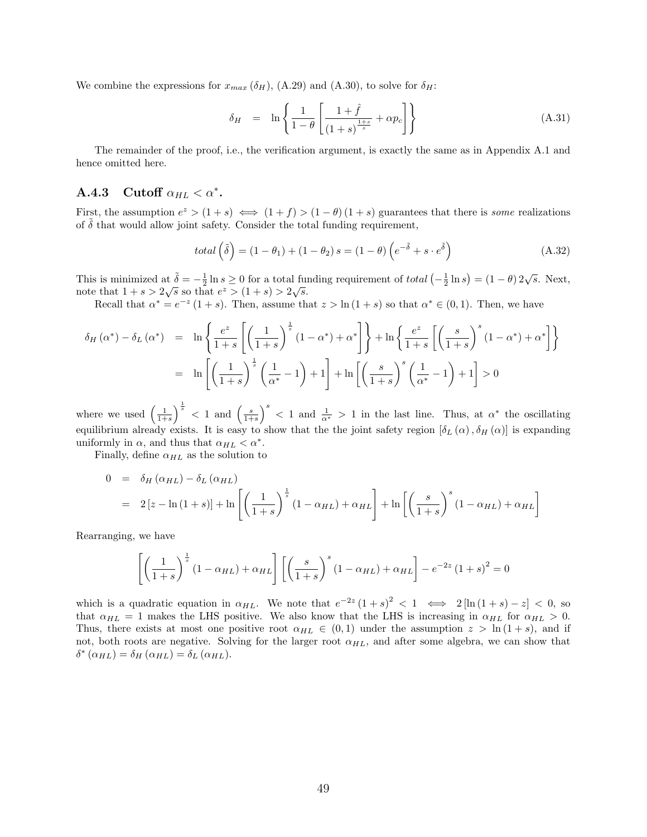We combine the expressions for  $x_{max} (\delta_H)$ , (A.29) and (A.30), to solve for  $\delta_H$ :

$$
\delta_H = \ln \left\{ \frac{1}{1 - \theta} \left[ \frac{1 + \hat{f}}{(1 + s)^{\frac{1 + s}{s}}} + \alpha p_c \right] \right\} \tag{A.31}
$$

The remainder of the proof, i.e., the verification argument, is exactly the same as in Appendix A.1 and hence omitted here.

## A.4.3 Cutoff  $\alpha_{HL} < \alpha^*$ .

First, the assumption  $e^z > (1+s) \iff (1+f) > (1-\theta)(1+s)$  guarantees that there is some realizations of  $\delta$  that would allow joint safety. Consider the total funding requirement,

$$
total\left(\tilde{\delta}\right) = \left(1 - \theta_1\right) + \left(1 - \theta_2\right)s = \left(1 - \theta\right)\left(e^{-\tilde{\delta}} + s \cdot e^{\tilde{\delta}}\right)
$$
\n(A.32)

This is minimized at  $\tilde{\delta} = -\frac{1}{2} \ln s \ge 0$  for a total funding requirement of  $total(-\frac{1}{2} \ln s) = (1 - \theta) 2\sqrt{s}$ . Next, note that  $1 + s > 2\sqrt{s}$  so that  $e^z > (1 + s) > 2\sqrt{s}$ .

Recall that  $\alpha^* = e^{-z} (1 + s)$ . Then, assume that  $z > \ln(1 + s)$  so that  $\alpha^* \in (0, 1)$ . Then, we have

$$
\delta_H(\alpha^*) - \delta_L(\alpha^*) = \ln\left\{\frac{e^z}{1+s} \left[ \left(\frac{1}{1+s}\right)^{\frac{1}{s}} (1-\alpha^*) + \alpha^* \right] \right\} + \ln\left\{\frac{e^z}{1+s} \left[ \left(\frac{s}{1+s}\right)^s (1-\alpha^*) + \alpha^* \right] \right\}
$$

$$
= \ln\left[ \left(\frac{1}{1+s}\right)^{\frac{1}{s}} \left(\frac{1}{\alpha^*} - 1\right) + 1 \right] + \ln\left[ \left(\frac{s}{1+s}\right)^s \left(\frac{1}{\alpha^*} - 1\right) + 1 \right] > 0
$$

where we used  $\left(\frac{1}{1+s}\right)^{\frac{1}{s}} < 1$  and  $\left(\frac{s}{1+s}\right)^{s} < 1$  and  $\frac{1}{\alpha^*} > 1$  in the last line. Thus, at  $\alpha^*$  the oscillating equilibrium already exists. It is easy to show that the the joint safety region  $[\delta_L(\alpha), \delta_H(\alpha)]$  is expanding uniformly in  $\alpha$ , and thus that  $\alpha_{HL} < \alpha^*$ .

Finally, define  $\alpha_{HL}$  as the solution to

$$
0 = \delta_H (\alpha_{HL}) - \delta_L (\alpha_{HL})
$$
  
=  $2[z - \ln (1+s)] + \ln \left[ \left( \frac{1}{1+s} \right)^{\frac{1}{s}} (1 - \alpha_{HL}) + \alpha_{HL} \right] + \ln \left[ \left( \frac{s}{1+s} \right)^s (1 - \alpha_{HL}) + \alpha_{HL} \right]$ 

Rearranging, we have

$$
\left[ \left( \frac{1}{1+s} \right)^{\frac{1}{s}} \left( 1 - \alpha_{HL} \right) + \alpha_{HL} \right] \left[ \left( \frac{s}{1+s} \right)^s \left( 1 - \alpha_{HL} \right) + \alpha_{HL} \right] - e^{-2z} \left( 1+s \right)^2 = 0
$$

which is a quadratic equation in  $\alpha_{HL}$ . We note that  $e^{-2z}(1+s)^2 < 1 \iff 2[\ln(1+s)-z] < 0$ , so that  $\alpha_{HL} = 1$  makes the LHS positive. We also know that the LHS is increasing in  $\alpha_{HL}$  for  $\alpha_{HL} > 0$ . Thus, there exists at most one positive root  $\alpha_{HL} \in (0,1)$  under the assumption  $z > \ln(1+s)$ , and if not, both roots are negative. Solving for the larger root  $\alpha_{HL}$ , and after some algebra, we can show that  $\delta^* (\alpha_{HL}) = \delta_H (\alpha_{HL}) = \delta_L (\alpha_{HL}).$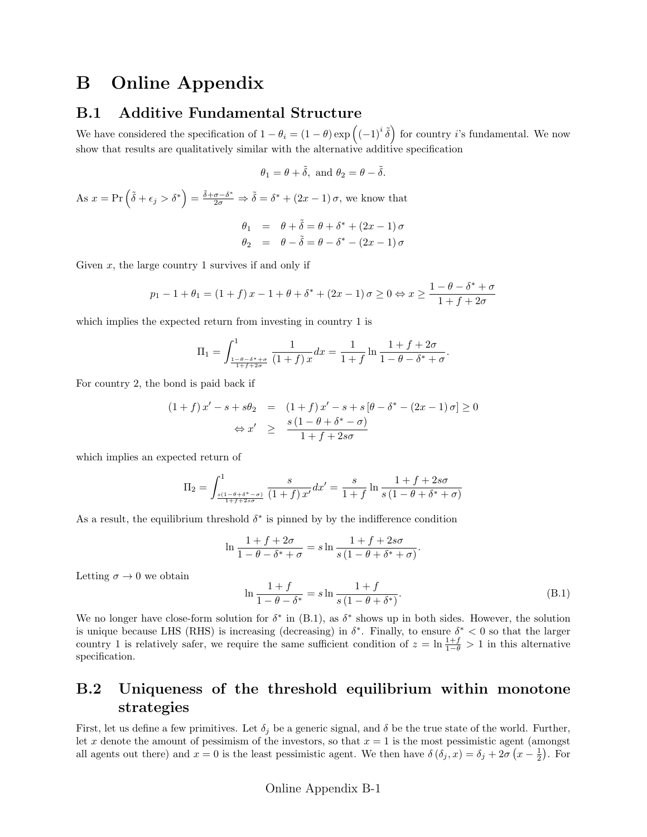## B Online Appendix

## B.1 Additive Fundamental Structure

We have considered the specification of  $1 - \theta_i = (1 - \theta) \exp \left( (-1)^i \tilde{\delta} \right)$  for country *i*'s fundamental. We now show that results are qualitatively similar with the alternative additive specification

$$
\theta_1 = \theta + \tilde{\delta}
$$
, and  $\theta_2 = \theta - \tilde{\delta}$ .

As  $x = \Pr\left(\tilde{\delta} + \epsilon_j > \delta^*\right) = \frac{\tilde{\delta} + \sigma - \delta^*}{2\sigma} \Rightarrow \tilde{\delta} = \delta^* + (2x - 1)\sigma$ , we know that

$$
\begin{array}{rcl}\n\theta_1 & = & \theta + \tilde{\delta} = \theta + \delta^* + (2x - 1)\,\sigma \\
\theta_2 & = & \theta - \tilde{\delta} = \theta - \delta^* - (2x - 1)\,\sigma\n\end{array}
$$

Given  $x$ , the large country 1 survives if and only if

$$
p_1 - 1 + \theta_1 = (1 + f)x - 1 + \theta + \delta^* + (2x - 1)\sigma \ge 0 \Leftrightarrow x \ge \frac{1 - \theta - \delta^* + \sigma}{1 + f + 2\sigma}
$$

which implies the expected return from investing in country 1 is

$$
\Pi_1 = \int_{\frac{1-\theta-\delta^*+\sigma}{1+f+2\sigma}}^1 \frac{1}{(1+f)x} dx = \frac{1}{1+f} \ln \frac{1+f+2\sigma}{1-\theta-\delta^*+\sigma}.
$$

For country 2, the bond is paid back if

$$
(1+f)x'-s+s\theta_2 = (1+f)x'-s+s[\theta-\delta^*-(2x-1)\sigma] \ge 0
$$
  

$$
\Leftrightarrow x' \ge \frac{s(1-\theta+\delta^*-\sigma)}{1+f+2s\sigma}
$$

which implies an expected return of

$$
\Pi_2 = \int_{\frac{s(1-\theta+\delta^*-\sigma)}{1+f+2s\sigma}}^{1} \frac{s}{(1+f) x'} dx' = \frac{s}{1+f} \ln \frac{1+f+2s\sigma}{s(1-\theta+\delta^*+\sigma)}
$$

As a result, the equilibrium threshold  $\delta^*$  is pinned by by the indifference condition

$$
\ln \frac{1+f+2\sigma}{1-\theta-\delta^*+\sigma} = s \ln \frac{1+f+2s\sigma}{s(1-\theta+\delta^*+\sigma)}.
$$

Letting  $\sigma \to 0$  we obtain

$$
\ln \frac{1+f}{1-\theta - \delta^*} = s \ln \frac{1+f}{s(1-\theta + \delta^*)}.
$$
\n(B.1)

We no longer have close-form solution for  $\delta^*$  in (B.1), as  $\delta^*$  shows up in both sides. However, the solution is unique because LHS (RHS) is increasing (decreasing) in  $\delta^*$ . Finally, to ensure  $\delta^* < 0$  so that the larger country 1 is relatively safer, we require the same sufficient condition of  $z = \ln \frac{1+f}{1-\theta} > 1$  in this alternative specification.

## B.2 Uniqueness of the threshold equilibrium within monotone strategies

First, let us define a few primitives. Let  $\delta_j$  be a generic signal, and  $\delta$  be the true state of the world. Further, let x denote the amount of pessimism of the investors, so that  $x = 1$  is the most pessimistic agent (amongst) all agents out there) and  $x = 0$  is the least pessimistic agent. We then have  $\delta(\delta_j, x) = \delta_j + 2\sigma(x - \frac{1}{2})$ . For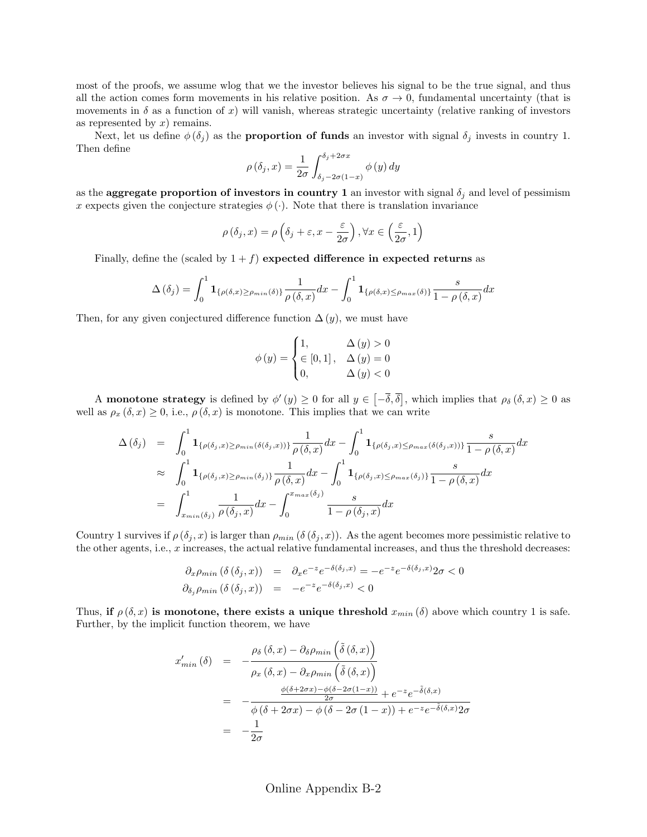most of the proofs, we assume wlog that we the investor believes his signal to be the true signal, and thus all the action comes form movements in his relative position. As  $\sigma \to 0$ , fundamental uncertainty (that is movements in  $\delta$  as a function of x) will vanish, whereas strategic uncertainty (relative ranking of investors as represented by  $x$ ) remains.

Next, let us define  $\phi(\delta_j)$  as the **proportion of funds** an investor with signal  $\delta_j$  invests in country 1. Then define

$$
\rho\left(\delta_{j},x\right) = \frac{1}{2\sigma} \int_{\delta_{j}-2\sigma(1-x)}^{\delta_{j}+2\sigma x} \phi\left(y\right) dy
$$

as the **aggregate proportion of investors in country 1** an investor with signal  $\delta_i$  and level of pessimism x expects given the conjecture strategies  $\phi(\cdot)$ . Note that there is translation invariance

$$
\rho\left(\delta_{j},x\right) = \rho\left(\delta_{j} + \varepsilon, x - \frac{\varepsilon}{2\sigma}\right), \forall x \in \left(\frac{\varepsilon}{2\sigma}, 1\right)
$$

Finally, define the (scaled by  $1 + f$ ) expected difference in expected returns as

$$
\Delta(\delta_j) = \int_0^1 \mathbf{1}_{\{\rho(\delta,x)\geq \rho_{min}(\delta)\}} \frac{1}{\rho(\delta,x)} dx - \int_0^1 \mathbf{1}_{\{\rho(\delta,x)\leq \rho_{max}(\delta)\}} \frac{s}{1-\rho(\delta,x)} dx
$$

Then, for any given conjectured difference function  $\Delta(y)$ , we must have

$$
\phi(y) = \begin{cases} 1, & \Delta(y) > 0 \\ \in [0, 1], & \Delta(y) = 0 \\ 0, & \Delta(y) < 0 \end{cases}
$$

A monotone strategy is defined by  $\phi'(y) \geq 0$  for all  $y \in \left[-\overline{\delta}, \overline{\delta}\right]$ , which implies that  $\rho_{\delta}(\delta, x) \geq 0$  as well as  $\rho_x(\delta, x) \geq 0$ , i.e.,  $\rho(\delta, x)$  is monotone. This implies that we can write

$$
\Delta(\delta_j) = \int_0^1 \mathbf{1}_{\{\rho(\delta_j, x) \ge \rho_{min}(\delta(\delta_j, x))\}} \frac{1}{\rho(\delta, x)} dx - \int_0^1 \mathbf{1}_{\{\rho(\delta_j, x) \le \rho_{max}(\delta(\delta_j, x))\}} \frac{s}{1 - \rho(\delta, x)} dx
$$
  
\n
$$
\approx \int_0^1 \mathbf{1}_{\{\rho(\delta_j, x) \ge \rho_{min}(\delta_j)\}} \frac{1}{\rho(\delta, x)} dx - \int_0^1 \mathbf{1}_{\{\rho(\delta_j, x) \le \rho_{max}(\delta_j)\}} \frac{s}{1 - \rho(\delta, x)} dx
$$
  
\n
$$
= \int_{x_{min}(\delta_j)}^1 \frac{1}{\rho(\delta_j, x)} dx - \int_0^{x_{max}(\delta_j)} \frac{s}{1 - \rho(\delta_j, x)} dx
$$

Country 1 survives if  $\rho(\delta_j, x)$  is larger than  $\rho_{min}(\delta(\delta_j, x))$ . As the agent becomes more pessimistic relative to the other agents, i.e.,  $x$  increases, the actual relative fundamental increases, and thus the threshold decreases:

$$
\begin{array}{rcl}\n\partial_x \rho_{min} \left( \delta \left( \delta_j, x \right) \right) & = & \partial_x e^{-z} e^{-\delta(\delta_j, x)} = -e^{-z} e^{-\delta(\delta_j, x)} 2\sigma < 0 \\
\partial_{\delta_j} \rho_{min} \left( \delta \left( \delta_j, x \right) \right) & = & -e^{-z} e^{-\delta(\delta_j, x)} < 0\n\end{array}
$$

Thus, if  $\rho(\delta, x)$  is monotone, there exists a unique threshold  $x_{min}(\delta)$  above which country 1 is safe. Further, by the implicit function theorem, we have

$$
x'_{min} (\delta) = -\frac{\rho_{\delta} (\delta, x) - \partial_{\delta} \rho_{min} (\tilde{\delta} (\delta, x))}{\rho_x (\delta, x) - \partial_x \rho_{min} (\tilde{\delta} (\delta, x))}
$$
  
= 
$$
-\frac{\frac{\phi(\delta + 2\sigma x) - \phi(\delta - 2\sigma (1 - x))}{2\sigma} + e^{-z} e^{-\tilde{\delta} (\delta, x)}}{\phi (\delta + 2\sigma x) - \phi (\delta - 2\sigma (1 - x)) + e^{-z} e^{-\tilde{\delta} (\delta, x)} 2\sigma}
$$
  
= 
$$
-\frac{1}{2\sigma}
$$

Online Appendix B-2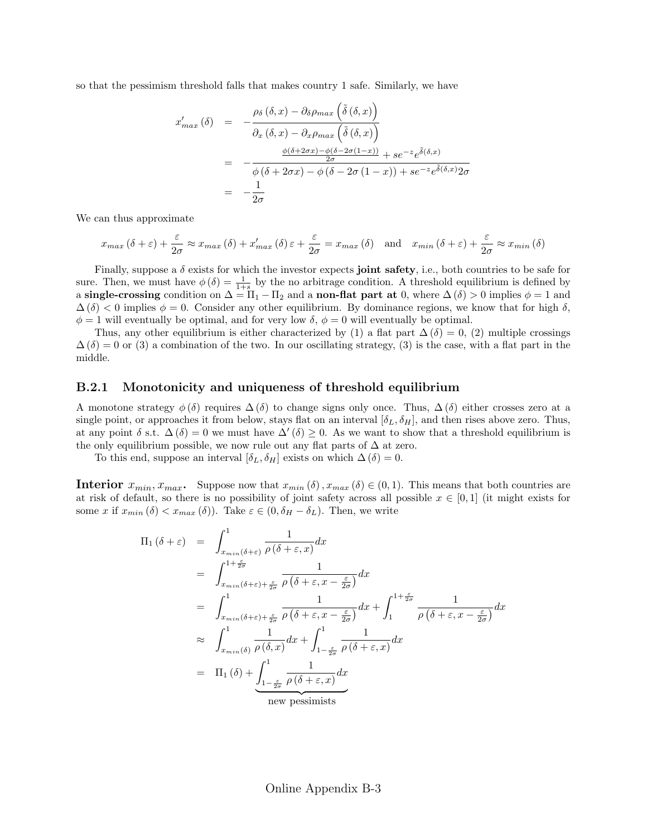so that the pessimism threshold falls that makes country 1 safe. Similarly, we have

$$
x'_{max} (\delta) = -\frac{\rho_{\delta} (\delta, x) - \partial_{\delta} \rho_{max} (\tilde{\delta} (\delta, x))}{\partial_x (\delta, x) - \partial_x \rho_{max} (\tilde{\delta} (\delta, x))}
$$
  
= 
$$
-\frac{\frac{\phi(\delta + 2\sigma x) - \phi(\delta - 2\sigma(1 - x))}{2\sigma} + se^{-z} e^{\tilde{\delta} (\delta, x)}}{\phi (\delta + 2\sigma x) - \phi (\delta - 2\sigma (1 - x)) + se^{-z} e^{\tilde{\delta} (\delta, x)} 2\sigma}
$$
  
= 
$$
-\frac{1}{2\sigma}
$$

We can thus approximate

$$
x_{max} (\delta + \varepsilon) + \frac{\varepsilon}{2\sigma} \approx x_{max} (\delta) + x'_{max} (\delta) \varepsilon + \frac{\varepsilon}{2\sigma} = x_{max} (\delta) \text{ and } x_{min} (\delta + \varepsilon) + \frac{\varepsilon}{2\sigma} \approx x_{min} (\delta)
$$

Finally, suppose a  $\delta$  exists for which the investor expects joint safety, i.e., both countries to be safe for sure. Then, we must have  $\phi(\delta) = \frac{1}{1+s}$  by the no arbitrage condition. A threshold equilibrium is defined by a single-crossing condition on  $\Delta = \Pi_1 - \Pi_2$  and a non-flat part at 0, where  $\Delta(\delta) > 0$  implies  $\phi = 1$  and  $\Delta(\delta) < 0$  implies  $\phi = 0$ . Consider any other equilibrium. By dominance regions, we know that for high  $\delta$ ,  $\phi = 1$  will eventually be optimal, and for very low  $\delta$ ,  $\phi = 0$  will eventually be optimal.

Thus, any other equilibrium is either characterized by (1) a flat part  $\Delta(\delta) = 0$ , (2) multiple crossings  $\Delta(\delta) = 0$  or (3) a combination of the two. In our oscillating strategy, (3) is the case, with a flat part in the middle.

#### B.2.1 Monotonicity and uniqueness of threshold equilibrium

A monotone strategy  $\phi(\delta)$  requires  $\Delta(\delta)$  to change signs only once. Thus,  $\Delta(\delta)$  either crosses zero at a single point, or approaches it from below, stays flat on an interval  $[\delta_L, \delta_H]$ , and then rises above zero. Thus, at any point  $\delta$  s.t.  $\Delta(\delta) = 0$  we must have  $\Delta'(\delta) \geq 0$ . As we want to show that a threshold equilibrium is the only equilibrium possible, we now rule out any flat parts of  $\Delta$  at zero.

To this end, suppose an interval  $[\delta_L, \delta_H]$  exists on which  $\Delta(\delta) = 0$ .

**Interior**  $x_{min}, x_{max}$ . Suppose now that  $x_{min}(\delta)$ ,  $x_{max}(\delta) \in (0,1)$ . This means that both countries are at risk of default, so there is no possibility of joint safety across all possible  $x \in [0,1]$  (it might exists for some x if  $x_{min}$  (δ) <  $x_{max}$  (δ)). Take  $\varepsilon \in (0, \delta_H - \delta_L)$ . Then, we write

$$
\Pi_{1}(\delta + \varepsilon) = \int_{x_{min}(\delta + \varepsilon)}^{1} \frac{1}{\rho(\delta + \varepsilon, x)} dx
$$
\n
$$
= \int_{x_{min}(\delta + \varepsilon) + \frac{\varepsilon}{2\sigma}}^{1 + \frac{\varepsilon}{2\sigma}} \frac{1}{\rho(\delta + \varepsilon, x - \frac{\varepsilon}{2\sigma})} dx
$$
\n
$$
= \int_{x_{min}(\delta + \varepsilon) + \frac{\varepsilon}{2\sigma}}^{1} \frac{1}{\rho(\delta + \varepsilon, x - \frac{\varepsilon}{2\sigma})} dx + \int_{1}^{1 + \frac{\varepsilon}{2\sigma}} \frac{1}{\rho(\delta + \varepsilon, x - \frac{\varepsilon}{2\sigma})} dx
$$
\n
$$
\approx \int_{x_{min}(\delta)}^{1} \frac{1}{\rho(\delta, x)} dx + \int_{1 - \frac{\varepsilon}{2\sigma}}^{1} \frac{1}{\rho(\delta + \varepsilon, x)} dx
$$
\n
$$
= \Pi_{1}(\delta) + \int_{1 - \frac{\varepsilon}{2\sigma}}^{1} \frac{1}{\rho(\delta + \varepsilon, x)} dx
$$
\nnew pessimists

Online Appendix B-3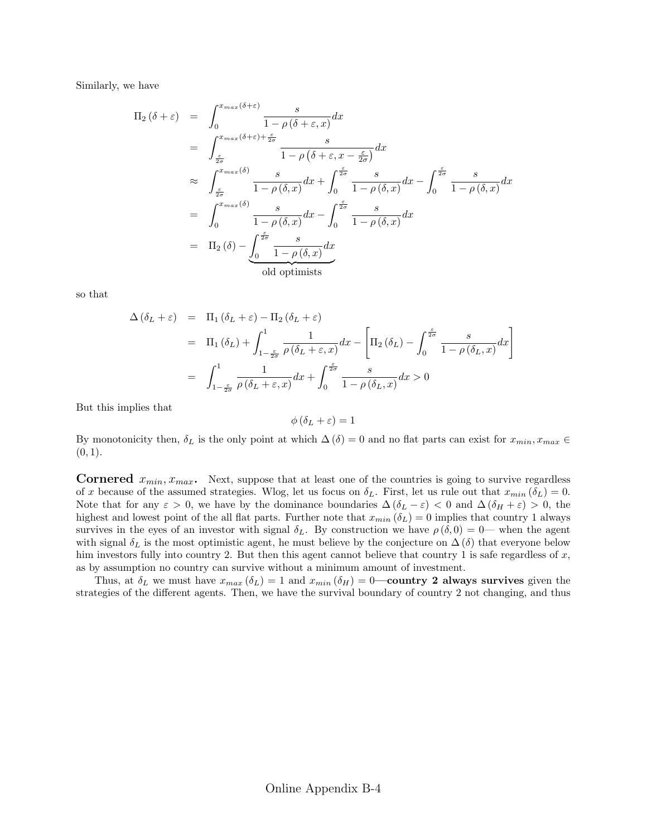Similarly, we have

$$
\Pi_{2}(\delta + \varepsilon) = \int_{0}^{x_{max}(\delta + \varepsilon)} \frac{s}{1 - \rho(\delta + \varepsilon, x)} dx
$$
\n
$$
= \int_{\frac{\varepsilon}{2\sigma}}^{x_{max}(\delta + \varepsilon) + \frac{\varepsilon}{2\sigma}} \frac{s}{1 - \rho(\delta + \varepsilon, x - \frac{\varepsilon}{2\sigma})} dx
$$
\n
$$
\approx \int_{\frac{\varepsilon}{2\sigma}}^{x_{max}(\delta)} \frac{s}{1 - \rho(\delta, x)} dx + \int_{0}^{\frac{\varepsilon}{2\sigma}} \frac{s}{1 - \rho(\delta, x)} dx - \int_{0}^{\frac{\varepsilon}{2\sigma}} \frac{s}{1 - \rho(\delta, x)} dx
$$
\n
$$
= \int_{0}^{x_{max}(\delta)} \frac{s}{1 - \rho(\delta, x)} dx - \int_{0}^{\frac{\varepsilon}{2\sigma}} \frac{s}{1 - \rho(\delta, x)} dx
$$
\n
$$
= \Pi_{2}(\delta) - \underbrace{\int_{0}^{\frac{\varepsilon}{2\sigma}} \frac{s}{1 - \rho(\delta, x)} dx}_{old optimists}
$$

so that

$$
\Delta(\delta_L + \varepsilon) = \Pi_1(\delta_L + \varepsilon) - \Pi_2(\delta_L + \varepsilon)
$$
\n
$$
= \Pi_1(\delta_L) + \int_{1 - \frac{\varepsilon}{2\sigma}}^1 \frac{1}{\rho(\delta_L + \varepsilon, x)} dx - \left[ \Pi_2(\delta_L) - \int_0^{\frac{\varepsilon}{2\sigma}} \frac{s}{1 - \rho(\delta_L, x)} dx \right]
$$
\n
$$
= \int_{1 - \frac{\varepsilon}{2\sigma}}^1 \frac{1}{\rho(\delta_L + \varepsilon, x)} dx + \int_0^{\frac{\varepsilon}{2\sigma}} \frac{s}{1 - \rho(\delta_L, x)} dx > 0
$$

But this implies that

$$
\phi\left(\delta_L + \varepsilon\right) = 1
$$

By monotonicity then,  $\delta_L$  is the only point at which  $\Delta(\delta) = 0$  and no flat parts can exist for  $x_{min}, x_{max} \in$  $(0, 1)$ .

**Cornered**  $x_{min}, x_{max}$ . Next, suppose that at least one of the countries is going to survive regardless of x because of the assumed strategies. Wlog, let us focus on  $\delta_L$ . First, let us rule out that  $x_{min}(\delta_L) = 0$ . Note that for any  $\varepsilon > 0$ , we have by the dominance boundaries  $\Delta(\delta_L - \varepsilon) < 0$  and  $\Delta(\delta_H + \varepsilon) > 0$ , the highest and lowest point of the all flat parts. Further note that  $x_{min} (\delta_L) = 0$  implies that country 1 always survives in the eyes of an investor with signal  $\delta_L$ . By construction we have  $\rho(\delta, 0) = 0$ — when the agent with signal  $\delta_L$  is the most optimistic agent, he must believe by the conjecture on  $\Delta(\delta)$  that everyone below him investors fully into country 2. But then this agent cannot believe that country 1 is safe regardless of  $x$ , as by assumption no country can survive without a minimum amount of investment.

Thus, at  $\delta_L$  we must have  $x_{max}$  ( $\delta_L$ ) = 1 and  $x_{min}$  ( $\delta_H$ ) = 0—**country 2 always survives** given the strategies of the different agents. Then, we have the survival boundary of country 2 not changing, and thus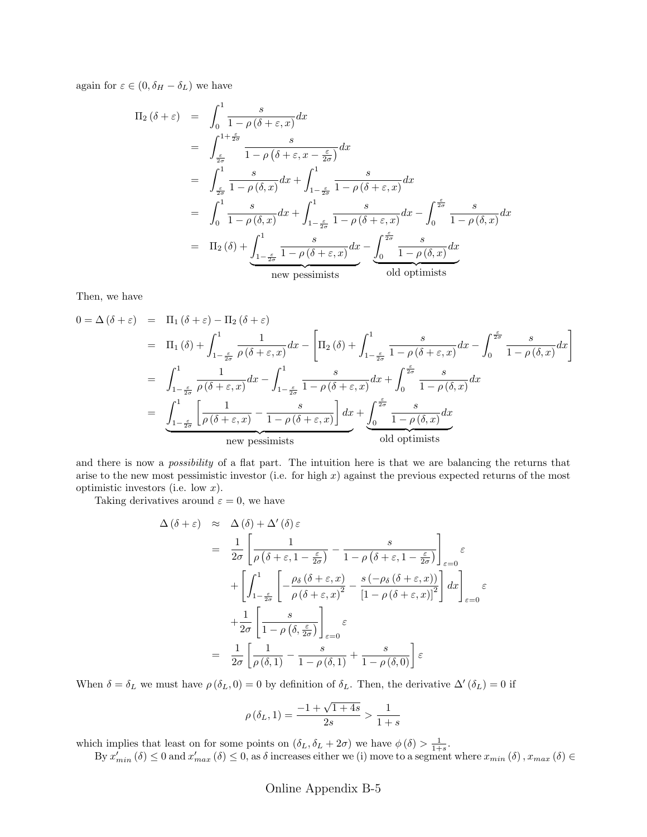again for  $\varepsilon\in(0,\delta_H-\delta_L)$  we have

$$
\Pi_{2}(\delta + \varepsilon) = \int_{0}^{1} \frac{s}{1 - \rho(\delta + \varepsilon, x)} dx
$$
\n
$$
= \int_{\frac{\varepsilon}{2\sigma}}^{1 + \frac{\varepsilon}{2\sigma}} \frac{s}{1 - \rho(\delta + \varepsilon, x - \frac{\varepsilon}{2\sigma})} dx
$$
\n
$$
= \int_{\frac{\varepsilon}{2\sigma}}^{1} \frac{s}{1 - \rho(\delta, x)} dx + \int_{1 - \frac{\varepsilon}{2\sigma}}^{1} \frac{s}{1 - \rho(\delta + \varepsilon, x)} dx
$$
\n
$$
= \int_{0}^{1} \frac{s}{1 - \rho(\delta, x)} dx + \int_{1 - \frac{\varepsilon}{2\sigma}}^{1} \frac{s}{1 - \rho(\delta + \varepsilon, x)} dx - \int_{0}^{\frac{\varepsilon}{2\sigma}} \frac{s}{1 - \rho(\delta, x)} dx
$$
\n
$$
= \Pi_{2}(\delta) + \underbrace{\int_{1 - \frac{\varepsilon}{2\sigma}}^{1} \frac{s}{1 - \rho(\delta + \varepsilon, x)} dx}_{\text{new pessimists}} - \underbrace{\int_{0}^{\frac{\varepsilon}{2\sigma}} \frac{s}{1 - \rho(\delta, x)} dx}_{\text{old optimists}}
$$

Then, we have

$$
0 = \Delta (\delta + \varepsilon) = \Pi_1 (\delta + \varepsilon) - \Pi_2 (\delta + \varepsilon)
$$
  
\n
$$
= \Pi_1 (\delta) + \int_{1 - \frac{\varepsilon}{2\sigma}}^1 \frac{1}{\rho(\delta + \varepsilon, x)} dx - \left[ \Pi_2 (\delta) + \int_{1 - \frac{\varepsilon}{2\sigma}}^1 \frac{s}{1 - \rho(\delta + \varepsilon, x)} dx - \int_0^{\frac{\varepsilon}{2\sigma}} \frac{s}{1 - \rho(\delta, x)} dx \right]
$$
  
\n
$$
= \int_{1 - \frac{\varepsilon}{2\sigma}}^1 \frac{1}{\rho(\delta + \varepsilon, x)} dx - \int_{1 - \frac{\varepsilon}{2\sigma}}^1 \frac{s}{1 - \rho(\delta + \varepsilon, x)} dx + \int_0^{\frac{\varepsilon}{2\sigma}} \frac{s}{1 - \rho(\delta, x)} dx
$$
  
\n
$$
= \underbrace{\int_{1 - \frac{\varepsilon}{2\sigma}}^1 \left[ \frac{1}{\rho(\delta + \varepsilon, x)} - \frac{s}{1 - \rho(\delta + \varepsilon, x)} \right] dx}_{\text{new pessimists}} + \underbrace{\int_0^{\frac{\varepsilon}{2\sigma}} \frac{s}{1 - \rho(\delta, x)} dx}_{\text{old optimists}}
$$

and there is now a *possibility* of a flat part. The intuition here is that we are balancing the returns that arise to the new most pessimistic investor (i.e. for high  $x$ ) against the previous expected returns of the most optimistic investors (i.e. low  $x$ ).

Taking derivatives around  $\varepsilon = 0$ , we have

$$
\Delta(\delta + \varepsilon) \approx \Delta(\delta) + \Delta'(\delta) \varepsilon
$$
\n
$$
= \frac{1}{2\sigma} \left[ \frac{1}{\rho(\delta + \varepsilon, 1 - \frac{\varepsilon}{2\sigma})} - \frac{s}{1 - \rho(\delta + \varepsilon, 1 - \frac{\varepsilon}{2\sigma})} \right]_{\varepsilon = 0} \varepsilon
$$
\n
$$
+ \left[ \int_{1 - \frac{\varepsilon}{2\sigma}}^{1} \left[ -\frac{\rho_{\delta}(\delta + \varepsilon, x)}{\rho(\delta + \varepsilon, x)^{2}} - \frac{s(-\rho_{\delta}(\delta + \varepsilon, x))}{[1 - \rho(\delta + \varepsilon, x)]^{2}} \right] dx \right]_{\varepsilon = 0} \varepsilon
$$
\n
$$
+ \frac{1}{2\sigma} \left[ \frac{s}{1 - \rho(\delta, \frac{\varepsilon}{2\sigma})} \right]_{\varepsilon = 0} \varepsilon
$$
\n
$$
= \frac{1}{2\sigma} \left[ \frac{1}{\rho(\delta, 1)} - \frac{s}{1 - \rho(\delta, 1)} + \frac{s}{1 - \rho(\delta, 0)} \right] \varepsilon
$$

When  $\delta = \delta_L$  we must have  $\rho(\delta_L, 0) = 0$  by definition of  $\delta_L$ . Then, the derivative  $\Delta'(\delta_L) = 0$  if

$$
\rho\left(\delta_L, 1\right) = \frac{-1 + \sqrt{1 + 4s}}{2s} > \frac{1}{1 + s}
$$

which implies that least on for some points on  $(\delta_L, \delta_L + 2\sigma)$  we have  $\phi(\delta) > \frac{1}{1+s}$ .

By  $x'_{min}(\delta) \leq 0$  and  $x'_{max}(\delta) \leq 0$ , as  $\delta$  increases either we (i) move to a segment where  $x_{min}(\delta)$ ,  $x_{max}(\delta) \in$ 

Online Appendix B-5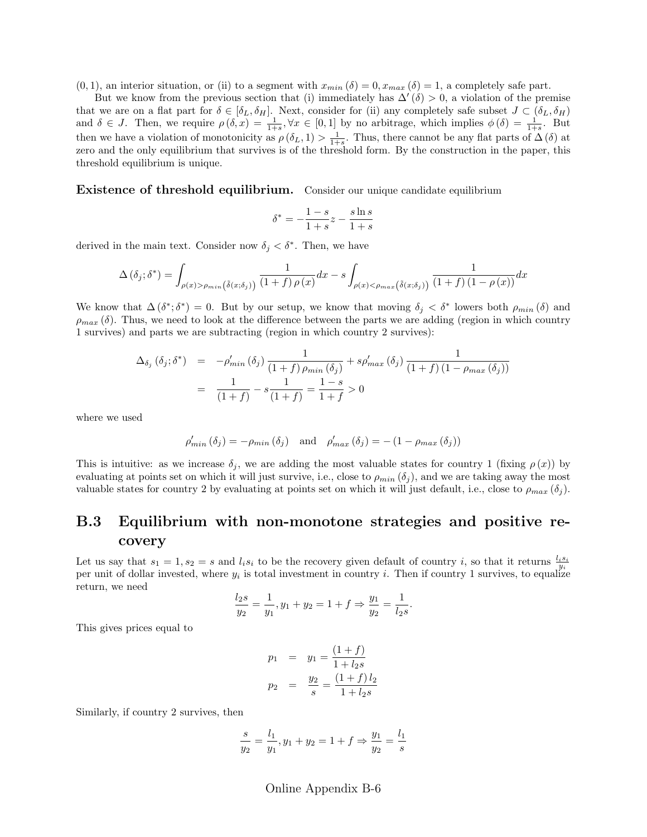$(0, 1)$ , an interior situation, or (ii) to a segment with  $x_{min}(\delta) = 0, x_{max}(\delta) = 1$ , a completely safe part.

But we know from the previous section that (i) immediately has  $\Delta'(\delta) > 0$ , a violation of the premise that we are on a flat part for  $\delta \in [\delta_L, \delta_H]$ . Next, consider for (ii) any completely safe subset  $J \subset (\delta_L, \delta_H)$ and  $\delta \in J$ . Then, we require  $\rho(\delta, x) = \frac{1}{1+s}, \forall x \in [0,1]$  by no arbitrage, which implies  $\phi(\delta) = \frac{1}{1+s}$ . But then we have a violation of monotonicity as  $\rho(\delta_L, 1) > \frac{1}{1+s}$ . Thus, there cannot be any flat parts of  $\Delta(\delta)$  at zero and the only equilibrium that survives is of the threshold form. By the construction in the paper, this threshold equilibrium is unique.

Existence of threshold equilibrium. Consider our unique candidate equilibrium

$$
\delta^* = -\frac{1-s}{1+s}z - \frac{s\ln s}{1+s}
$$

derived in the main text. Consider now  $\delta_j < \delta^*$ . Then, we have

$$
\Delta(\delta_j; \delta^*) = \int_{\rho(x) > \rho_{min}(\tilde{\delta}(x; \delta_j))} \frac{1}{(1+f)\rho(x)} dx - s \int_{\rho(x) < \rho_{max}(\tilde{\delta}(x; \delta_j))} \frac{1}{(1+f)(1-\rho(x))} dx
$$

We know that  $\Delta(\delta^*, \delta^*) = 0$ . But by our setup, we know that moving  $\delta_j < \delta^*$  lowers both  $\rho_{min}(\delta)$  and  $\rho_{max}(\delta)$ . Thus, we need to look at the difference between the parts we are adding (region in which country 1 survives) and parts we are subtracting (region in which country 2 survives):

$$
\Delta_{\delta_j} (\delta_j; \delta^*) = -\rho'_{min} (\delta_j) \frac{1}{(1+f)\rho_{min} (\delta_j)} + s\rho'_{max} (\delta_j) \frac{1}{(1+f)(1-\rho_{max} (\delta_j))}
$$
  
=  $\frac{1}{(1+f)} - s\frac{1}{(1+f)} = \frac{1-s}{1+f} > 0$ 

where we used

$$
\rho'_{min}(\delta_j) = -\rho_{min}(\delta_j) \text{ and } \rho'_{max}(\delta_j) = -(1 - \rho_{max}(\delta_j))
$$

This is intuitive: as we increase  $\delta_j$ , we are adding the most valuable states for country 1 (fixing  $\rho(x)$ ) by evaluating at points set on which it will just survive, i.e., close to  $\rho_{min}(\delta_j)$ , and we are taking away the most valuable states for country 2 by evaluating at points set on which it will just default, i.e., close to  $\rho_{max}(\delta_i)$ .

## B.3 Equilibrium with non-monotone strategies and positive recovery

Let us say that  $s_1 = 1, s_2 = s$  and  $l_i s_i$  to be the recovery given default of country i, so that it returns  $\frac{l_i s_i}{y_i}$ per unit of dollar invested, where  $y_i$  is total investment in country i. Then if country 1 survives, to equalize return, we need

$$
\frac{l_2s}{y_2} = \frac{1}{y_1}, y_1 + y_2 = 1 + f \Rightarrow \frac{y_1}{y_2} = \frac{1}{l_2s}.
$$

This gives prices equal to

$$
p_1 = y_1 = \frac{(1+f)}{1+l_2s}
$$
  

$$
p_2 = \frac{y_2}{s} = \frac{(1+f) l_2}{1+l_2s}
$$

Similarly, if country 2 survives, then

$$
\frac{s}{y_2} = \frac{l_1}{y_1}, y_1 + y_2 = 1 + f \Rightarrow \frac{y_1}{y_2} = \frac{l_1}{s}
$$

Online Appendix B-6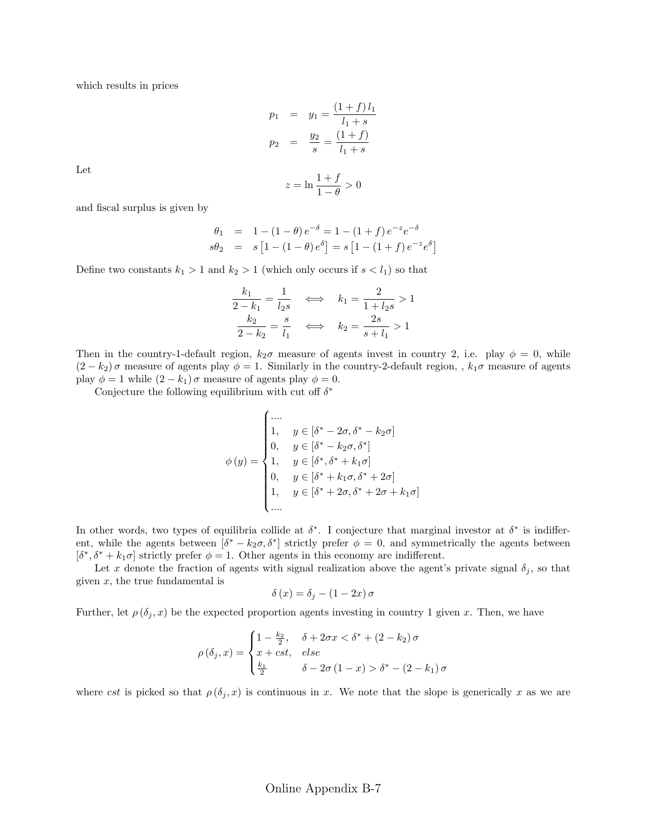which results in prices

$$
p_1 = y_1 = \frac{(1+f)l_1}{l_1+s}
$$

$$
p_2 = \frac{y_2}{s} = \frac{(1+f)}{l_1+s}
$$

$$
z = \ln \frac{1+f}{t} > 0
$$

Let

$$
z = \ln \frac{1+f}{1-\theta} > 0
$$

and fiscal surplus is given by

$$
\begin{array}{rcl}\n\theta_1 & = & 1 - (1 - \theta) e^{-\delta} = 1 - (1 + f) e^{-z} e^{-\delta} \\
s\theta_2 & = & s \left[ 1 - (1 - \theta) e^{\delta} \right] = s \left[ 1 - (1 + f) e^{-z} e^{\delta} \right]\n\end{array}
$$

Define two constants  $k_1 > 1$  and  $k_2 > 1$  (which only occurs if  $s < l_1$ ) so that

$$
\frac{k_1}{2 - k_1} = \frac{1}{l_2 s} \iff k_1 = \frac{2}{1 + l_2 s} > 1
$$
  

$$
\frac{k_2}{2 - k_2} = \frac{s}{l_1} \iff k_2 = \frac{2s}{s + l_1} > 1
$$

Then in the country-1-default region,  $k_2\sigma$  measure of agents invest in country 2, i.e. play  $\phi = 0$ , while  $(2 - k_2) \sigma$  measure of agents play  $\phi = 1$ . Similarly in the country-2-default region, ,  $k_1 \sigma$  measure of agents play  $\phi = 1$  while  $(2 - k_1) \sigma$  measure of agents play  $\phi = 0$ .

Conjecture the following equilibrium with cut off  $\delta^*$ 

$$
\phi(y) = \begin{cases}\n\ldots & \quad \\
1, \quad y \in [\delta^* - 2\sigma, \delta^* - k_2\sigma] \\
0, \quad y \in [\delta^* - k_2\sigma, \delta^*] \\
1, \quad y \in [\delta^*, \delta^* + k_1\sigma] \\
0, \quad y \in [\delta^* + k_1\sigma, \delta^* + 2\sigma] \\
1, \quad y \in [\delta^* + 2\sigma, \delta^* + 2\sigma + k_1\sigma] \\
\ldots & \end{cases}
$$

In other words, two types of equilibria collide at  $\delta^*$ . I conjecture that marginal investor at  $\delta^*$  is indifferent, while the agents between  $[\delta^* - k_2\sigma, \delta^*]$  strictly prefer  $\phi = 0$ , and symmetrically the agents between  $[\delta^*, \delta^* + k_1 \sigma]$  strictly prefer  $\phi = 1$ . Other agents in this economy are indifferent.

Let x denote the fraction of agents with signal realization above the agent's private signal  $\delta_i$ , so that given  $x$ , the true fundamental is

$$
\delta(x) = \delta_j - (1 - 2x)\,\sigma
$$

Further, let  $\rho(\delta_i, x)$  be the expected proportion agents investing in country 1 given x. Then, we have

$$
\rho(\delta_j, x) = \begin{cases}\n1 - \frac{k_2}{2}, & \delta + 2\sigma x < \delta^* + (2 - k_2)\sigma \\
x + cst, & else \\
\frac{k_1}{2} & \delta - 2\sigma(1 - x) > \delta^* - (2 - k_1)\sigma\n\end{cases}
$$

where cst is picked so that  $\rho(\delta_i, x)$  is continuous in x. We note that the slope is generically x as we are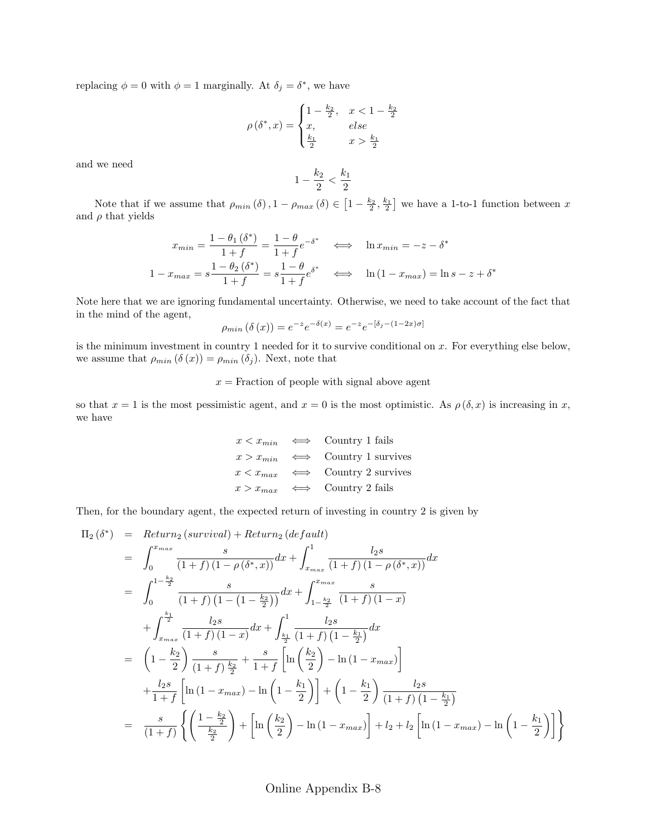replacing  $\phi = 0$  with  $\phi = 1$  marginally. At  $\delta_j = \delta^*$ , we have

$$
\rho(\delta^*, x) = \begin{cases} 1 - \frac{k_2}{2}, & x < 1 - \frac{k_2}{2} \\ x, & else \\ \frac{k_1}{2} & x > \frac{k_1}{2} \end{cases}
$$

and we need

$$
1 - \frac{k_2}{2} < \frac{k_1}{2}
$$

Note that if we assume that  $\rho_{min}(\delta)$ ,  $1 - \rho_{max}(\delta) \in \left[1 - \frac{k_2}{2}, \frac{k_1}{2}\right]$  we have a 1-to-1 function between x and  $\rho$  that yields

$$
x_{min} = \frac{1 - \theta_1(\delta^*)}{1 + f} = \frac{1 - \theta}{1 + f} e^{-\delta^*} \iff \ln x_{min} = -z - \delta^*
$$
  

$$
1 - x_{max} = s \frac{1 - \theta_2(\delta^*)}{1 + f} = s \frac{1 - \theta}{1 + f} e^{\delta^*} \iff \ln (1 - x_{max}) = \ln s - z + \delta^*
$$

Note here that we are ignoring fundamental uncertainty. Otherwise, we need to take account of the fact that in the mind of the agent,

$$
\rho_{min}(\delta(x)) = e^{-z}e^{-\delta(x)} = e^{-z}e^{-[\delta_j - (1-2x)\sigma]}
$$

is the minimum investment in country 1 needed for it to survive conditional on  $x$ . For everything else below, we assume that  $\rho_{min}(\delta(x)) = \rho_{min}(\delta_j)$ . Next, note that

 $x =$  Fraction of people with signal above agent

so that  $x = 1$  is the most pessimistic agent, and  $x = 0$  is the most optimistic. As  $\rho(\delta, x)$  is increasing in x, we have

$$
x < x_{min} \iff
$$
 Country 1 fails  
\n
$$
x > x_{min} \iff
$$
 Country 1 survives  
\n
$$
x < x_{max} \iff
$$
 Country 2 survives  
\n
$$
x > x_{max} \iff
$$
 Country 2 fails

Then, for the boundary agent, the expected return of investing in country 2 is given by

$$
\Pi_{2}(\delta^{*}) = Return_{2}(survival) + Return_{2}(default)
$$
\n
$$
= \int_{0}^{x_{max}} \frac{s}{(1+f)(1-\rho(\delta^{*},x))} dx + \int_{x_{max}}^{1} \frac{l_{2}s}{(1+f)(1-\rho(\delta^{*},x))} dx
$$
\n
$$
= \int_{0}^{1-\frac{k_{2}}{2}} \frac{s}{(1+f)(1-(1-\frac{k_{2}}{2}))} dx + \int_{1-\frac{k_{2}}{2}}^{x_{max}} \frac{s}{(1+f)(1-x)}
$$
\n
$$
+ \int_{x_{max}}^{\frac{k_{1}}{2}} \frac{l_{2}s}{(1+f)(1-x)} dx + \int_{\frac{k_{1}}{2}}^{1} \frac{l_{2}s}{(1+f)(1-\frac{k_{1}}{2})} dx
$$
\n
$$
= \left(1-\frac{k_{2}}{2}\right) \frac{s}{(1+f)\frac{k_{2}}{2}} + \frac{s}{1+f} \left[ \ln\left(\frac{k_{2}}{2}\right) - \ln(1-x_{max}) \right]
$$
\n
$$
+ \frac{l_{2}s}{1+f} \left[ \ln(1-x_{max}) - \ln\left(1-\frac{k_{1}}{2}\right) \right] + \left(1-\frac{k_{1}}{2}\right) \frac{l_{2}s}{(1+f)(1-\frac{k_{1}}{2})}
$$
\n
$$
= \frac{s}{(1+f)} \left\{ \left(\frac{1-\frac{k_{2}}{2}}{\frac{k_{2}}{2}}\right) + \left[ \ln\left(\frac{k_{2}}{2}\right) - \ln(1-x_{max}) \right] + l_{2} + l_{2} \left[ \ln(1-x_{max}) - \ln\left(1-\frac{k_{1}}{2}\right) \right] \right\}
$$

Online Appendix B-8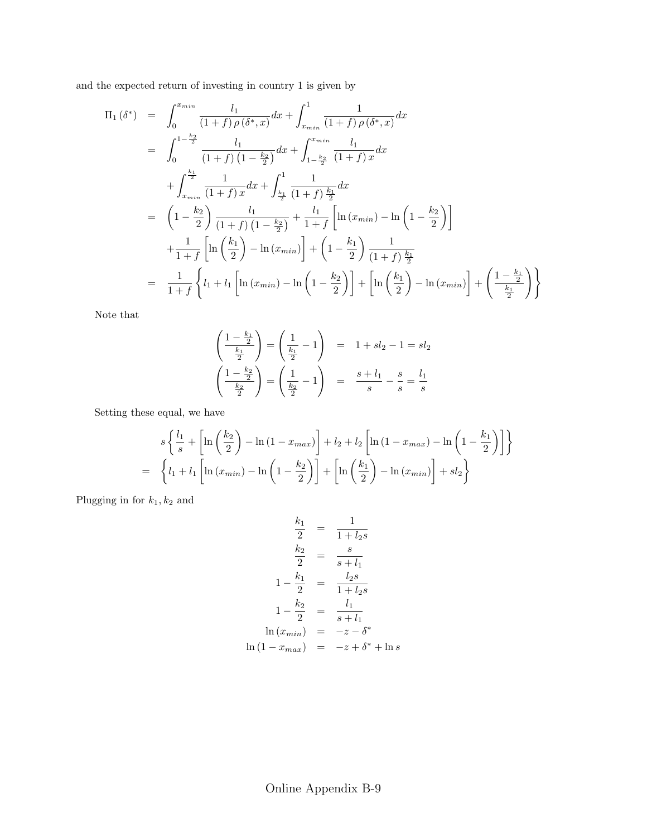and the expected return of investing in country 1 is given by

$$
\Pi_{1}(\delta^{*}) = \int_{0}^{x_{min}} \frac{l_{1}}{(1+f)\rho(\delta^{*},x)} dx + \int_{x_{min}}^{1} \frac{1}{(1+f)\rho(\delta^{*},x)} dx
$$
\n
$$
= \int_{0}^{1-\frac{k_{2}}{2}} \frac{l_{1}}{(1+f)\left(1-\frac{k_{2}}{2}\right)} dx + \int_{1-\frac{k_{2}}{2}}^{x_{min}} \frac{l_{1}}{(1+f)\,x} dx
$$
\n
$$
+ \int_{x_{min}}^{\frac{k_{1}}{2}} \frac{1}{(1+f)\,x} dx + \int_{\frac{k_{1}}{2}}^{1} \frac{1}{(1+f)\,x} dx
$$
\n
$$
= \left(1-\frac{k_{2}}{2}\right) \frac{l_{1}}{(1+f)\left(1-\frac{k_{2}}{2}\right)} + \frac{l_{1}}{1+f} \left[\ln\left(x_{min}\right)-\ln\left(1-\frac{k_{2}}{2}\right)\right]
$$
\n
$$
+ \frac{1}{1+f} \left[\ln\left(\frac{k_{1}}{2}\right)-\ln\left(x_{min}\right)\right] + \left(1-\frac{k_{1}}{2}\right) \frac{1}{(1+f)\frac{k_{1}}{2}}
$$
\n
$$
= \frac{1}{1+f} \left\{l_{1}+l_{1} \left[\ln\left(x_{min}\right)-\ln\left(1-\frac{k_{2}}{2}\right)\right] + \left[\ln\left(\frac{k_{1}}{2}\right)-\ln\left(x_{min}\right)\right] + \left(\frac{1-\frac{k_{1}}{2}}{2}\right)\right\}
$$

Note that

$$
\left(\frac{1-\frac{k_1}{2}}{\frac{k_1}{2}}\right) = \left(\frac{1}{\frac{k_1}{2}}-1\right) = 1 + sl_2 - 1 = sl_2
$$

$$
\left(\frac{1-\frac{k_2}{2}}{\frac{k_2}{2}}\right) = \left(\frac{1}{\frac{k_2}{2}}-1\right) = \frac{s+l_1}{s} - \frac{s}{s} = \frac{l_1}{s}
$$

Setting these equal, we have

$$
s\left\{\frac{l_1}{s} + \left[\ln\left(\frac{k_2}{2}\right) - \ln(1 - x_{max})\right] + l_2 + l_2\left[\ln(1 - x_{max}) - \ln\left(1 - \frac{k_1}{2}\right)\right]\right\}
$$

$$
= \left\{l_1 + l_1\left[\ln(x_{min}) - \ln\left(1 - \frac{k_2}{2}\right)\right] + \left[\ln\left(\frac{k_1}{2}\right) - \ln(x_{min})\right] + sl_2\right\}
$$

Plugging in for  $k_1, k_2$  and

$$
\frac{k_1}{2} = \frac{1}{1 + l_2 s}
$$

$$
\frac{k_2}{2} = \frac{s}{s + l_1}
$$

$$
1 - \frac{k_1}{2} = \frac{l_2 s}{1 + l_2 s}
$$

$$
1 - \frac{k_2}{2} = \frac{l_1}{s + l_1}
$$

$$
\ln(x_{min}) = -z - \delta^*
$$

$$
\ln(1 - x_{max}) = -z + \delta^* + \ln s
$$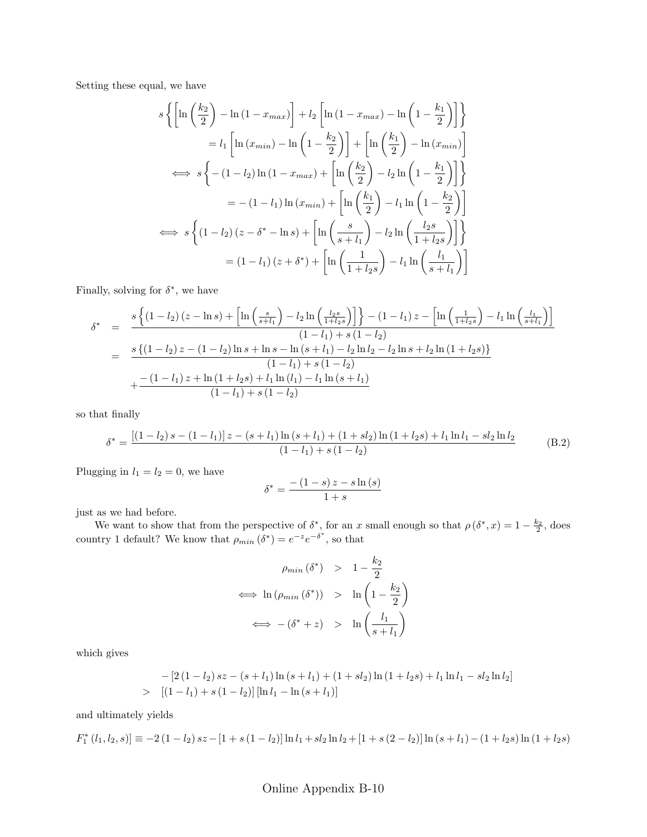Setting these equal, we have

$$
s\left\{\left[\ln\left(\frac{k_2}{2}\right) - \ln\left(1 - x_{max}\right)\right] + l_2\left[\ln\left(1 - x_{max}\right) - \ln\left(1 - \frac{k_1}{2}\right)\right]\right\}
$$
  
\n
$$
= l_1\left[\ln\left(x_{min}\right) - \ln\left(1 - \frac{k_2}{2}\right)\right] + \left[\ln\left(\frac{k_1}{2}\right) - \ln\left(x_{min}\right)\right]
$$
  
\n
$$
\iff s\left\{-\left(1 - l_2\right)\ln\left(1 - x_{max}\right) + \left[\ln\left(\frac{k_2}{2}\right) - l_2\ln\left(1 - \frac{k_1}{2}\right)\right]\right\}
$$
  
\n
$$
= -(1 - l_1)\ln\left(x_{min}\right) + \left[\ln\left(\frac{k_1}{2}\right) - l_1\ln\left(1 - \frac{k_2}{2}\right)\right]
$$
  
\n
$$
\iff s\left\{\left(1 - l_2\right)\left(z - \delta^* - \ln s\right) + \left[\ln\left(\frac{s}{s + l_1}\right) - l_2\ln\left(\frac{l_2 s}{1 + l_2 s}\right)\right]\right\}
$$
  
\n
$$
= (1 - l_1)\left(z + \delta^*\right) + \left[\ln\left(\frac{1}{1 + l_2 s}\right) - l_1\ln\left(\frac{l_1}{s + l_1}\right)\right]
$$

Finally, solving for  $\delta^*$ , we have

$$
\delta^* = \frac{s \left\{ (1 - l_2) (z - \ln s) + \left[ \ln \left( \frac{s}{s + l_1} \right) - l_2 \ln \left( \frac{l_2 s}{1 + l_2 s} \right) \right] \right\} - (1 - l_1) z - \left[ \ln \left( \frac{1}{1 + l_2 s} \right) - l_1 \ln \left( \frac{l_1}{s + l_1} \right) \right]}{(1 - l_1) + s (1 - l_2)}
$$
\n
$$
= \frac{s \left\{ (1 - l_2) z - (1 - l_2) \ln s + \ln s - \ln (s + l_1) - l_2 \ln l_2 - l_2 \ln s + l_2 \ln (1 + l_2 s) \right\}}{(1 - l_1) + s (1 - l_2)}
$$
\n
$$
+ \frac{-(1 - l_1) z + \ln (1 + l_2 s) + l_1 \ln (l_1) - l_1 \ln (s + l_1)}{(1 - l_1) + s (1 - l_2)}
$$

so that finally

$$
\delta^* = \frac{\left[ (1 - l_2) \, s - (1 - l_1) \right] z - (s + l_1) \ln \left( s + l_1 \right) + (1 + s l_2) \ln \left( 1 + l_2 s \right) + l_1 \ln l_1 - s l_2 \ln l_2}{(1 - l_1) + s \left( 1 - l_2 \right)}\tag{B.2}
$$

Plugging in  $l_1 = l_2 = 0$ , we have

$$
\delta^* = \frac{-\left(1-s\right)z - s\ln\left(s\right)}{1+s}
$$

just as we had before.

We want to show that from the perspective of  $\delta^*$ , for an x small enough so that  $\rho(\delta^*, x) = 1 - \frac{k_2}{2}$ , does country 1 default? We know that  $\rho_{min}(\delta^*) = e^{-z}e^{-\delta^*}$ , so that

$$
\rho_{min}(\delta^*) > 1 - \frac{k_2}{2}
$$
  
\n
$$
\iff \ln(\rho_{min}(\delta^*)) > \ln\left(1 - \frac{k_2}{2}\right)
$$
  
\n
$$
\iff -(\delta^* + z) > \ln\left(\frac{l_1}{s + l_1}\right)
$$

which gives

$$
-[2(1-l_2)sz - (s+l_1)ln(s+l_1) + (1+sl_2)ln(1+l_2s) + l_1ln(l_1 - sl_2ln(l_2))
$$
  
> [(1-l\_1) + s(1-l\_2)] [ln l\_1 - ln(s+l\_1)]

and ultimately yields

$$
F_1^*\left(l_1, l_2, s\right) \equiv -2\left(1 - l_2\right)sz - \left[1 + s\left(1 - l_2\right)\right]\ln l_1 + sl_2\ln l_2 + \left[1 + s\left(2 - l_2\right)\right]\ln\left(s + l_1\right) - \left(1 + l_2s\right)\ln\left(1 + l_2s\right)
$$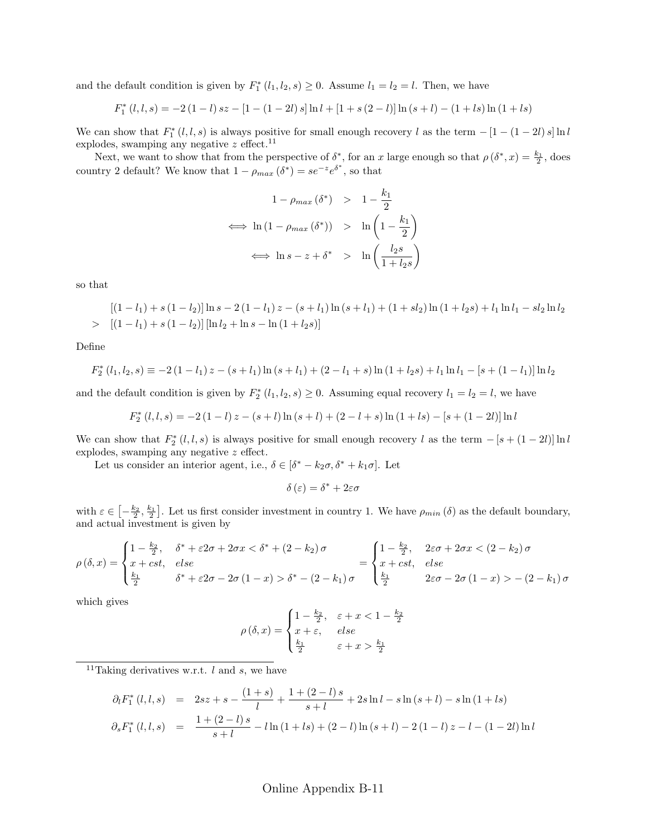and the default condition is given by  $F_1^*(l_1, l_2, s) \geq 0$ . Assume  $l_1 = l_2 = l$ . Then, we have

$$
F_1^*(l, l, s) = -2(1-l)sz - [1 - (1 - 2l) s] \ln l + [1 + s(2-l)] \ln (s+l) - (1 + ls) \ln (1 + ls)
$$

We can show that  $F_1^*(l, l, s)$  is always positive for small enough recovery l as the term  $-[1-(1-2l)s] \ln l$ explodes, swamping any negative  $z$  effect.<sup>11</sup>

Next, we want to show that from the perspective of  $\delta^*$ , for an x large enough so that  $\rho(\delta^*, x) = \frac{k_1}{2}$ , does country 2 default? We know that  $1 - \rho_{max}(\delta^*) = se^{-z}e^{\delta^*}$ , so that

$$
1 - \rho_{max} (\delta^*) > 1 - \frac{k_1}{2}
$$
  
\n
$$
\iff \ln (1 - \rho_{max} (\delta^*)) > \ln \left( 1 - \frac{k_1}{2} \right)
$$
  
\n
$$
\iff \ln s - z + \delta^* > \ln \left( \frac{l_2 s}{1 + l_2 s} \right)
$$

so that

$$
[(1 - l_1) + s(1 - l_2)] \ln s - 2(1 - l_1) z - (s + l_1) \ln (s + l_1) + (1 + sl_2) \ln (1 + l_2 s) + l_1 \ln l_1 - sl_2 \ln l_2
$$
  
> 
$$
[(1 - l_1) + s(1 - l_2)][\ln l_2 + \ln s - \ln (1 + l_2 s)]
$$

Define

$$
F_2^*(l_1, l_2, s) \equiv -2(1 - l_1) z - (s + l_1) \ln (s + l_1) + (2 - l_1 + s) \ln (1 + l_2 s) + l_1 \ln l_1 - [s + (1 - l_1)] \ln l_2
$$

and the default condition is given by  $F_2^*(l_1, l_2, s) \geq 0$ . Assuming equal recovery  $l_1 = l_2 = l$ , we have

$$
F_2^*(l, l, s) = -2(1-l) z - (s+l) \ln (s+l) + (2-l+s) \ln (1+ls) - [s + (1-2l)] \ln l
$$

We can show that  $F_2^*(l, l, s)$  is always positive for small enough recovery l as the term  $-[s + (1 - 2l)] \ln l$ explodes, swamping any negative z effect.

Let us consider an interior agent, i.e.,  $\delta \in [\delta^* - k_2 \sigma, \delta^* + k_1 \sigma]$ . Let

$$
\delta(\varepsilon) = \delta^* + 2\varepsilon\sigma
$$

with  $\varepsilon \in \left[-\frac{k_2}{2}, \frac{k_1}{2}\right]$ . Let us first consider investment in country 1. We have  $\rho_{min}(\delta)$  as the default boundary, and actual investment is given by

$$
\rho(\delta, x) = \begin{cases}\n1 - \frac{k_2}{2}, & \delta^* + \varepsilon 2\sigma + 2\sigma x < \delta^* + (2 - k_2)\sigma \\
x + cst, & else \\
\frac{k_1}{2} & \delta^* + \varepsilon 2\sigma - 2\sigma (1 - x) > \delta^* - (2 - k_1)\sigma\n\end{cases} = \begin{cases}\n1 - \frac{k_2}{2}, & 2\varepsilon\sigma + 2\sigma x < (2 - k_2)\sigma \\
x + cst, & else \\
\frac{k_1}{2} & 2\varepsilon\sigma - 2\sigma (1 - x) > - (2 - k_1)\sigma\n\end{cases}
$$

which gives

$$
\rho(\delta, x) = \begin{cases} 1 - \frac{k_2}{2}, & \varepsilon + x < 1 - \frac{k_2}{2} \\ x + \varepsilon, & else \\ \frac{k_1}{2} & \varepsilon + x > \frac{k_1}{2} \end{cases}
$$

<sup>11</sup>Taking derivatives w.r.t. *l* and *s*, we have

$$
\partial_l F_1^*(l, l, s) = 2sz + s - \frac{(1+s)}{l} + \frac{1+(2-l)s}{s+l} + 2s \ln l - s \ln (s+l) - s \ln (1+ls)
$$
  

$$
\partial_s F_1^*(l, l, s) = \frac{1+(2-l)s}{s+l} - l \ln (1+ls) + (2-l) \ln (s+l) - 2(1-l) z - l - (1-2l) \ln l
$$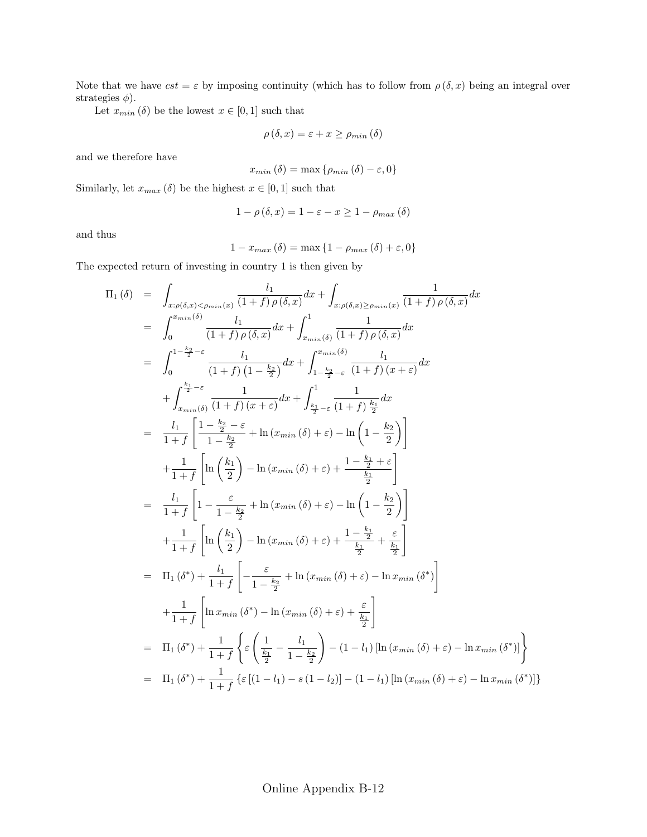Note that we have  $cst = \varepsilon$  by imposing continuity (which has to follow from  $\rho(\delta, x)$  being an integral over strategies  $\phi$ ).

Let  $x_{min}$  (δ) be the lowest  $x \in [0,1]$  such that

$$
\rho(\delta, x) = \varepsilon + x \ge \rho_{min}(\delta)
$$

and we therefore have

$$
x_{min}(\delta) = \max \{ \rho_{min}(\delta) - \varepsilon, 0 \}
$$

Similarly, let  $x_{max} (\delta)$  be the highest  $x \in [0, 1]$  such that

$$
1 - \rho(\delta, x) = 1 - \varepsilon - x \ge 1 - \rho_{max}(\delta)
$$

and thus

$$
1 - x_{max} (\delta) = \max \left\{ 1 - \rho_{max} (\delta) + \varepsilon, 0 \right\}
$$

The expected return of investing in country 1 is then given by

$$
\Pi_{1}(\delta) = \int_{x:\rho(\delta,x) < \rho_{min}(x)} \frac{l_{1}}{(1+f)\rho(\delta,x)} dx + \int_{x:\rho(\delta,x) \geq \rho_{min}(x)} \frac{1}{(1+f)\rho(\delta,x)} dx \n= \int_{0}^{x_{min}(\delta)} \frac{l_{1}}{(1+f)\rho(\delta,x)} dx + \int_{x_{min}(\delta)}^{1} \frac{1}{(1+f)\rho(\delta,x)} dx \n= \int_{0}^{1-\frac{k_{2}}{2}-\varepsilon} \frac{l_{1}}{(1+f)(1-\frac{k_{2}}{2})} dx + \int_{1-\frac{k_{2}}{2}-\varepsilon}^{x_{min}(\delta)} \frac{l_{1}}{(1+f)(x+\varepsilon)} dx \n+ \int_{x_{min}(\delta)}^{x_{1}-\varepsilon} \frac{1}{(1+f)(x+\varepsilon)} dx + \int_{\frac{k_{1}}{2}-\varepsilon}^{1} \frac{1}{(1+f)(x+\varepsilon)} dx \n= \frac{l_{1}}{1+f} \left[ \frac{1-\frac{k_{2}}{2}-\varepsilon}{1-\frac{k_{2}}{2}} + \ln(x_{min}(\delta)+\varepsilon) - \ln\left(1-\frac{k_{2}}{2}\right) \right] \n+ \frac{1}{1+f} \left[ \ln\left(\frac{k_{1}}{2}\right) - \ln(x_{min}(\delta)+\varepsilon) + \frac{1-\frac{k_{1}}{2}+\varepsilon}{\frac{k_{1}}{2}} \right] \n= \frac{l_{1}}{1+f} \left[ 1-\frac{\varepsilon}{1-\frac{k_{2}}{2}} + \ln(x_{min}(\delta)+\varepsilon) - \ln\left(1-\frac{k_{2}}{2}\right) \right] \n+ \frac{1}{1+f} \left[ \ln\left(\frac{k_{1}}{2}\right) - \ln(x_{min}(\delta)+\varepsilon) + \frac{1-\frac{k_{1}}{2}}{\frac{k_{1}}{2}} + \frac{\varepsilon}{\frac{k_{1}}{2}} \right] \n= \Pi_{1}(\delta^{*}) + \frac{l_{1}}{1+f} \left[ -\frac{\varepsilon}{1-\frac{k_{2}}}{2} + \ln(x_{min}(\delta)+\varepsilon) - \ln x_{min}(\delta^{*}) \right] \n+ \frac{1}{1+f} \left[ \ln x_{min}(\delta^{*}) - \ln(x_{min}(\delta)+\varepsilon) - \ln x_{min
$$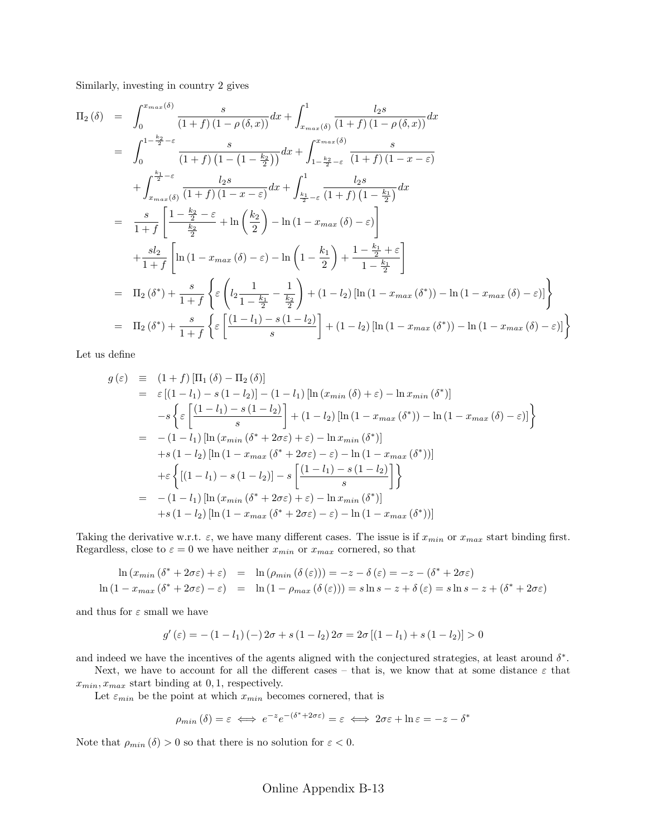Similarly, investing in country 2 gives

$$
\Pi_{2}(\delta) = \int_{0}^{x_{max}(\delta)} \frac{s}{(1+f)(1-\rho(\delta,x))} dx + \int_{x_{max}(\delta)}^{1} \frac{l_{2}s}{(1+f)(1-\rho(\delta,x))} dx \n= \int_{0}^{1-\frac{k_{2}}{2}-\varepsilon} \frac{s}{(1+f)(1-(1-\frac{k_{2}}{2}))} dx + \int_{1-\frac{k_{2}}{2}-\varepsilon}^{x_{max}(\delta)} \frac{s}{(1+f)(1-x-\varepsilon)} \n+ \int_{x_{max}(\delta)}^{\frac{k_{1}}{2}-\varepsilon} \frac{l_{2}s}{(1+f)(1-x-\varepsilon)} dx + \int_{\frac{k_{1}}{2}-\varepsilon}^{1} \frac{l_{2}s}{(1+f)(1-\frac{k_{1}}{2})} dx \n= \frac{s}{1+f} \left[ \frac{1-\frac{k_{2}}{2}-\varepsilon}{\frac{k_{2}}{2}} + \ln\left(\frac{k_{2}}{2}\right) - \ln(1-x_{max}(\delta)-\varepsilon) \right] \n+ \frac{s l_{2}}{1+f} \left[ \ln(1-x_{max}(\delta)-\varepsilon) - \ln\left(1-\frac{k_{1}}{2}\right) + \frac{1-\frac{k_{1}}{2}+\varepsilon}{1-\frac{k_{1}}{2}} \right] \n= \Pi_{2}(\delta^{*}) + \frac{s}{1+f} \left\{ \varepsilon \left( l_{2} \frac{1}{1-\frac{k_{1}}{2}} - \frac{l_{2}}{\frac{k_{2}}{2}} \right) + (1-l_{2}) \left[ \ln(1-x_{max}(\delta^{*})) - \ln(1-x_{max}(\delta)-\varepsilon) \right] \right\} \n= \Pi_{2}(\delta^{*}) + \frac{s}{1+f} \left\{ \varepsilon \left[ \frac{(1-l_{1})-s(1-l_{2})}{s} \right] + (1-l_{2}) \left[ \ln(1-x_{max}(\delta^{*})) - \ln(1-x_{max}(\delta)-\varepsilon) \right] \right\}
$$

Let us define

$$
g(\varepsilon) = (1 + f) [\Pi_1(\delta) - \Pi_2(\delta)]
$$
  
\n
$$
= \varepsilon [(1 - l_1) - s (1 - l_2)] - (1 - l_1) [\ln (x_{min}(\delta) + \varepsilon) - \ln x_{min}(\delta^*)]
$$
  
\n
$$
-s \left\{ \varepsilon \left[ \frac{(1 - l_1) - s (1 - l_2)}{s} \right] + (1 - l_2) [\ln (1 - x_{max}(\delta^*)) - \ln (1 - x_{max}(\delta) - \varepsilon)] \right\}
$$
  
\n
$$
= -(1 - l_1) [\ln (x_{min}(\delta^* + 2\sigma\varepsilon) + \varepsilon) - \ln x_{min}(\delta^*)]
$$
  
\n
$$
+s (1 - l_2) [\ln (1 - x_{max}(\delta^* + 2\sigma\varepsilon) - \varepsilon) - \ln (1 - x_{max}(\delta^*))]
$$
  
\n
$$
+ \varepsilon \left\{ [(1 - l_1) - s (1 - l_2)] - s \left[ \frac{(1 - l_1) - s (1 - l_2)}{s} \right] \right\}
$$
  
\n
$$
= -(1 - l_1) [\ln (x_{min}(\delta^* + 2\sigma\varepsilon) + \varepsilon) - \ln x_{min}(\delta^*)]
$$
  
\n
$$
+s (1 - l_2) [\ln (1 - x_{max}(\delta^* + 2\sigma\varepsilon) - \varepsilon) - \ln (1 - x_{max}(\delta^*))]
$$

Taking the derivative w.r.t.  $\varepsilon$ , we have many different cases. The issue is if  $x_{min}$  or  $x_{max}$  start binding first. Regardless, close to  $\varepsilon = 0$  we have neither  $x_{min}$  or  $x_{max}$  cornered, so that

$$
\ln (x_{min} (\delta^* + 2\sigma \varepsilon) + \varepsilon) = \ln (\rho_{min} (\delta (\varepsilon))) = -z - \delta (\varepsilon) = -z - (\delta^* + 2\sigma \varepsilon)
$$
  

$$
\ln (1 - x_{max} (\delta^* + 2\sigma \varepsilon) - \varepsilon) = \ln (1 - \rho_{max} (\delta (\varepsilon))) = s \ln s - z + \delta (\varepsilon) = s \ln s - z + (\delta^* + 2\sigma \varepsilon)
$$

and thus for  $\varepsilon$  small we have

$$
g'(\varepsilon) = -(1 - l_1)(-1)2\sigma + s(1 - l_2)2\sigma = 2\sigma[(1 - l_1) + s(1 - l_2)] > 0
$$

and indeed we have the incentives of the agents aligned with the conjectured strategies, at least around  $\delta^*$ .

Next, we have to account for all the different cases – that is, we know that at some distance  $\varepsilon$  that  $x_{min}, x_{max}$  start binding at 0, 1, respectively.

Let  $\varepsilon_{min}$  be the point at which  $x_{min}$  becomes cornered, that is

$$
\rho_{min}(\delta) = \varepsilon \iff e^{-z} e^{-(\delta^* + 2\sigma\varepsilon)} = \varepsilon \iff 2\sigma\varepsilon + \ln \varepsilon = -z - \delta^*
$$

Note that  $\rho_{min}(\delta) > 0$  so that there is no solution for  $\varepsilon < 0$ .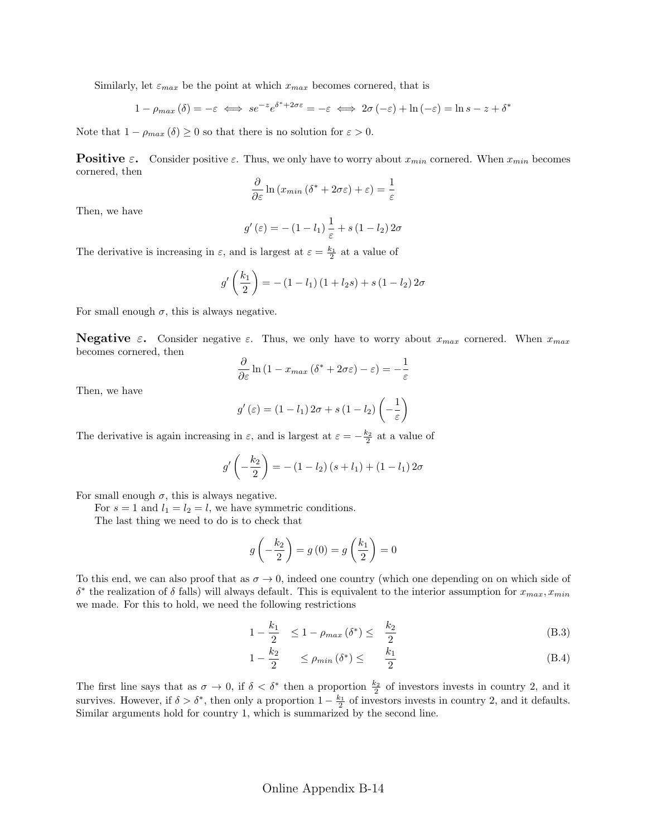Similarly, let  $\varepsilon_{max}$  be the point at which  $x_{max}$  becomes cornered, that is

$$
1 - \rho_{max}(\delta) = -\varepsilon \iff s e^{-z} e^{\delta^* + 2\sigma \varepsilon} = -\varepsilon \iff 2\sigma(-\varepsilon) + \ln(-\varepsilon) = \ln s - z + \delta^*
$$

Note that  $1 - \rho_{max}(\delta) \ge 0$  so that there is no solution for  $\varepsilon > 0$ .

**Positive**  $\varepsilon$ . Consider positive  $\varepsilon$ . Thus, we only have to worry about  $x_{min}$  cornered. When  $x_{min}$  becomes cornered, then

$$
\frac{\partial}{\partial \varepsilon} \ln \left( x_{min} \left( \delta^* + 2\sigma \varepsilon \right) + \varepsilon \right) = \frac{1}{\varepsilon}
$$

Then, we have

$$
g'(\varepsilon) = -(1 - l_1) \frac{1}{\varepsilon} + s (1 - l_2) 2\sigma
$$

The derivative is increasing in  $\varepsilon$ , and is largest at  $\varepsilon = \frac{k_1}{2}$  at a value of

$$
g'\left(\frac{k_1}{2}\right) = -(1 - l_1)(1 + l_2s) + s(1 - l_2)2\sigma
$$

For small enough  $\sigma$ , this is always negative.

**Negative**  $\varepsilon$ **.** Consider negative  $\varepsilon$ . Thus, we only have to worry about  $x_{max}$  cornered. When  $x_{max}$ becomes cornered, then

$$
\frac{\partial}{\partial \varepsilon} \ln \left( 1 - x_{max} \left( \delta^* + 2\sigma \varepsilon \right) - \varepsilon \right) = -\frac{1}{\varepsilon}
$$

Then, we have

$$
g'(\varepsilon) = (1 - l_1) 2\sigma + s (1 - l_2) \left( -\frac{1}{\varepsilon} \right)
$$

The derivative is again increasing in  $\varepsilon$ , and is largest at  $\varepsilon = -\frac{k_2}{2}$  at a value of

$$
g'\left(-\frac{k_2}{2}\right) = -(1 - l_2)\left(s + l_1\right) + (1 - l_1)\,2\sigma
$$

For small enough  $\sigma$ , this is always negative.

For  $s = 1$  and  $l_1 = l_2 = l$ , we have symmetric conditions.

The last thing we need to do is to check that

$$
g\left(-\frac{k_2}{2}\right) = g(0) = g\left(\frac{k_1}{2}\right) = 0
$$

To this end, we can also proof that as  $\sigma \to 0$ , indeed one country (which one depending on on which side of  $\delta^*$  the realization of  $\delta$  falls) will always default. This is equivalent to the interior assumption for  $x_{max}, x_{min}$ we made. For this to hold, we need the following restrictions

$$
1 - \frac{k_1}{2} \le 1 - \rho_{max} \left( \delta^* \right) \le \frac{k_2}{2} \tag{B.3}
$$

$$
1 - \frac{k_2}{2} \le \rho_{min} \left( \delta^* \right) \le \frac{k_1}{2} \tag{B.4}
$$

The first line says that as  $\sigma \to 0$ , if  $\delta < \delta^*$  then a proportion  $\frac{k_2}{2}$  of investors invests in country 2, and it survives. However, if  $\delta > \delta^*$ , then only a proportion  $1 - \frac{k_1}{2}$  of investors invests in country 2, and it defaults. Similar arguments hold for country 1, which is summarized by the second line.